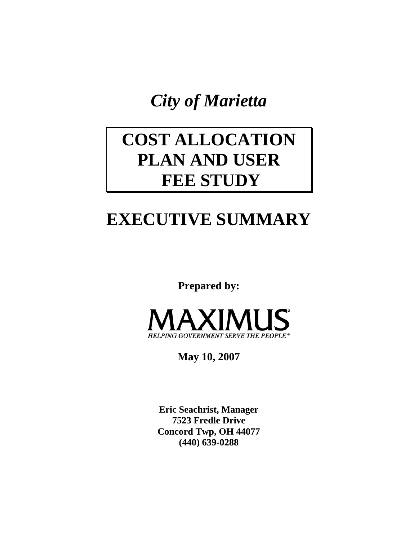*City of Marietta* 

# **COST ALLOCATION PLAN AND USER FEE STUDY**

# **EXECUTIVE SUMMARY**

**Prepared by:** 



**May 10, 2007** 

**Eric Seachrist, Manager 7523 Fredle Drive Concord Twp, OH 44077 (440) 639-0288**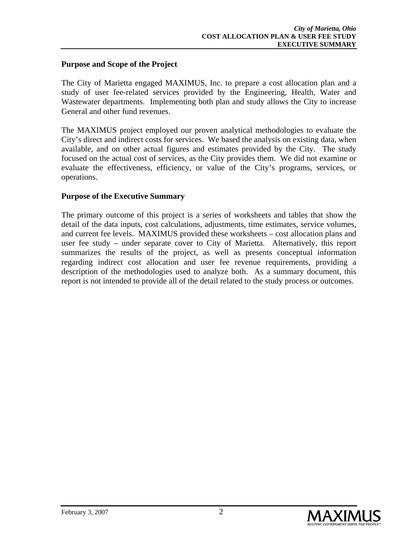## **Purpose and Scope of the Project**

The City of Marietta engaged MAXIMUS, Inc. to prepare a cost allocation plan and a study of user fee-related services provided by the Engineering, Health, Water and Wastewater departments. Implementing both plan and study allows the City to increase General and other fund revenues.

The MAXIMUS project employed our proven analytical methodologies to evaluate the City's direct and indirect costs for services. We based the analysis on existing data, when available, and on other actual figures and estimates provided by the City. The study focused on the actual cost of services, as the City provides them. We did not examine or evaluate the effectiveness, efficiency, or value of the City's programs, services, or operations.

## **Purpose of the Executive Summary**

The primary outcome of this project is a series of worksheets and tables that show the detail of the data inputs, cost calculations, adjustments, time estimates, service volumes, and current fee levels. MAXIMUS provided these worksheets – cost allocation plans and user fee study – under separate cover to City of Marietta. Alternatively, this report summarizes the results of the project, as well as presents conceptual information regarding indirect cost allocation and user fee revenue requirements, providing a description of the methodologies used to analyze both. As a summary document, this report is not intended to provide all of the detail related to the study process or outcomes.

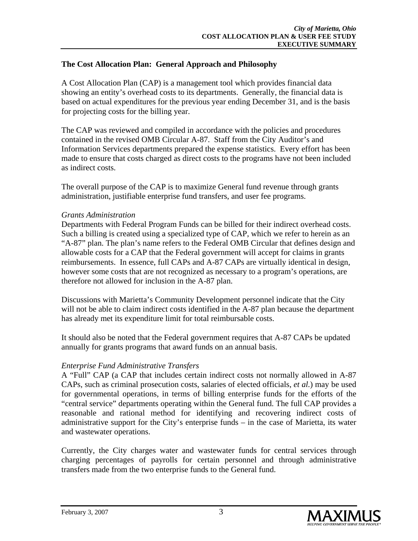## **The Cost Allocation Plan: General Approach and Philosophy**

A Cost Allocation Plan (CAP) is a management tool which provides financial data showing an entity's overhead costs to its departments. Generally, the financial data is based on actual expenditures for the previous year ending December 31, and is the basis for projecting costs for the billing year.

The CAP was reviewed and compiled in accordance with the policies and procedures contained in the revised OMB Circular A-87. Staff from the City Auditor's and Information Services departments prepared the expense statistics. Every effort has been made to ensure that costs charged as direct costs to the programs have not been included as indirect costs.

The overall purpose of the CAP is to maximize General fund revenue through grants administration, justifiable enterprise fund transfers, and user fee programs.

## *Grants Administration*

Departments with Federal Program Funds can be billed for their indirect overhead costs. Such a billing is created using a specialized type of CAP, which we refer to herein as an "A-87" plan. The plan's name refers to the Federal OMB Circular that defines design and allowable costs for a CAP that the Federal government will accept for claims in grants reimbursements. In essence, full CAPs and A-87 CAPs are virtually identical in design, however some costs that are not recognized as necessary to a program's operations, are therefore not allowed for inclusion in the A-87 plan.

Discussions with Marietta's Community Development personnel indicate that the City will not be able to claim indirect costs identified in the A-87 plan because the department has already met its expenditure limit for total reimbursable costs.

It should also be noted that the Federal government requires that A-87 CAPs be updated annually for grants programs that award funds on an annual basis.

## *Enterprise Fund Administrative Transfers*

A "Full" CAP (a CAP that includes certain indirect costs not normally allowed in A-87 CAPs, such as criminal prosecution costs, salaries of elected officials, *et al.*) may be used for governmental operations, in terms of billing enterprise funds for the efforts of the "central service" departments operating within the General fund. The full CAP provides a reasonable and rational method for identifying and recovering indirect costs of administrative support for the City's enterprise funds – in the case of Marietta, its water and wastewater operations.

Currently, the City charges water and wastewater funds for central services through charging percentages of payrolls for certain personnel and through administrative transfers made from the two enterprise funds to the General fund.

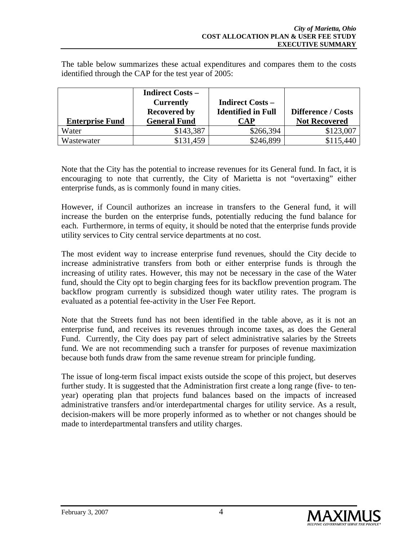The table below summarizes these actual expenditures and compares them to the costs identified through the CAP for the test year of 2005:

|                        | <b>Indirect Costs -</b><br><b>Currently</b><br><b>Recovered by</b> | <b>Indirect Costs -</b><br><b>Identified in Full</b> | <b>Difference / Costs</b> |
|------------------------|--------------------------------------------------------------------|------------------------------------------------------|---------------------------|
| <b>Enterprise Fund</b> | <b>General Fund</b>                                                | CAP                                                  | <b>Not Recovered</b>      |
| Water                  | \$143,387                                                          | \$266,394                                            | \$123,007                 |
| Wastewater             | \$131,459                                                          | \$246,899                                            | \$115,440                 |

Note that the City has the potential to increase revenues for its General fund. In fact, it is encouraging to note that currently, the City of Marietta is not "overtaxing" either enterprise funds, as is commonly found in many cities.

However, if Council authorizes an increase in transfers to the General fund, it will increase the burden on the enterprise funds, potentially reducing the fund balance for each. Furthermore, in terms of equity, it should be noted that the enterprise funds provide utility services to City central service departments at no cost.

The most evident way to increase enterprise fund revenues, should the City decide to increase administrative transfers from both or either enterprise funds is through the increasing of utility rates. However, this may not be necessary in the case of the Water fund, should the City opt to begin charging fees for its backflow prevention program. The backflow program currently is subsidized though water utility rates. The program is evaluated as a potential fee-activity in the User Fee Report.

Note that the Streets fund has not been identified in the table above, as it is not an enterprise fund, and receives its revenues through income taxes, as does the General Fund. Currently, the City does pay part of select administrative salaries by the Streets fund. We are not recommending such a transfer for purposes of revenue maximization because both funds draw from the same revenue stream for principle funding.

The issue of long-term fiscal impact exists outside the scope of this project, but deserves further study. It is suggested that the Administration first create a long range (five- to tenyear) operating plan that projects fund balances based on the impacts of increased administrative transfers and/or interdepartmental charges for utility service. As a result, decision-makers will be more properly informed as to whether or not changes should be made to interdepartmental transfers and utility charges.

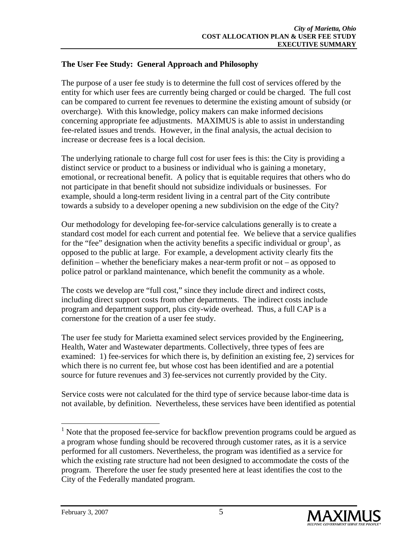## **The User Fee Study: General Approach and Philosophy**

The purpose of a user fee study is to determine the full cost of services offered by the entity for which user fees are currently being charged or could be charged. The full cost can be compared to current fee revenues to determine the existing amount of subsidy (or overcharge). With this knowledge, policy makers can make informed decisions concerning appropriate fee adjustments. MAXIMUS is able to assist in understanding fee-related issues and trends. However, in the final analysis, the actual decision to increase or decrease fees is a local decision.

The underlying rationale to charge full cost for user fees is this: the City is providing a distinct service or product to a business or individual who is gaining a monetary, emotional, or recreational benefit. A policy that is equitable requires that others who do not participate in that benefit should not subsidize individuals or businesses. For example, should a long-term resident living in a central part of the City contribute towards a subsidy to a developer opening a new subdivision on the edge of the City?

Our methodology for developing fee-for-service calculations generally is to create a standard cost model for each current and potential fee. We believe that a service qualifies for the "fee" designation when the activity benefits a specific individual or group<sup>1</sup>, as opposed to the public at large. For example, a development activity clearly fits the definition – whether the beneficiary makes a near-term profit or not – as opposed to police patrol or parkland maintenance, which benefit the community as a whole.

The costs we develop are "full cost," since they include direct and indirect costs, including direct support costs from other departments. The indirect costs include program and department support, plus city-wide overhead. Thus, a full CAP is a cornerstone for the creation of a user fee study.

The user fee study for Marietta examined select services provided by the Engineering, Health, Water and Wastewater departments. Collectively, three types of fees are examined: 1) fee-services for which there is, by definition an existing fee, 2) services for which there is no current fee, but whose cost has been identified and are a potential source for future revenues and 3) fee-services not currently provided by the City.

Service costs were not calculated for the third type of service because labor-time data is not available, by definition. Nevertheless, these services have been identified as potential

 $1$  Note that the proposed fee-service for backflow prevention programs could be argued as a program whose funding should be recovered through customer rates, as it is a service performed for all customers. Nevertheless, the program was identified as a service for which the existing rate structure had not been designed to accommodate the costs of the program. Therefore the user fee study presented here at least identifies the cost to the City of the Federally mandated program.



 $\overline{a}$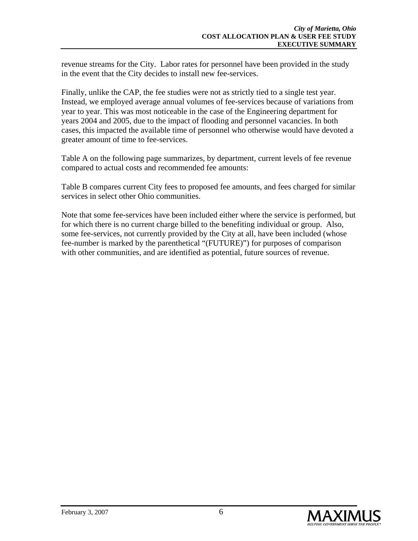revenue streams for the City. Labor rates for personnel have been provided in the study in the event that the City decides to install new fee-services.

Finally, unlike the CAP, the fee studies were not as strictly tied to a single test year. Instead, we employed average annual volumes of fee-services because of variations from year to year. This was most noticeable in the case of the Engineering department for years 2004 and 2005, due to the impact of flooding and personnel vacancies. In both cases, this impacted the available time of personnel who otherwise would have devoted a greater amount of time to fee-services.

Table A on the following page summarizes, by department, current levels of fee revenue compared to actual costs and recommended fee amounts:

Table B compares current City fees to proposed fee amounts, and fees charged for similar services in select other Ohio communities.

Note that some fee-services have been included either where the service is performed, but for which there is no current charge billed to the benefiting individual or group. Also, some fee-services, not currently provided by the City at all, have been included (whose fee-number is marked by the parenthetical "(FUTURE)") for purposes of comparison with other communities, and are identified as potential, future sources of revenue.

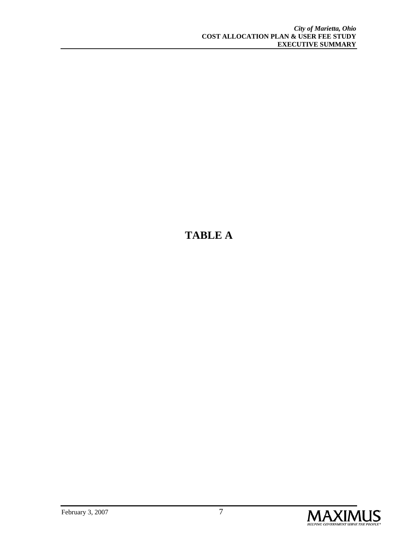## **TABLE A**

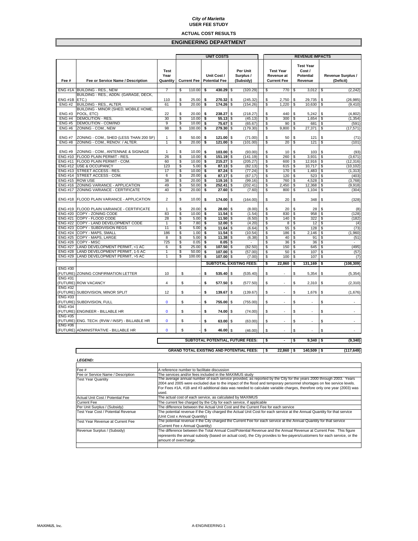#### **ACTUAL COST RESULTS**

#### **ENGINEERING DEPARTMENT**

| <b>Test Year</b><br>Per Unit<br><b>Test Year</b><br>Cost /<br><b>Test</b><br>Year<br>Unit Cost /<br>Surplus /<br>Revenue at<br><b>Potential</b><br>Revenue Surplus /<br><b>Potential Fee</b><br>Fee or Service Name / Description<br>Quantity<br><b>Current Fee</b><br>(Subsidy)<br><b>Current Fee</b><br>Revenue<br>Fee #<br>(Deficit)<br>ENG #1A BUILDING - RES., NEW<br>7<br>S<br>110.00<br>430.29<br>(320.29)<br>(2, 242)<br>\$<br>\$<br>\$<br>770<br>\$<br>3,012<br>\$<br>BUILDING - RES., ADDN. (GARAGE, DECK,<br>ENG #1B ETC.)<br>110<br>S<br>25.00<br>\$<br>270.32<br>\$<br>2,750<br>(245.32)<br>\$<br>\$<br>29,735<br>\$<br>(26, 985)<br>s<br>BUILDING - RES., ALTER.<br>\$<br>\$<br>\$<br>\$<br>\$<br><b>ENG#2</b><br>61<br>20.00<br>174.26<br>(154.26)<br>1,220<br>10.630<br>(9, 410)<br>BUILDING - MINOR (SHED, MOBILE HOME,<br>\$<br>\$<br>POOL, ETC)<br>22<br>20.00<br>\$<br>238.27<br>\$<br>\$<br><b>ENG#3</b><br>(218.27)<br>440<br>5.242<br>\$<br>(4.802)<br><b>DEMOLITION - RES.</b><br>30<br>\$<br>10.00<br><b>ENG#4</b><br>\$<br>55.13<br>\$<br>\$<br>300<br>\$<br>\$<br>(45.13)<br>1.654<br>(1, 354)<br><b>DEMOLITION - COM/IND</b><br>9<br>\$<br>\$<br>75.67<br>\$<br>\$<br>\$<br><b>ENG#5</b><br>10.00<br>90<br>\$<br>681<br>(591)<br>(65.67)<br><b>ENG#6</b><br>ZONING - COM., NEW<br>98<br>\$<br>100.00<br>\$<br>279.30<br>\$<br>\$<br>\$<br>\$<br>(179.30)<br>9,800<br>27,371<br>(17, 571)<br>ZONING - COM., SHED (LESS THAN 200 SF)<br>\$<br>50.00<br>\$<br>121.00<br>\$<br>50<br>\$<br><b>ENG#7</b><br>1<br>\$<br>(71.00)<br>121<br>\$<br>(71)<br>ZONING - COM., RENOV. / ALTER.<br>\$<br><b>ENG#8</b><br>$\mathbf{1}$<br>20.00<br>\$<br>121.00<br>\$<br>(101.00)<br>\$<br>20<br>\$<br>121<br>\$<br>(101)<br>ZONING - COM., ANTENNAE & SIGNAGE<br>\$<br><b>ENG#9</b><br>$\mathbf{1}$<br>10.00<br>103.00 \$<br>\$<br>\$<br>\$<br>(93.00)<br>10<br>\$<br>103<br>(93)<br>ENG #10 FLOOD PLAIN PERMIT - RES.<br>26<br>\$<br>10.00<br>151.19<br>$\overline{\mathcal{S}}$<br>s<br>\$<br>(141.19)<br>\$<br>260<br>\$<br>3,931<br>(3,671)<br>\$<br>\$<br>s<br><b>ENG #11</b><br>FLOOD PLAIN PERMIT - COM.<br>60<br>10.00<br>215.27<br>\$<br>\$<br>600<br>\$<br>(205.27)<br>12,916<br>(12, 316)<br>ENG #12 USE & OCCUPANCY<br>123<br>\$<br>5.00<br>\$<br>87.13<br>\$<br>\$<br>\$<br>10,717<br>\$<br>(82.13)<br>615<br>(10, 102)<br>ENG #13 STREET ACCESS - RES.<br>17<br>\$<br>10.00<br>\$<br>87.24<br>\$<br>(77.24)<br>\$<br>170<br>\$<br>1,483<br>\$<br>(1, 313)<br>ENG #14 STREET ACCESS - COM.<br>\$<br>20.00<br>6<br>\$<br>87.17<br>\$<br>(67.17)<br>\$<br>120<br>\$<br>523<br>\$<br>(403)<br>ENG #15 ROW USE<br>38<br>\$<br>20.00<br>\$<br>\$<br>\$<br>760<br>\$<br>4,528<br>\$<br>119.16<br>(99.16)<br>(3,768)<br>ENG #16 ZONING VARIANCE - APPLICATION<br>49<br>\$<br>50.00<br>\$<br>252.41<br>\$<br>(202.41)<br>\$<br>2,450<br>\$<br>12,368<br>\$<br>(9,918)<br>\$<br>\$<br>\$<br>\$<br>\$<br>ENG #17 ZONING VARIANCE - CERTIFICATE<br>40<br>20.00<br>\$<br>800<br>27.60<br>(7.60)<br>1,104<br>(304)<br>2<br>\$<br>\$<br>\$<br>(328)<br>ENG #18 FLOOD PLAIN VARIANCE - APPLICATION<br>10.00<br>\$<br>174.00<br>\$<br>(164.00)<br>20<br>348<br>\$<br>\$<br>20.00<br>\$<br>28.00<br>\$<br>\$<br>20<br>\$<br>28<br>\$<br>ENG #19 FLOOD PLAIN VARIANCE - CERTIFICATE<br>1<br>(8.00)<br>(8)<br><b>ENG #20</b><br>COPY - ZONING CODE<br>83<br>\$<br>10.00<br>\$<br>11.54<br>\$<br>(1.54)<br>\$<br>830<br>\$<br>958<br>\$<br>(128)<br>COPY - FLOOD CODE<br>28<br>\$<br>5.00<br><b>ENG #21</b><br>\$<br>11.50<br>\$<br>(6.50)<br>\$<br>140<br>\$<br>322<br>\$<br>(182)<br>\$<br>\$<br>\$<br><b>ENG #22</b><br>COPY - LAND DEVELOPMENT CODE<br>7.80<br>\$<br>12.00<br>(4.20)<br>\$<br>8<br>\$<br>12<br>1<br>(4)<br>11<br>\$<br>ENG #23 COPY - SUBDIVISION REGS<br>5.00<br>\$<br>\$<br>11.64<br>\$<br>(6.64)<br>\$<br>55<br>\$<br>128<br>(73)<br>186<br>\$<br>\$<br>\$<br>\$<br>ENG #24 COPY - MAPS, SMALL<br>1.00<br>\$<br>11.54<br>\$<br>(1,960)<br>(10.54)<br>186<br>2,146<br>\$<br>ENG #25 COPY - MAPS, LARGE<br>8<br>5.00<br>\$<br>\$<br>11.38<br>\$<br>(6.38)<br>\$<br>40<br>\$<br>91<br>(51)<br>725<br><b>ENG #26</b><br>COPY - MISC<br>\$<br>\$<br>0.05<br>\$<br>\$<br>36<br>\$<br>36<br>\$<br>0.05<br>٠<br>\$<br>\$<br>107.50<br>\$<br>\$<br>\$<br>645<br>\$<br>(495)<br><b>ENG #27</b><br>LAND DEVELOPMENT PERMIT, <1 AC<br>6<br>25.00<br>(82.50)<br>150<br><b>ENG #28</b><br>LAND DEVELOPMENT PERMIT, 1-5 AC<br>1<br>\$<br>50.00<br>\$<br>107.00<br>\$<br>(57.00)<br>\$<br>50<br>\$<br>107<br>\$<br>(57)<br><b>ENG #29</b><br>LAND DEVELOPMENT PERMIT, >5 AC<br>1<br>\$<br>100.00<br>\$<br>107.00<br>\$<br>(7.00)<br>\$<br>100<br>\$<br>107<br>\$<br>(7)<br><b>SUBTOTAL EXISTING FEES:</b><br>22,860<br>\$<br>\$<br>131,169<br>\$<br>(108, 309)<br><b>ENG #30</b><br>\$<br>535.40<br>\$<br>(FUTURE) ZONING CONFIRMATION LETTER<br>10<br>\$<br>\$<br>(535.40)<br>\$<br>5,354<br>\$<br>(5, 354)<br><b>ENG #31</b><br>4<br>\$<br>\$<br>\$<br>\$<br>(FUTURE) ROW VACANCY<br>577.50<br>\$<br>2,310<br>\$<br>(2, 310)<br>(577.50)<br>÷.<br><b>ENG #32</b><br>(FUTURE) SUBDIVISION, MINOR SPLIT<br>12<br>\$<br>\$<br>139.67<br>\$<br>(139.67)<br>\$<br>\$<br>1,676<br>\$<br>(1,676)<br><b>ENG #33</b><br>(FUTURE) SUBDIVISION, FULL<br>$\mathbf{0}$<br>\$<br>\$<br>\$<br>755.00<br>\$<br>(755.00)<br>\$<br>\$<br>÷.<br><b>ENG #34</b><br>\$<br>(FUTURE) ENGINEER - BILLABLE HR<br>0<br>\$<br>\$<br>74.00<br>\$<br>(74.00)<br>\$<br>\$<br>ä,<br>×,<br><b>ENG #35</b><br>(FUTURE) ENG. TECH. (RVW / INSP) - BILLABLE HR<br>\$<br>\$<br>63.00 \$<br>\$<br>\$<br>(63.00)<br>\$<br>0<br>$\sim$<br>$\sim$<br>٠<br><b>ENG #36</b><br>\$<br>\$<br>(FUTURE) ADMINISTRATIVE - BILLABLE HR<br>0<br>46.00<br>\$<br>(46.00)<br>\$<br>\$<br>\$<br>SUBTOTAL POTENTIAL, FUTURE FEES:<br>$9,340$ \$<br>(9, 340)<br>\$<br>\$<br>$\blacksquare$ |  |  |  |  | <b>UNIT COSTS</b> |  |  |  | <b>REVENUE IMPACTS</b> |  |  |  |  |  |  |  |
|---------------------------------------------------------------------------------------------------------------------------------------------------------------------------------------------------------------------------------------------------------------------------------------------------------------------------------------------------------------------------------------------------------------------------------------------------------------------------------------------------------------------------------------------------------------------------------------------------------------------------------------------------------------------------------------------------------------------------------------------------------------------------------------------------------------------------------------------------------------------------------------------------------------------------------------------------------------------------------------------------------------------------------------------------------------------------------------------------------------------------------------------------------------------------------------------------------------------------------------------------------------------------------------------------------------------------------------------------------------------------------------------------------------------------------------------------------------------------------------------------------------------------------------------------------------------------------------------------------------------------------------------------------------------------------------------------------------------------------------------------------------------------------------------------------------------------------------------------------------------------------------------------------------------------------------------------------------------------------------------------------------------------------------------------------------------------------------------------------------------------------------------------------------------------------------------------------------------------------------------------------------------------------------------------------------------------------------------------------------------------------------------------------------------------------------------------------------------------------------------------------------------------------------------------------------------------------------------------------------------------------------------------------------------------------------------------------------------------------------------------------------------------------------------------------------------------------------------------------------------------------------------------------------------------------------------------------------------------------------------------------------------------------------------------------------------------------------------------------------------------------------------------------------------------------------------------------------------------------------------------------------------------------------------------------------------------------------------------------------------------------------------------------------------------------------------------------------------------------------------------------------------------------------------------------------------------------------------------------------------------------------------------------------------------------------------------------------------------------------------------------------------------------------------------------------------------------------------------------------------------------------------------------------------------------------------------------------------------------------------------------------------------------------------------------------------------------------------------------------------------------------------------------------------------------------------------------------------------------------------------------------------------------------------------------------------------------------------------------------------------------------------------------------------------------------------------------------------------------------------------------------------------------------------------------------------------------------------------------------------------------------------------------------------------------------------------------------------------------------------------------------------------------------------------------------------------------------------------------------------------------------------------------------------------------------------------------------------------------------------------------------------------------------------------------------------------------------------------------------------------------------------------------------------------------------------------------------------------------------------------------------------------------------------------------------------------------------------------------------------------------------------------------------------------------------------------------------------------------------------------------------------------------------------------------------------------------------------------------------------------------------------------------------------------------------------------------------------------------------------------------------------------------------------------------------------------------------------------|--|--|--|--|-------------------|--|--|--|------------------------|--|--|--|--|--|--|--|
|                                                                                                                                                                                                                                                                                                                                                                                                                                                                                                                                                                                                                                                                                                                                                                                                                                                                                                                                                                                                                                                                                                                                                                                                                                                                                                                                                                                                                                                                                                                                                                                                                                                                                                                                                                                                                                                                                                                                                                                                                                                                                                                                                                                                                                                                                                                                                                                                                                                                                                                                                                                                                                                                                                                                                                                                                                                                                                                                                                                                                                                                                                                                                                                                                                                                                                                                                                                                                                                                                                                                                                                                                                                                                                                                                                                                                                                                                                                                                                                                                                                                                                                                                                                                                                                                                                                                                                                                                                                                                                                                                                                                                                                                                                                                                                                                                                                                                                                                                                                                                                                                                                                                                                                                                                                                                                                                                                                                                                                                                                                                                                                                                                                                                                                                                                                                                                                   |  |  |  |  |                   |  |  |  |                        |  |  |  |  |  |  |  |
|                                                                                                                                                                                                                                                                                                                                                                                                                                                                                                                                                                                                                                                                                                                                                                                                                                                                                                                                                                                                                                                                                                                                                                                                                                                                                                                                                                                                                                                                                                                                                                                                                                                                                                                                                                                                                                                                                                                                                                                                                                                                                                                                                                                                                                                                                                                                                                                                                                                                                                                                                                                                                                                                                                                                                                                                                                                                                                                                                                                                                                                                                                                                                                                                                                                                                                                                                                                                                                                                                                                                                                                                                                                                                                                                                                                                                                                                                                                                                                                                                                                                                                                                                                                                                                                                                                                                                                                                                                                                                                                                                                                                                                                                                                                                                                                                                                                                                                                                                                                                                                                                                                                                                                                                                                                                                                                                                                                                                                                                                                                                                                                                                                                                                                                                                                                                                                                   |  |  |  |  |                   |  |  |  |                        |  |  |  |  |  |  |  |
|                                                                                                                                                                                                                                                                                                                                                                                                                                                                                                                                                                                                                                                                                                                                                                                                                                                                                                                                                                                                                                                                                                                                                                                                                                                                                                                                                                                                                                                                                                                                                                                                                                                                                                                                                                                                                                                                                                                                                                                                                                                                                                                                                                                                                                                                                                                                                                                                                                                                                                                                                                                                                                                                                                                                                                                                                                                                                                                                                                                                                                                                                                                                                                                                                                                                                                                                                                                                                                                                                                                                                                                                                                                                                                                                                                                                                                                                                                                                                                                                                                                                                                                                                                                                                                                                                                                                                                                                                                                                                                                                                                                                                                                                                                                                                                                                                                                                                                                                                                                                                                                                                                                                                                                                                                                                                                                                                                                                                                                                                                                                                                                                                                                                                                                                                                                                                                                   |  |  |  |  |                   |  |  |  |                        |  |  |  |  |  |  |  |
|                                                                                                                                                                                                                                                                                                                                                                                                                                                                                                                                                                                                                                                                                                                                                                                                                                                                                                                                                                                                                                                                                                                                                                                                                                                                                                                                                                                                                                                                                                                                                                                                                                                                                                                                                                                                                                                                                                                                                                                                                                                                                                                                                                                                                                                                                                                                                                                                                                                                                                                                                                                                                                                                                                                                                                                                                                                                                                                                                                                                                                                                                                                                                                                                                                                                                                                                                                                                                                                                                                                                                                                                                                                                                                                                                                                                                                                                                                                                                                                                                                                                                                                                                                                                                                                                                                                                                                                                                                                                                                                                                                                                                                                                                                                                                                                                                                                                                                                                                                                                                                                                                                                                                                                                                                                                                                                                                                                                                                                                                                                                                                                                                                                                                                                                                                                                                                                   |  |  |  |  |                   |  |  |  |                        |  |  |  |  |  |  |  |
|                                                                                                                                                                                                                                                                                                                                                                                                                                                                                                                                                                                                                                                                                                                                                                                                                                                                                                                                                                                                                                                                                                                                                                                                                                                                                                                                                                                                                                                                                                                                                                                                                                                                                                                                                                                                                                                                                                                                                                                                                                                                                                                                                                                                                                                                                                                                                                                                                                                                                                                                                                                                                                                                                                                                                                                                                                                                                                                                                                                                                                                                                                                                                                                                                                                                                                                                                                                                                                                                                                                                                                                                                                                                                                                                                                                                                                                                                                                                                                                                                                                                                                                                                                                                                                                                                                                                                                                                                                                                                                                                                                                                                                                                                                                                                                                                                                                                                                                                                                                                                                                                                                                                                                                                                                                                                                                                                                                                                                                                                                                                                                                                                                                                                                                                                                                                                                                   |  |  |  |  |                   |  |  |  |                        |  |  |  |  |  |  |  |
|                                                                                                                                                                                                                                                                                                                                                                                                                                                                                                                                                                                                                                                                                                                                                                                                                                                                                                                                                                                                                                                                                                                                                                                                                                                                                                                                                                                                                                                                                                                                                                                                                                                                                                                                                                                                                                                                                                                                                                                                                                                                                                                                                                                                                                                                                                                                                                                                                                                                                                                                                                                                                                                                                                                                                                                                                                                                                                                                                                                                                                                                                                                                                                                                                                                                                                                                                                                                                                                                                                                                                                                                                                                                                                                                                                                                                                                                                                                                                                                                                                                                                                                                                                                                                                                                                                                                                                                                                                                                                                                                                                                                                                                                                                                                                                                                                                                                                                                                                                                                                                                                                                                                                                                                                                                                                                                                                                                                                                                                                                                                                                                                                                                                                                                                                                                                                                                   |  |  |  |  |                   |  |  |  |                        |  |  |  |  |  |  |  |
|                                                                                                                                                                                                                                                                                                                                                                                                                                                                                                                                                                                                                                                                                                                                                                                                                                                                                                                                                                                                                                                                                                                                                                                                                                                                                                                                                                                                                                                                                                                                                                                                                                                                                                                                                                                                                                                                                                                                                                                                                                                                                                                                                                                                                                                                                                                                                                                                                                                                                                                                                                                                                                                                                                                                                                                                                                                                                                                                                                                                                                                                                                                                                                                                                                                                                                                                                                                                                                                                                                                                                                                                                                                                                                                                                                                                                                                                                                                                                                                                                                                                                                                                                                                                                                                                                                                                                                                                                                                                                                                                                                                                                                                                                                                                                                                                                                                                                                                                                                                                                                                                                                                                                                                                                                                                                                                                                                                                                                                                                                                                                                                                                                                                                                                                                                                                                                                   |  |  |  |  |                   |  |  |  |                        |  |  |  |  |  |  |  |
|                                                                                                                                                                                                                                                                                                                                                                                                                                                                                                                                                                                                                                                                                                                                                                                                                                                                                                                                                                                                                                                                                                                                                                                                                                                                                                                                                                                                                                                                                                                                                                                                                                                                                                                                                                                                                                                                                                                                                                                                                                                                                                                                                                                                                                                                                                                                                                                                                                                                                                                                                                                                                                                                                                                                                                                                                                                                                                                                                                                                                                                                                                                                                                                                                                                                                                                                                                                                                                                                                                                                                                                                                                                                                                                                                                                                                                                                                                                                                                                                                                                                                                                                                                                                                                                                                                                                                                                                                                                                                                                                                                                                                                                                                                                                                                                                                                                                                                                                                                                                                                                                                                                                                                                                                                                                                                                                                                                                                                                                                                                                                                                                                                                                                                                                                                                                                                                   |  |  |  |  |                   |  |  |  |                        |  |  |  |  |  |  |  |
|                                                                                                                                                                                                                                                                                                                                                                                                                                                                                                                                                                                                                                                                                                                                                                                                                                                                                                                                                                                                                                                                                                                                                                                                                                                                                                                                                                                                                                                                                                                                                                                                                                                                                                                                                                                                                                                                                                                                                                                                                                                                                                                                                                                                                                                                                                                                                                                                                                                                                                                                                                                                                                                                                                                                                                                                                                                                                                                                                                                                                                                                                                                                                                                                                                                                                                                                                                                                                                                                                                                                                                                                                                                                                                                                                                                                                                                                                                                                                                                                                                                                                                                                                                                                                                                                                                                                                                                                                                                                                                                                                                                                                                                                                                                                                                                                                                                                                                                                                                                                                                                                                                                                                                                                                                                                                                                                                                                                                                                                                                                                                                                                                                                                                                                                                                                                                                                   |  |  |  |  |                   |  |  |  |                        |  |  |  |  |  |  |  |
|                                                                                                                                                                                                                                                                                                                                                                                                                                                                                                                                                                                                                                                                                                                                                                                                                                                                                                                                                                                                                                                                                                                                                                                                                                                                                                                                                                                                                                                                                                                                                                                                                                                                                                                                                                                                                                                                                                                                                                                                                                                                                                                                                                                                                                                                                                                                                                                                                                                                                                                                                                                                                                                                                                                                                                                                                                                                                                                                                                                                                                                                                                                                                                                                                                                                                                                                                                                                                                                                                                                                                                                                                                                                                                                                                                                                                                                                                                                                                                                                                                                                                                                                                                                                                                                                                                                                                                                                                                                                                                                                                                                                                                                                                                                                                                                                                                                                                                                                                                                                                                                                                                                                                                                                                                                                                                                                                                                                                                                                                                                                                                                                                                                                                                                                                                                                                                                   |  |  |  |  |                   |  |  |  |                        |  |  |  |  |  |  |  |
|                                                                                                                                                                                                                                                                                                                                                                                                                                                                                                                                                                                                                                                                                                                                                                                                                                                                                                                                                                                                                                                                                                                                                                                                                                                                                                                                                                                                                                                                                                                                                                                                                                                                                                                                                                                                                                                                                                                                                                                                                                                                                                                                                                                                                                                                                                                                                                                                                                                                                                                                                                                                                                                                                                                                                                                                                                                                                                                                                                                                                                                                                                                                                                                                                                                                                                                                                                                                                                                                                                                                                                                                                                                                                                                                                                                                                                                                                                                                                                                                                                                                                                                                                                                                                                                                                                                                                                                                                                                                                                                                                                                                                                                                                                                                                                                                                                                                                                                                                                                                                                                                                                                                                                                                                                                                                                                                                                                                                                                                                                                                                                                                                                                                                                                                                                                                                                                   |  |  |  |  |                   |  |  |  |                        |  |  |  |  |  |  |  |
|                                                                                                                                                                                                                                                                                                                                                                                                                                                                                                                                                                                                                                                                                                                                                                                                                                                                                                                                                                                                                                                                                                                                                                                                                                                                                                                                                                                                                                                                                                                                                                                                                                                                                                                                                                                                                                                                                                                                                                                                                                                                                                                                                                                                                                                                                                                                                                                                                                                                                                                                                                                                                                                                                                                                                                                                                                                                                                                                                                                                                                                                                                                                                                                                                                                                                                                                                                                                                                                                                                                                                                                                                                                                                                                                                                                                                                                                                                                                                                                                                                                                                                                                                                                                                                                                                                                                                                                                                                                                                                                                                                                                                                                                                                                                                                                                                                                                                                                                                                                                                                                                                                                                                                                                                                                                                                                                                                                                                                                                                                                                                                                                                                                                                                                                                                                                                                                   |  |  |  |  |                   |  |  |  |                        |  |  |  |  |  |  |  |
|                                                                                                                                                                                                                                                                                                                                                                                                                                                                                                                                                                                                                                                                                                                                                                                                                                                                                                                                                                                                                                                                                                                                                                                                                                                                                                                                                                                                                                                                                                                                                                                                                                                                                                                                                                                                                                                                                                                                                                                                                                                                                                                                                                                                                                                                                                                                                                                                                                                                                                                                                                                                                                                                                                                                                                                                                                                                                                                                                                                                                                                                                                                                                                                                                                                                                                                                                                                                                                                                                                                                                                                                                                                                                                                                                                                                                                                                                                                                                                                                                                                                                                                                                                                                                                                                                                                                                                                                                                                                                                                                                                                                                                                                                                                                                                                                                                                                                                                                                                                                                                                                                                                                                                                                                                                                                                                                                                                                                                                                                                                                                                                                                                                                                                                                                                                                                                                   |  |  |  |  |                   |  |  |  |                        |  |  |  |  |  |  |  |
|                                                                                                                                                                                                                                                                                                                                                                                                                                                                                                                                                                                                                                                                                                                                                                                                                                                                                                                                                                                                                                                                                                                                                                                                                                                                                                                                                                                                                                                                                                                                                                                                                                                                                                                                                                                                                                                                                                                                                                                                                                                                                                                                                                                                                                                                                                                                                                                                                                                                                                                                                                                                                                                                                                                                                                                                                                                                                                                                                                                                                                                                                                                                                                                                                                                                                                                                                                                                                                                                                                                                                                                                                                                                                                                                                                                                                                                                                                                                                                                                                                                                                                                                                                                                                                                                                                                                                                                                                                                                                                                                                                                                                                                                                                                                                                                                                                                                                                                                                                                                                                                                                                                                                                                                                                                                                                                                                                                                                                                                                                                                                                                                                                                                                                                                                                                                                                                   |  |  |  |  |                   |  |  |  |                        |  |  |  |  |  |  |  |
|                                                                                                                                                                                                                                                                                                                                                                                                                                                                                                                                                                                                                                                                                                                                                                                                                                                                                                                                                                                                                                                                                                                                                                                                                                                                                                                                                                                                                                                                                                                                                                                                                                                                                                                                                                                                                                                                                                                                                                                                                                                                                                                                                                                                                                                                                                                                                                                                                                                                                                                                                                                                                                                                                                                                                                                                                                                                                                                                                                                                                                                                                                                                                                                                                                                                                                                                                                                                                                                                                                                                                                                                                                                                                                                                                                                                                                                                                                                                                                                                                                                                                                                                                                                                                                                                                                                                                                                                                                                                                                                                                                                                                                                                                                                                                                                                                                                                                                                                                                                                                                                                                                                                                                                                                                                                                                                                                                                                                                                                                                                                                                                                                                                                                                                                                                                                                                                   |  |  |  |  |                   |  |  |  |                        |  |  |  |  |  |  |  |
|                                                                                                                                                                                                                                                                                                                                                                                                                                                                                                                                                                                                                                                                                                                                                                                                                                                                                                                                                                                                                                                                                                                                                                                                                                                                                                                                                                                                                                                                                                                                                                                                                                                                                                                                                                                                                                                                                                                                                                                                                                                                                                                                                                                                                                                                                                                                                                                                                                                                                                                                                                                                                                                                                                                                                                                                                                                                                                                                                                                                                                                                                                                                                                                                                                                                                                                                                                                                                                                                                                                                                                                                                                                                                                                                                                                                                                                                                                                                                                                                                                                                                                                                                                                                                                                                                                                                                                                                                                                                                                                                                                                                                                                                                                                                                                                                                                                                                                                                                                                                                                                                                                                                                                                                                                                                                                                                                                                                                                                                                                                                                                                                                                                                                                                                                                                                                                                   |  |  |  |  |                   |  |  |  |                        |  |  |  |  |  |  |  |
|                                                                                                                                                                                                                                                                                                                                                                                                                                                                                                                                                                                                                                                                                                                                                                                                                                                                                                                                                                                                                                                                                                                                                                                                                                                                                                                                                                                                                                                                                                                                                                                                                                                                                                                                                                                                                                                                                                                                                                                                                                                                                                                                                                                                                                                                                                                                                                                                                                                                                                                                                                                                                                                                                                                                                                                                                                                                                                                                                                                                                                                                                                                                                                                                                                                                                                                                                                                                                                                                                                                                                                                                                                                                                                                                                                                                                                                                                                                                                                                                                                                                                                                                                                                                                                                                                                                                                                                                                                                                                                                                                                                                                                                                                                                                                                                                                                                                                                                                                                                                                                                                                                                                                                                                                                                                                                                                                                                                                                                                                                                                                                                                                                                                                                                                                                                                                                                   |  |  |  |  |                   |  |  |  |                        |  |  |  |  |  |  |  |
|                                                                                                                                                                                                                                                                                                                                                                                                                                                                                                                                                                                                                                                                                                                                                                                                                                                                                                                                                                                                                                                                                                                                                                                                                                                                                                                                                                                                                                                                                                                                                                                                                                                                                                                                                                                                                                                                                                                                                                                                                                                                                                                                                                                                                                                                                                                                                                                                                                                                                                                                                                                                                                                                                                                                                                                                                                                                                                                                                                                                                                                                                                                                                                                                                                                                                                                                                                                                                                                                                                                                                                                                                                                                                                                                                                                                                                                                                                                                                                                                                                                                                                                                                                                                                                                                                                                                                                                                                                                                                                                                                                                                                                                                                                                                                                                                                                                                                                                                                                                                                                                                                                                                                                                                                                                                                                                                                                                                                                                                                                                                                                                                                                                                                                                                                                                                                                                   |  |  |  |  |                   |  |  |  |                        |  |  |  |  |  |  |  |
|                                                                                                                                                                                                                                                                                                                                                                                                                                                                                                                                                                                                                                                                                                                                                                                                                                                                                                                                                                                                                                                                                                                                                                                                                                                                                                                                                                                                                                                                                                                                                                                                                                                                                                                                                                                                                                                                                                                                                                                                                                                                                                                                                                                                                                                                                                                                                                                                                                                                                                                                                                                                                                                                                                                                                                                                                                                                                                                                                                                                                                                                                                                                                                                                                                                                                                                                                                                                                                                                                                                                                                                                                                                                                                                                                                                                                                                                                                                                                                                                                                                                                                                                                                                                                                                                                                                                                                                                                                                                                                                                                                                                                                                                                                                                                                                                                                                                                                                                                                                                                                                                                                                                                                                                                                                                                                                                                                                                                                                                                                                                                                                                                                                                                                                                                                                                                                                   |  |  |  |  |                   |  |  |  |                        |  |  |  |  |  |  |  |
|                                                                                                                                                                                                                                                                                                                                                                                                                                                                                                                                                                                                                                                                                                                                                                                                                                                                                                                                                                                                                                                                                                                                                                                                                                                                                                                                                                                                                                                                                                                                                                                                                                                                                                                                                                                                                                                                                                                                                                                                                                                                                                                                                                                                                                                                                                                                                                                                                                                                                                                                                                                                                                                                                                                                                                                                                                                                                                                                                                                                                                                                                                                                                                                                                                                                                                                                                                                                                                                                                                                                                                                                                                                                                                                                                                                                                                                                                                                                                                                                                                                                                                                                                                                                                                                                                                                                                                                                                                                                                                                                                                                                                                                                                                                                                                                                                                                                                                                                                                                                                                                                                                                                                                                                                                                                                                                                                                                                                                                                                                                                                                                                                                                                                                                                                                                                                                                   |  |  |  |  |                   |  |  |  |                        |  |  |  |  |  |  |  |
|                                                                                                                                                                                                                                                                                                                                                                                                                                                                                                                                                                                                                                                                                                                                                                                                                                                                                                                                                                                                                                                                                                                                                                                                                                                                                                                                                                                                                                                                                                                                                                                                                                                                                                                                                                                                                                                                                                                                                                                                                                                                                                                                                                                                                                                                                                                                                                                                                                                                                                                                                                                                                                                                                                                                                                                                                                                                                                                                                                                                                                                                                                                                                                                                                                                                                                                                                                                                                                                                                                                                                                                                                                                                                                                                                                                                                                                                                                                                                                                                                                                                                                                                                                                                                                                                                                                                                                                                                                                                                                                                                                                                                                                                                                                                                                                                                                                                                                                                                                                                                                                                                                                                                                                                                                                                                                                                                                                                                                                                                                                                                                                                                                                                                                                                                                                                                                                   |  |  |  |  |                   |  |  |  |                        |  |  |  |  |  |  |  |
|                                                                                                                                                                                                                                                                                                                                                                                                                                                                                                                                                                                                                                                                                                                                                                                                                                                                                                                                                                                                                                                                                                                                                                                                                                                                                                                                                                                                                                                                                                                                                                                                                                                                                                                                                                                                                                                                                                                                                                                                                                                                                                                                                                                                                                                                                                                                                                                                                                                                                                                                                                                                                                                                                                                                                                                                                                                                                                                                                                                                                                                                                                                                                                                                                                                                                                                                                                                                                                                                                                                                                                                                                                                                                                                                                                                                                                                                                                                                                                                                                                                                                                                                                                                                                                                                                                                                                                                                                                                                                                                                                                                                                                                                                                                                                                                                                                                                                                                                                                                                                                                                                                                                                                                                                                                                                                                                                                                                                                                                                                                                                                                                                                                                                                                                                                                                                                                   |  |  |  |  |                   |  |  |  |                        |  |  |  |  |  |  |  |
|                                                                                                                                                                                                                                                                                                                                                                                                                                                                                                                                                                                                                                                                                                                                                                                                                                                                                                                                                                                                                                                                                                                                                                                                                                                                                                                                                                                                                                                                                                                                                                                                                                                                                                                                                                                                                                                                                                                                                                                                                                                                                                                                                                                                                                                                                                                                                                                                                                                                                                                                                                                                                                                                                                                                                                                                                                                                                                                                                                                                                                                                                                                                                                                                                                                                                                                                                                                                                                                                                                                                                                                                                                                                                                                                                                                                                                                                                                                                                                                                                                                                                                                                                                                                                                                                                                                                                                                                                                                                                                                                                                                                                                                                                                                                                                                                                                                                                                                                                                                                                                                                                                                                                                                                                                                                                                                                                                                                                                                                                                                                                                                                                                                                                                                                                                                                                                                   |  |  |  |  |                   |  |  |  |                        |  |  |  |  |  |  |  |
|                                                                                                                                                                                                                                                                                                                                                                                                                                                                                                                                                                                                                                                                                                                                                                                                                                                                                                                                                                                                                                                                                                                                                                                                                                                                                                                                                                                                                                                                                                                                                                                                                                                                                                                                                                                                                                                                                                                                                                                                                                                                                                                                                                                                                                                                                                                                                                                                                                                                                                                                                                                                                                                                                                                                                                                                                                                                                                                                                                                                                                                                                                                                                                                                                                                                                                                                                                                                                                                                                                                                                                                                                                                                                                                                                                                                                                                                                                                                                                                                                                                                                                                                                                                                                                                                                                                                                                                                                                                                                                                                                                                                                                                                                                                                                                                                                                                                                                                                                                                                                                                                                                                                                                                                                                                                                                                                                                                                                                                                                                                                                                                                                                                                                                                                                                                                                                                   |  |  |  |  |                   |  |  |  |                        |  |  |  |  |  |  |  |
|                                                                                                                                                                                                                                                                                                                                                                                                                                                                                                                                                                                                                                                                                                                                                                                                                                                                                                                                                                                                                                                                                                                                                                                                                                                                                                                                                                                                                                                                                                                                                                                                                                                                                                                                                                                                                                                                                                                                                                                                                                                                                                                                                                                                                                                                                                                                                                                                                                                                                                                                                                                                                                                                                                                                                                                                                                                                                                                                                                                                                                                                                                                                                                                                                                                                                                                                                                                                                                                                                                                                                                                                                                                                                                                                                                                                                                                                                                                                                                                                                                                                                                                                                                                                                                                                                                                                                                                                                                                                                                                                                                                                                                                                                                                                                                                                                                                                                                                                                                                                                                                                                                                                                                                                                                                                                                                                                                                                                                                                                                                                                                                                                                                                                                                                                                                                                                                   |  |  |  |  |                   |  |  |  |                        |  |  |  |  |  |  |  |
|                                                                                                                                                                                                                                                                                                                                                                                                                                                                                                                                                                                                                                                                                                                                                                                                                                                                                                                                                                                                                                                                                                                                                                                                                                                                                                                                                                                                                                                                                                                                                                                                                                                                                                                                                                                                                                                                                                                                                                                                                                                                                                                                                                                                                                                                                                                                                                                                                                                                                                                                                                                                                                                                                                                                                                                                                                                                                                                                                                                                                                                                                                                                                                                                                                                                                                                                                                                                                                                                                                                                                                                                                                                                                                                                                                                                                                                                                                                                                                                                                                                                                                                                                                                                                                                                                                                                                                                                                                                                                                                                                                                                                                                                                                                                                                                                                                                                                                                                                                                                                                                                                                                                                                                                                                                                                                                                                                                                                                                                                                                                                                                                                                                                                                                                                                                                                                                   |  |  |  |  |                   |  |  |  |                        |  |  |  |  |  |  |  |
|                                                                                                                                                                                                                                                                                                                                                                                                                                                                                                                                                                                                                                                                                                                                                                                                                                                                                                                                                                                                                                                                                                                                                                                                                                                                                                                                                                                                                                                                                                                                                                                                                                                                                                                                                                                                                                                                                                                                                                                                                                                                                                                                                                                                                                                                                                                                                                                                                                                                                                                                                                                                                                                                                                                                                                                                                                                                                                                                                                                                                                                                                                                                                                                                                                                                                                                                                                                                                                                                                                                                                                                                                                                                                                                                                                                                                                                                                                                                                                                                                                                                                                                                                                                                                                                                                                                                                                                                                                                                                                                                                                                                                                                                                                                                                                                                                                                                                                                                                                                                                                                                                                                                                                                                                                                                                                                                                                                                                                                                                                                                                                                                                                                                                                                                                                                                                                                   |  |  |  |  |                   |  |  |  |                        |  |  |  |  |  |  |  |
|                                                                                                                                                                                                                                                                                                                                                                                                                                                                                                                                                                                                                                                                                                                                                                                                                                                                                                                                                                                                                                                                                                                                                                                                                                                                                                                                                                                                                                                                                                                                                                                                                                                                                                                                                                                                                                                                                                                                                                                                                                                                                                                                                                                                                                                                                                                                                                                                                                                                                                                                                                                                                                                                                                                                                                                                                                                                                                                                                                                                                                                                                                                                                                                                                                                                                                                                                                                                                                                                                                                                                                                                                                                                                                                                                                                                                                                                                                                                                                                                                                                                                                                                                                                                                                                                                                                                                                                                                                                                                                                                                                                                                                                                                                                                                                                                                                                                                                                                                                                                                                                                                                                                                                                                                                                                                                                                                                                                                                                                                                                                                                                                                                                                                                                                                                                                                                                   |  |  |  |  |                   |  |  |  |                        |  |  |  |  |  |  |  |
|                                                                                                                                                                                                                                                                                                                                                                                                                                                                                                                                                                                                                                                                                                                                                                                                                                                                                                                                                                                                                                                                                                                                                                                                                                                                                                                                                                                                                                                                                                                                                                                                                                                                                                                                                                                                                                                                                                                                                                                                                                                                                                                                                                                                                                                                                                                                                                                                                                                                                                                                                                                                                                                                                                                                                                                                                                                                                                                                                                                                                                                                                                                                                                                                                                                                                                                                                                                                                                                                                                                                                                                                                                                                                                                                                                                                                                                                                                                                                                                                                                                                                                                                                                                                                                                                                                                                                                                                                                                                                                                                                                                                                                                                                                                                                                                                                                                                                                                                                                                                                                                                                                                                                                                                                                                                                                                                                                                                                                                                                                                                                                                                                                                                                                                                                                                                                                                   |  |  |  |  |                   |  |  |  |                        |  |  |  |  |  |  |  |
|                                                                                                                                                                                                                                                                                                                                                                                                                                                                                                                                                                                                                                                                                                                                                                                                                                                                                                                                                                                                                                                                                                                                                                                                                                                                                                                                                                                                                                                                                                                                                                                                                                                                                                                                                                                                                                                                                                                                                                                                                                                                                                                                                                                                                                                                                                                                                                                                                                                                                                                                                                                                                                                                                                                                                                                                                                                                                                                                                                                                                                                                                                                                                                                                                                                                                                                                                                                                                                                                                                                                                                                                                                                                                                                                                                                                                                                                                                                                                                                                                                                                                                                                                                                                                                                                                                                                                                                                                                                                                                                                                                                                                                                                                                                                                                                                                                                                                                                                                                                                                                                                                                                                                                                                                                                                                                                                                                                                                                                                                                                                                                                                                                                                                                                                                                                                                                                   |  |  |  |  |                   |  |  |  |                        |  |  |  |  |  |  |  |
|                                                                                                                                                                                                                                                                                                                                                                                                                                                                                                                                                                                                                                                                                                                                                                                                                                                                                                                                                                                                                                                                                                                                                                                                                                                                                                                                                                                                                                                                                                                                                                                                                                                                                                                                                                                                                                                                                                                                                                                                                                                                                                                                                                                                                                                                                                                                                                                                                                                                                                                                                                                                                                                                                                                                                                                                                                                                                                                                                                                                                                                                                                                                                                                                                                                                                                                                                                                                                                                                                                                                                                                                                                                                                                                                                                                                                                                                                                                                                                                                                                                                                                                                                                                                                                                                                                                                                                                                                                                                                                                                                                                                                                                                                                                                                                                                                                                                                                                                                                                                                                                                                                                                                                                                                                                                                                                                                                                                                                                                                                                                                                                                                                                                                                                                                                                                                                                   |  |  |  |  |                   |  |  |  |                        |  |  |  |  |  |  |  |
|                                                                                                                                                                                                                                                                                                                                                                                                                                                                                                                                                                                                                                                                                                                                                                                                                                                                                                                                                                                                                                                                                                                                                                                                                                                                                                                                                                                                                                                                                                                                                                                                                                                                                                                                                                                                                                                                                                                                                                                                                                                                                                                                                                                                                                                                                                                                                                                                                                                                                                                                                                                                                                                                                                                                                                                                                                                                                                                                                                                                                                                                                                                                                                                                                                                                                                                                                                                                                                                                                                                                                                                                                                                                                                                                                                                                                                                                                                                                                                                                                                                                                                                                                                                                                                                                                                                                                                                                                                                                                                                                                                                                                                                                                                                                                                                                                                                                                                                                                                                                                                                                                                                                                                                                                                                                                                                                                                                                                                                                                                                                                                                                                                                                                                                                                                                                                                                   |  |  |  |  |                   |  |  |  |                        |  |  |  |  |  |  |  |
|                                                                                                                                                                                                                                                                                                                                                                                                                                                                                                                                                                                                                                                                                                                                                                                                                                                                                                                                                                                                                                                                                                                                                                                                                                                                                                                                                                                                                                                                                                                                                                                                                                                                                                                                                                                                                                                                                                                                                                                                                                                                                                                                                                                                                                                                                                                                                                                                                                                                                                                                                                                                                                                                                                                                                                                                                                                                                                                                                                                                                                                                                                                                                                                                                                                                                                                                                                                                                                                                                                                                                                                                                                                                                                                                                                                                                                                                                                                                                                                                                                                                                                                                                                                                                                                                                                                                                                                                                                                                                                                                                                                                                                                                                                                                                                                                                                                                                                                                                                                                                                                                                                                                                                                                                                                                                                                                                                                                                                                                                                                                                                                                                                                                                                                                                                                                                                                   |  |  |  |  |                   |  |  |  |                        |  |  |  |  |  |  |  |
|                                                                                                                                                                                                                                                                                                                                                                                                                                                                                                                                                                                                                                                                                                                                                                                                                                                                                                                                                                                                                                                                                                                                                                                                                                                                                                                                                                                                                                                                                                                                                                                                                                                                                                                                                                                                                                                                                                                                                                                                                                                                                                                                                                                                                                                                                                                                                                                                                                                                                                                                                                                                                                                                                                                                                                                                                                                                                                                                                                                                                                                                                                                                                                                                                                                                                                                                                                                                                                                                                                                                                                                                                                                                                                                                                                                                                                                                                                                                                                                                                                                                                                                                                                                                                                                                                                                                                                                                                                                                                                                                                                                                                                                                                                                                                                                                                                                                                                                                                                                                                                                                                                                                                                                                                                                                                                                                                                                                                                                                                                                                                                                                                                                                                                                                                                                                                                                   |  |  |  |  |                   |  |  |  |                        |  |  |  |  |  |  |  |
|                                                                                                                                                                                                                                                                                                                                                                                                                                                                                                                                                                                                                                                                                                                                                                                                                                                                                                                                                                                                                                                                                                                                                                                                                                                                                                                                                                                                                                                                                                                                                                                                                                                                                                                                                                                                                                                                                                                                                                                                                                                                                                                                                                                                                                                                                                                                                                                                                                                                                                                                                                                                                                                                                                                                                                                                                                                                                                                                                                                                                                                                                                                                                                                                                                                                                                                                                                                                                                                                                                                                                                                                                                                                                                                                                                                                                                                                                                                                                                                                                                                                                                                                                                                                                                                                                                                                                                                                                                                                                                                                                                                                                                                                                                                                                                                                                                                                                                                                                                                                                                                                                                                                                                                                                                                                                                                                                                                                                                                                                                                                                                                                                                                                                                                                                                                                                                                   |  |  |  |  |                   |  |  |  |                        |  |  |  |  |  |  |  |
|                                                                                                                                                                                                                                                                                                                                                                                                                                                                                                                                                                                                                                                                                                                                                                                                                                                                                                                                                                                                                                                                                                                                                                                                                                                                                                                                                                                                                                                                                                                                                                                                                                                                                                                                                                                                                                                                                                                                                                                                                                                                                                                                                                                                                                                                                                                                                                                                                                                                                                                                                                                                                                                                                                                                                                                                                                                                                                                                                                                                                                                                                                                                                                                                                                                                                                                                                                                                                                                                                                                                                                                                                                                                                                                                                                                                                                                                                                                                                                                                                                                                                                                                                                                                                                                                                                                                                                                                                                                                                                                                                                                                                                                                                                                                                                                                                                                                                                                                                                                                                                                                                                                                                                                                                                                                                                                                                                                                                                                                                                                                                                                                                                                                                                                                                                                                                                                   |  |  |  |  |                   |  |  |  |                        |  |  |  |  |  |  |  |
|                                                                                                                                                                                                                                                                                                                                                                                                                                                                                                                                                                                                                                                                                                                                                                                                                                                                                                                                                                                                                                                                                                                                                                                                                                                                                                                                                                                                                                                                                                                                                                                                                                                                                                                                                                                                                                                                                                                                                                                                                                                                                                                                                                                                                                                                                                                                                                                                                                                                                                                                                                                                                                                                                                                                                                                                                                                                                                                                                                                                                                                                                                                                                                                                                                                                                                                                                                                                                                                                                                                                                                                                                                                                                                                                                                                                                                                                                                                                                                                                                                                                                                                                                                                                                                                                                                                                                                                                                                                                                                                                                                                                                                                                                                                                                                                                                                                                                                                                                                                                                                                                                                                                                                                                                                                                                                                                                                                                                                                                                                                                                                                                                                                                                                                                                                                                                                                   |  |  |  |  |                   |  |  |  |                        |  |  |  |  |  |  |  |
|                                                                                                                                                                                                                                                                                                                                                                                                                                                                                                                                                                                                                                                                                                                                                                                                                                                                                                                                                                                                                                                                                                                                                                                                                                                                                                                                                                                                                                                                                                                                                                                                                                                                                                                                                                                                                                                                                                                                                                                                                                                                                                                                                                                                                                                                                                                                                                                                                                                                                                                                                                                                                                                                                                                                                                                                                                                                                                                                                                                                                                                                                                                                                                                                                                                                                                                                                                                                                                                                                                                                                                                                                                                                                                                                                                                                                                                                                                                                                                                                                                                                                                                                                                                                                                                                                                                                                                                                                                                                                                                                                                                                                                                                                                                                                                                                                                                                                                                                                                                                                                                                                                                                                                                                                                                                                                                                                                                                                                                                                                                                                                                                                                                                                                                                                                                                                                                   |  |  |  |  |                   |  |  |  |                        |  |  |  |  |  |  |  |
|                                                                                                                                                                                                                                                                                                                                                                                                                                                                                                                                                                                                                                                                                                                                                                                                                                                                                                                                                                                                                                                                                                                                                                                                                                                                                                                                                                                                                                                                                                                                                                                                                                                                                                                                                                                                                                                                                                                                                                                                                                                                                                                                                                                                                                                                                                                                                                                                                                                                                                                                                                                                                                                                                                                                                                                                                                                                                                                                                                                                                                                                                                                                                                                                                                                                                                                                                                                                                                                                                                                                                                                                                                                                                                                                                                                                                                                                                                                                                                                                                                                                                                                                                                                                                                                                                                                                                                                                                                                                                                                                                                                                                                                                                                                                                                                                                                                                                                                                                                                                                                                                                                                                                                                                                                                                                                                                                                                                                                                                                                                                                                                                                                                                                                                                                                                                                                                   |  |  |  |  |                   |  |  |  |                        |  |  |  |  |  |  |  |
|                                                                                                                                                                                                                                                                                                                                                                                                                                                                                                                                                                                                                                                                                                                                                                                                                                                                                                                                                                                                                                                                                                                                                                                                                                                                                                                                                                                                                                                                                                                                                                                                                                                                                                                                                                                                                                                                                                                                                                                                                                                                                                                                                                                                                                                                                                                                                                                                                                                                                                                                                                                                                                                                                                                                                                                                                                                                                                                                                                                                                                                                                                                                                                                                                                                                                                                                                                                                                                                                                                                                                                                                                                                                                                                                                                                                                                                                                                                                                                                                                                                                                                                                                                                                                                                                                                                                                                                                                                                                                                                                                                                                                                                                                                                                                                                                                                                                                                                                                                                                                                                                                                                                                                                                                                                                                                                                                                                                                                                                                                                                                                                                                                                                                                                                                                                                                                                   |  |  |  |  |                   |  |  |  |                        |  |  |  |  |  |  |  |
|                                                                                                                                                                                                                                                                                                                                                                                                                                                                                                                                                                                                                                                                                                                                                                                                                                                                                                                                                                                                                                                                                                                                                                                                                                                                                                                                                                                                                                                                                                                                                                                                                                                                                                                                                                                                                                                                                                                                                                                                                                                                                                                                                                                                                                                                                                                                                                                                                                                                                                                                                                                                                                                                                                                                                                                                                                                                                                                                                                                                                                                                                                                                                                                                                                                                                                                                                                                                                                                                                                                                                                                                                                                                                                                                                                                                                                                                                                                                                                                                                                                                                                                                                                                                                                                                                                                                                                                                                                                                                                                                                                                                                                                                                                                                                                                                                                                                                                                                                                                                                                                                                                                                                                                                                                                                                                                                                                                                                                                                                                                                                                                                                                                                                                                                                                                                                                                   |  |  |  |  |                   |  |  |  |                        |  |  |  |  |  |  |  |
|                                                                                                                                                                                                                                                                                                                                                                                                                                                                                                                                                                                                                                                                                                                                                                                                                                                                                                                                                                                                                                                                                                                                                                                                                                                                                                                                                                                                                                                                                                                                                                                                                                                                                                                                                                                                                                                                                                                                                                                                                                                                                                                                                                                                                                                                                                                                                                                                                                                                                                                                                                                                                                                                                                                                                                                                                                                                                                                                                                                                                                                                                                                                                                                                                                                                                                                                                                                                                                                                                                                                                                                                                                                                                                                                                                                                                                                                                                                                                                                                                                                                                                                                                                                                                                                                                                                                                                                                                                                                                                                                                                                                                                                                                                                                                                                                                                                                                                                                                                                                                                                                                                                                                                                                                                                                                                                                                                                                                                                                                                                                                                                                                                                                                                                                                                                                                                                   |  |  |  |  |                   |  |  |  |                        |  |  |  |  |  |  |  |
|                                                                                                                                                                                                                                                                                                                                                                                                                                                                                                                                                                                                                                                                                                                                                                                                                                                                                                                                                                                                                                                                                                                                                                                                                                                                                                                                                                                                                                                                                                                                                                                                                                                                                                                                                                                                                                                                                                                                                                                                                                                                                                                                                                                                                                                                                                                                                                                                                                                                                                                                                                                                                                                                                                                                                                                                                                                                                                                                                                                                                                                                                                                                                                                                                                                                                                                                                                                                                                                                                                                                                                                                                                                                                                                                                                                                                                                                                                                                                                                                                                                                                                                                                                                                                                                                                                                                                                                                                                                                                                                                                                                                                                                                                                                                                                                                                                                                                                                                                                                                                                                                                                                                                                                                                                                                                                                                                                                                                                                                                                                                                                                                                                                                                                                                                                                                                                                   |  |  |  |  |                   |  |  |  |                        |  |  |  |  |  |  |  |
|                                                                                                                                                                                                                                                                                                                                                                                                                                                                                                                                                                                                                                                                                                                                                                                                                                                                                                                                                                                                                                                                                                                                                                                                                                                                                                                                                                                                                                                                                                                                                                                                                                                                                                                                                                                                                                                                                                                                                                                                                                                                                                                                                                                                                                                                                                                                                                                                                                                                                                                                                                                                                                                                                                                                                                                                                                                                                                                                                                                                                                                                                                                                                                                                                                                                                                                                                                                                                                                                                                                                                                                                                                                                                                                                                                                                                                                                                                                                                                                                                                                                                                                                                                                                                                                                                                                                                                                                                                                                                                                                                                                                                                                                                                                                                                                                                                                                                                                                                                                                                                                                                                                                                                                                                                                                                                                                                                                                                                                                                                                                                                                                                                                                                                                                                                                                                                                   |  |  |  |  |                   |  |  |  |                        |  |  |  |  |  |  |  |
|                                                                                                                                                                                                                                                                                                                                                                                                                                                                                                                                                                                                                                                                                                                                                                                                                                                                                                                                                                                                                                                                                                                                                                                                                                                                                                                                                                                                                                                                                                                                                                                                                                                                                                                                                                                                                                                                                                                                                                                                                                                                                                                                                                                                                                                                                                                                                                                                                                                                                                                                                                                                                                                                                                                                                                                                                                                                                                                                                                                                                                                                                                                                                                                                                                                                                                                                                                                                                                                                                                                                                                                                                                                                                                                                                                                                                                                                                                                                                                                                                                                                                                                                                                                                                                                                                                                                                                                                                                                                                                                                                                                                                                                                                                                                                                                                                                                                                                                                                                                                                                                                                                                                                                                                                                                                                                                                                                                                                                                                                                                                                                                                                                                                                                                                                                                                                                                   |  |  |  |  |                   |  |  |  |                        |  |  |  |  |  |  |  |
|                                                                                                                                                                                                                                                                                                                                                                                                                                                                                                                                                                                                                                                                                                                                                                                                                                                                                                                                                                                                                                                                                                                                                                                                                                                                                                                                                                                                                                                                                                                                                                                                                                                                                                                                                                                                                                                                                                                                                                                                                                                                                                                                                                                                                                                                                                                                                                                                                                                                                                                                                                                                                                                                                                                                                                                                                                                                                                                                                                                                                                                                                                                                                                                                                                                                                                                                                                                                                                                                                                                                                                                                                                                                                                                                                                                                                                                                                                                                                                                                                                                                                                                                                                                                                                                                                                                                                                                                                                                                                                                                                                                                                                                                                                                                                                                                                                                                                                                                                                                                                                                                                                                                                                                                                                                                                                                                                                                                                                                                                                                                                                                                                                                                                                                                                                                                                                                   |  |  |  |  |                   |  |  |  |                        |  |  |  |  |  |  |  |
|                                                                                                                                                                                                                                                                                                                                                                                                                                                                                                                                                                                                                                                                                                                                                                                                                                                                                                                                                                                                                                                                                                                                                                                                                                                                                                                                                                                                                                                                                                                                                                                                                                                                                                                                                                                                                                                                                                                                                                                                                                                                                                                                                                                                                                                                                                                                                                                                                                                                                                                                                                                                                                                                                                                                                                                                                                                                                                                                                                                                                                                                                                                                                                                                                                                                                                                                                                                                                                                                                                                                                                                                                                                                                                                                                                                                                                                                                                                                                                                                                                                                                                                                                                                                                                                                                                                                                                                                                                                                                                                                                                                                                                                                                                                                                                                                                                                                                                                                                                                                                                                                                                                                                                                                                                                                                                                                                                                                                                                                                                                                                                                                                                                                                                                                                                                                                                                   |  |  |  |  |                   |  |  |  |                        |  |  |  |  |  |  |  |

#### **SUBTOTAL POTENTIAL, FUTURE FEES:**  $\vert \$  **\***  $\vert \$  **\$** 9,340  $\vert \$  **\$** (9,340)

#### **GRAND TOTAL EXISTING AND POTENTIAL FEES:**  $\vert \$ \$ 22,860  $\vert \$ \$ 140,509  $\vert \$ \$ (117,649)

| <b>LEGEND:</b>                     |                                                                                                                          |
|------------------------------------|--------------------------------------------------------------------------------------------------------------------------|
|                                    |                                                                                                                          |
| Fee #                              | A reference number to facilitate discussion                                                                              |
| Fee or Service Name / Description  | The services and/or fees included in the MAXIMUS study                                                                   |
| <b>Test Year Quantity</b>          | The average annual number of each service provided, as reported by the City for the years 2000 through 2003. Years       |
|                                    | 2004 and 2005 were excluded due to the impact of the flood and temporary personnel shortages on fee service levels.      |
|                                    | For Fees #1A, #1B and #3 additional data was needed to calculate variable charges, therefore only one year (2003) was    |
|                                    | used.                                                                                                                    |
| Actual Unit Cost / Potential Fee   | The actual cost of each service, as calculated by MAXIMUS                                                                |
| <b>Current Fee</b>                 | The current fee charged by the City for each service, if applicable                                                      |
| Per Unit Surplus / (Subsidy)       | The difference between the Actual Unit Cost and the Current Fee for each service                                         |
| Test Year Cost / Potential Revenue | The potential revenue if the City charged the Actual Unit Cost for each service at the Annual Quantity for that service  |
|                                    | (Unit Cost x Annual Quantity)                                                                                            |
| Test Year Revenue at Current Fee   | The potential revenue if the City charged the Current Fee for each service at the Annual Quantity for that service       |
|                                    | (Current Fee x Annual Quantity)                                                                                          |
| Revenue Surplus / (Subsidy)        | The difference between the Total Annual Cost/Potential Revenue and the Annual Revenue at Current Fee. This figure        |
|                                    | represents the annual subsidy (based on actual cost), the City provides to fee-payers/customers for each service, or the |
|                                    | amount of overcharge.                                                                                                    |
|                                    |                                                                                                                          |

L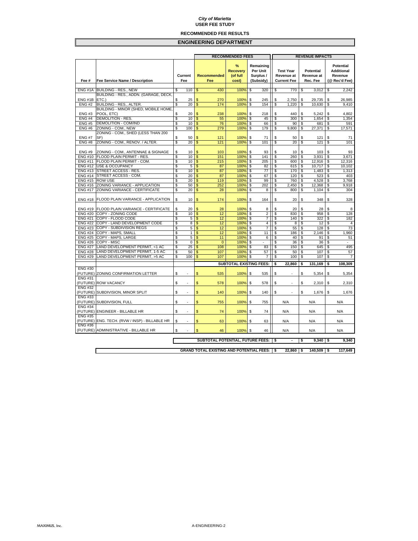#### **RECOMMENDED FEE RESULTS**

|                                  |                                                                   |          |                |                     |                                                 | <b>RECOMMENDED FEES</b>                   |          | <b>REVENUE IMPACTS</b>                          |          |                                                      |          |                                            |          |                                                                   |
|----------------------------------|-------------------------------------------------------------------|----------|----------------|---------------------|-------------------------------------------------|-------------------------------------------|----------|-------------------------------------------------|----------|------------------------------------------------------|----------|--------------------------------------------|----------|-------------------------------------------------------------------|
| Fee #                            | <b>Fee Service Name / Description</b>                             |          | Current<br>Fee |                     | <b>Recommended</b><br>Fee                       | %<br><b>Recovery</b><br>(of full<br>cost) |          | Remaining<br>Per Unit<br>Surplus /<br>(Subsidy) |          | <b>Test Year</b><br>Revenue at<br><b>Current Fee</b> |          | <b>Potential</b><br>Revenue at<br>Rec. Fee |          | <b>Potential</b><br><b>Additional</b><br>Revenue<br>(@ Rec'd Fee) |
|                                  |                                                                   |          |                |                     |                                                 |                                           |          |                                                 |          |                                                      |          |                                            |          |                                                                   |
|                                  | ENG #1A BUILDING - RES., NEW                                      | \$       | 110            | \$                  | 430                                             | 100%                                      | \$       | 320                                             | \$       | 770                                                  | \$       | 3,012                                      | \$       | 2,242                                                             |
|                                  | BUILDING - RES., ADDN. (GARAGE, DECK,                             |          |                |                     |                                                 |                                           |          |                                                 |          |                                                      |          |                                            |          |                                                                   |
| ENG#1B                           | ETC.)                                                             | \$       | 25             |                     | 270                                             | 100%                                      | \$       | 245                                             | \$       | 2,750                                                | \$       | 29,735                                     | \$       | 26,985                                                            |
| <b>ENG #2</b>                    | BUILDING - RES., ALTER.                                           | \$       | 20             | \$                  | 174                                             | 100%                                      | \$       | 154                                             | \$       | 1,220                                                | \$       | 10,630                                     | \$       | 9,410                                                             |
| <b>ENG#3</b>                     | BUILDING - MINOR (SHED, MOBILE HOME,<br>POOL, ETC)                | \$       | 20             | \$                  | 238                                             | 100%                                      | \$       | 218                                             | \$       | 440                                                  | \$       | 5,242                                      | \$       | 4,802                                                             |
| <b>ENG #4</b>                    | <b>DEMOLITION - RES.</b>                                          | \$       | 10             | \$                  | 55                                              | 100%                                      | \$       | 45                                              | \$       | 300                                                  | \$       | 1,654                                      | \$       | 1,354                                                             |
| <b>ENG #5</b>                    | <b>DEMOLITION - COM/IND</b>                                       | \$       | 10             | \$                  | 76                                              | 100%                                      | \$       | 66                                              | \$       | 90                                                   | \$       | 681                                        | S        | 591                                                               |
| <b>ENG#6</b>                     | ZONING - COM., NEW                                                | \$       | 100            | $\mathsf{s}$        | 279                                             | 100%                                      | \$       | 179                                             | \$       | 9,800                                                | \$       | 27,371                                     | \$       | 17,571                                                            |
|                                  | ZONING - COM., SHED (LESS THAN 200                                |          |                |                     |                                                 |                                           |          |                                                 |          |                                                      |          |                                            |          |                                                                   |
| <b>ENG #7</b>                    | SF)                                                               | \$       | 50             | \$.                 | 121                                             | 100%                                      | \$       | 71                                              | \$       | 50                                                   | \$       | 121                                        | \$       | 71                                                                |
| <b>ENG#8</b>                     | ZONING - COM., RENOV. / ALTER.                                    | \$       | 20             | \$                  | 121                                             | 100%                                      | \$       | 101                                             | S        | 20                                                   | \$       | 121                                        | \$       | 101                                                               |
|                                  |                                                                   |          |                |                     |                                                 |                                           |          |                                                 |          |                                                      |          |                                            |          |                                                                   |
| <b>ENG#9</b>                     | ZONING - COM., ANTENNAE & SIGNAGE                                 | \$       | 10             | \$                  | 103                                             | 100%                                      | \$       | 93                                              | \$       | 10                                                   | \$       | 103                                        | \$       | 93                                                                |
| <b>ENG#10</b>                    | FLOOD PLAIN PERMIT - RES.                                         | \$       | 10             | \$                  | 151                                             | 100%                                      | \$       | 141                                             | \$       | 260                                                  | \$       | 3,931                                      | \$       | 3.671                                                             |
| <b>ENG #11</b>                   | FLOOD PLAIN PERMIT - COM.                                         | \$       | 10             | $\mathsf{\$}$       | 215                                             | 100%                                      | \$       | 205                                             | \$       | 600                                                  | \$       | 12,916                                     | \$       | 12,316                                                            |
| <b>ENG #12</b>                   | <b>USE &amp; OCCUPANCY</b>                                        | \$       | 5<br>10        | \$<br>\$            | 87<br>87                                        | 100%                                      | \$       | 82                                              | \$       | 615                                                  | \$       | 10,717                                     | \$       | 10,102                                                            |
| <b>ENG #13</b>                   | STREET ACCESS - RES.<br>STREET ACCESS - COM                       | \$       |                |                     |                                                 | 100%<br>100%                              | \$       | 77                                              | \$       | 170                                                  | \$       | 1,483                                      | \$       | 1,313                                                             |
| <b>ENG #14</b><br><b>ENG #15</b> | <b>ROW USE</b>                                                    | \$<br>\$ | 20<br>20       | \$<br>\$            | 87<br>119                                       | 100%                                      | \$<br>\$ | 67<br>99                                        | \$<br>\$ | 120<br>760                                           | \$<br>\$ | 523<br>4,528                               | \$<br>\$ | 403<br>3.768                                                      |
| <b>ENG#16</b>                    | ZONING VARIANCE - APPLICATION                                     | \$       | 50             | \$                  | 252                                             | 100%                                      | \$       | 202                                             | \$       | 2,450                                                | \$       | 12,368                                     | \$       | 9,918                                                             |
| <b>ENG #17</b>                   | ZONING VARIANCE - CERTIFICATE                                     | \$       | 20             | \$                  | 28                                              | 100%                                      | \$       | 8                                               | \$       | 800                                                  | \$       | 1,104                                      | \$       | 304                                                               |
|                                  |                                                                   |          |                |                     |                                                 |                                           |          |                                                 |          |                                                      |          |                                            |          |                                                                   |
| <b>ENG #18</b>                   | FLOOD PLAIN VARIANCE - APPLICATION                                | \$       | 10             | \$                  | 174                                             | 100%                                      | \$       | 164                                             | \$       | 20                                                   | \$       | 348                                        | \$       | 328                                                               |
| <b>ENG #19</b>                   | <b>FLOOD PLAIN VARIANCE - CERTIFICATE</b>                         | \$       | 20             |                     | 28                                              | 100%                                      | \$       | 8                                               | \$       | 20                                                   | \$       | 28                                         | \$       | 8                                                                 |
| <b>ENG #20</b>                   | COPY - ZONING CODE                                                | \$       | 10             | \$                  | 12                                              | 100%                                      | \$       | $\overline{2}$                                  | \$       | 830                                                  | \$       | 958                                        | \$       | 128                                                               |
| <b>ENG #21</b>                   | COPY - FLOOD CODE                                                 | \$       | 5              | \$                  | 12                                              | 100%                                      | \$       | $\overline{7}$                                  | \$       | 140                                                  | \$       | 322                                        | \$       | 182                                                               |
| <b>ENG #22</b>                   | COPY - LAND DEVELOPMENT CODE                                      | \$       | 8              | \$.                 | 12                                              | 100%                                      | \$       | $\overline{4}$                                  | \$       | 8                                                    | \$       | 12                                         | \$       | $\overline{4}$                                                    |
| <b>ENG #23</b>                   | COPY - SUBDIVISION REGS                                           | \$       | 5              | \$                  | 12                                              | 100%                                      | \$       | 7                                               | \$       | 55                                                   | \$       | 128                                        | \$       | 73                                                                |
| <b>ENG #24</b>                   | COPY - MAPS, SMALL                                                | \$       | $\mathbf{1}$   | \$                  | 12                                              | 100%                                      | \$       | 11                                              | \$       | 186                                                  | \$       | 2,146                                      | \$       | 1,960                                                             |
| <b>ENG #25</b>                   | COPY - MAPS, LARGE                                                | \$       | 5              | \$                  | 11                                              | 100%                                      | \$       | 6                                               | \$       | 40                                                   | \$       | 91                                         | \$       | 51                                                                |
| <b>ENG #26</b>                   | COPY - MISC                                                       | \$       | $\pmb{0}$      | \$                  | $\mathbf{0}$                                    | 100%                                      | \$       | ä,                                              | \$       | 36                                                   | \$       | 36                                         | \$       | ×.                                                                |
| <b>ENG #27</b>                   | LAND DEVELOPMENT PERMIT, <1 AC                                    | \$       | 25             | \$                  | 108                                             | 100%                                      | \$       | 83                                              | \$       | 150                                                  | \$       | 645                                        | \$       | 495                                                               |
| <b>ENG #28</b><br><b>ENG #29</b> | LAND DEVELOPMENT PERMIT, 1-5 AC<br>LAND DEVELOPMENT PERMIT, >5 AC | \$<br>\$ | 50<br>100      | \$<br>$\mathsf{\$}$ | 107<br>107                                      | 100%<br>100%                              | \$       | 57<br>$\overline{7}$                            | \$<br>\$ | 50<br>100                                            | \$<br>\$ | 107<br>107                                 | \$<br>\$ | 57<br>$\overline{7}$                                              |
|                                  |                                                                   |          |                |                     |                                                 |                                           | \$       |                                                 |          |                                                      |          |                                            |          |                                                                   |
|                                  |                                                                   |          |                |                     |                                                 | <b>SUBTOTAL EXISTING FEES:</b>            |          |                                                 | \$       | 22,860                                               | \$       | 131,169                                    | \$       | 108,309                                                           |
| <b>ENG#30</b>                    |                                                                   |          |                |                     |                                                 |                                           |          |                                                 |          |                                                      |          |                                            |          |                                                                   |
| (FUTURE)                         | ZONING CONFIRMATION LETTER                                        | \$       |                | \$                  | 535                                             | 100%                                      | \$       | 535                                             | \$       | ä,                                                   | \$       | 5,354                                      | \$       | 5,354                                                             |
| <b>ENG#31</b>                    |                                                                   |          |                |                     |                                                 |                                           |          |                                                 |          |                                                      |          |                                            |          |                                                                   |
| <b>ENG #32</b>                   | (FUTURE) ROW VACANCY                                              | \$       |                | \$                  | 578                                             | 100%                                      | \$       | 578                                             | \$       | ÷.                                                   | \$       | 2,310                                      | \$       | 2,310                                                             |
| (FUTURE)                         | SUBDIVISION, MINOR SPLIT                                          | \$       | ä,             |                     | 140                                             |                                           |          | 140                                             | \$       | ×,                                                   | \$       |                                            | \$       | 1,676                                                             |
| <b>ENG #33</b>                   |                                                                   |          |                | \$                  |                                                 | 100%                                      | \$       |                                                 |          |                                                      |          | 1,676                                      |          |                                                                   |
|                                  | (FUTURE) SUBDIVISION, FULL                                        | \$       | ä,             | \$                  | 755                                             | 100%                                      | \$       | 755                                             |          | N/A                                                  |          | N/A                                        |          | N/A                                                               |
| <b>ENG #34</b>                   |                                                                   |          |                |                     |                                                 |                                           |          |                                                 |          |                                                      |          |                                            |          |                                                                   |
|                                  | (FUTURE) ENGINEER - BILLABLE HR                                   | \$       |                | \$                  | 74                                              | 100%                                      | \$       | 74                                              |          | N/A                                                  |          | N/A                                        |          | N/A                                                               |
| <b>ENG #35</b>                   |                                                                   |          |                |                     |                                                 |                                           |          |                                                 |          |                                                      |          |                                            |          |                                                                   |
|                                  | (FUTURE) ENG. TECH. (RVW / INSP) - BILLABLE HR                    | \$       | ÷.             | \$                  | 63                                              | 100%                                      | \$       | 63                                              |          | N/A                                                  |          | N/A                                        |          | N/A                                                               |
| <b>ENG#36</b>                    |                                                                   |          |                |                     |                                                 |                                           |          |                                                 |          |                                                      |          |                                            |          |                                                                   |
|                                  | (FUTURE) ADMINISTRATIVE - BILLABLE HR                             | \$       |                | \$                  | 46                                              | 100%                                      | \$       | 46                                              |          | N/A                                                  |          | N/A                                        |          | N/A                                                               |
|                                  |                                                                   |          |                |                     |                                                 |                                           |          |                                                 |          |                                                      |          |                                            |          |                                                                   |
|                                  |                                                                   |          |                |                     | SUBTOTAL POTENTIAL, FUTURE FEES:                |                                           |          |                                                 | \$       | $\blacksquare$                                       | \$       | $9,340$ \$                                 |          | 9,340                                                             |
|                                  |                                                                   |          |                |                     |                                                 |                                           |          |                                                 |          |                                                      |          |                                            |          |                                                                   |
|                                  |                                                                   |          |                |                     | <b>GRAND TOTAL EXISTING AND POTENTIAL FEES:</b> |                                           |          |                                                 | -\$      | 22,860                                               | -\$      | 140,509 \$                                 |          | 117,649                                                           |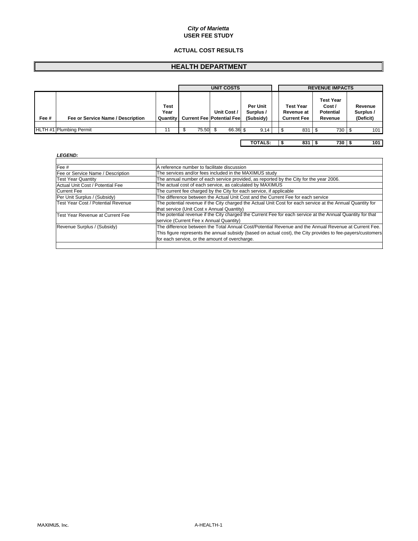#### **ACTUAL COST RESULTS**

## **HEALTH DEPARTMENT**

|       |                                   |                                 | <b>UNIT COSTS</b><br><b>REVENUE IMPACTS</b> |       |                                                 |                                    |  |                                                      |     |                                                           |                                   |  |
|-------|-----------------------------------|---------------------------------|---------------------------------------------|-------|-------------------------------------------------|------------------------------------|--|------------------------------------------------------|-----|-----------------------------------------------------------|-----------------------------------|--|
| Fee # | Fee or Service Name / Description | Test<br>Year<br><b>Quantity</b> |                                             |       | Unit Cost /<br><b>Current Fee Potential Fee</b> | Per Unit<br>Surplus /<br>(Subsidy) |  | <b>Test Year</b><br>Revenue at<br><b>Current Fee</b> |     | <b>Test Year</b><br>Cost /<br><b>Potential</b><br>Revenue | Revenue<br>Surplus /<br>(Deficit) |  |
|       | <b>HLTH #1 Plumbing Permit</b>    | 11                              |                                             | 75.50 | 66.36 \$                                        | 9.14                               |  |                                                      | 831 | 730<br>. ა                                                | 101                               |  |
|       |                                   |                                 |                                             |       |                                                 | <b>TOTALS:</b>                     |  |                                                      | 831 | 730 9                                                     | 101                               |  |

| Fee #                              | A reference number to facilitate discussion                                                                 |
|------------------------------------|-------------------------------------------------------------------------------------------------------------|
| Fee or Service Name / Description  | The services and/or fees included in the MAXIMUS study                                                      |
| <b>Test Year Quantity</b>          | The annual number of each service provided, as reported by the City for the year 2006.                      |
| Actual Unit Cost / Potential Fee   | The actual cost of each service, as calculated by MAXIMUS                                                   |
| <b>Current Fee</b>                 | The current fee charged by the City for each service, if applicable                                         |
| Per Unit Surplus / (Subsidy)       | The difference between the Actual Unit Cost and the Current Fee for each service                            |
| Test Year Cost / Potential Revenue | The potential revenue if the City charged the Actual Unit Cost for each service at the Annual Quantity for  |
|                                    | that service (Unit Cost x Annual Quantity)                                                                  |
| Test Year Revenue at Current Fee   | The potential revenue if the City charged the Current Fee for each service at the Annual Quantity for that  |
|                                    | service (Current Fee x Annual Quantity)                                                                     |
| Revenue Surplus / (Subsidy)        | The difference between the Total Annual Cost/Potential Revenue and the Annual Revenue at Current Fee.       |
|                                    | This figure represents the annual subsidy (based on actual cost), the City provides to fee-payers/customers |
|                                    | for each service, or the amount of overcharge.                                                              |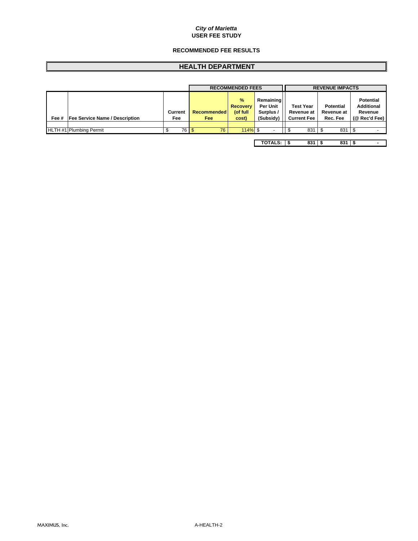#### **RECOMMENDED FEE RESULTS**

## **HEALTH DEPARTMENT**

|       |                                       |  |         |                            | <b>RECOMMENDED FEES</b>                               |                                                        |                                                      |     | <b>REVENUE IMPACTS</b>                     |                                                                   |  |  |
|-------|---------------------------------------|--|---------|----------------------------|-------------------------------------------------------|--------------------------------------------------------|------------------------------------------------------|-----|--------------------------------------------|-------------------------------------------------------------------|--|--|
| Fee # | <b>Fee Service Name / Description</b> |  | Current | <b>Recommended</b><br>Fee: | $\frac{9}{6}$<br><b>Recovery</b><br>(of full<br>cost) | Remaining<br><b>Per Unit</b><br>Surplus /<br>(Subsidy) | <b>Test Year</b><br>Revenue at<br><b>Current Fee</b> |     | <b>Potential</b><br>Revenue at<br>Rec. Fee | <b>Potential</b><br><b>Additional</b><br>Revenue<br>(@ Rec'd Fee) |  |  |
|       |                                       |  |         |                            |                                                       |                                                        |                                                      |     |                                            |                                                                   |  |  |
|       | HLTH #1 Plumbing Permit               |  | 76 \$   | 76                         | $114\%$ \$                                            | <b>-</b>                                               |                                                      | 831 | 831                                        |                                                                   |  |  |
|       |                                       |  |         |                            |                                                       |                                                        |                                                      |     |                                            |                                                                   |  |  |
|       |                                       |  |         |                            |                                                       | <b>TOTALS:</b>                                         |                                                      | 831 | $831$ $\pm$                                |                                                                   |  |  |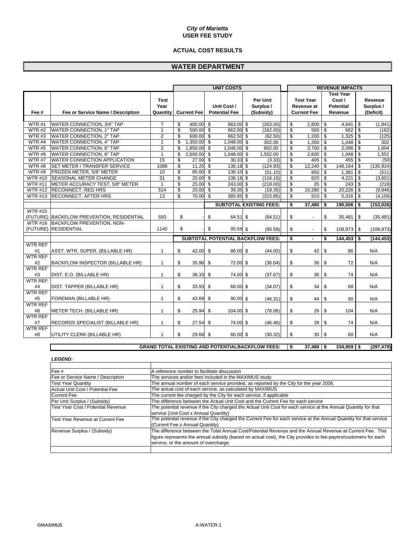#### **ACTUAL COST RESULTS**

## **WATER DEPARTMENT**

|                |                                           |                                 | <b>UNIT COSTS</b> |                    |                         |                                     |                         |                                          |  | <b>REVENUE IMPACTS</b> |                                                      |                          |                                                           |                          |                                   |
|----------------|-------------------------------------------|---------------------------------|-------------------|--------------------|-------------------------|-------------------------------------|-------------------------|------------------------------------------|--|------------------------|------------------------------------------------------|--------------------------|-----------------------------------------------------------|--------------------------|-----------------------------------|
| Fee #          | Fee or Service Name / Description         | <b>Test</b><br>Year<br>Quantity |                   | <b>Current Fee</b> |                         | Unit Cost /<br><b>Potential Fee</b> |                         | Per Unit<br>Surplus /<br>(Subsidy)       |  |                        | <b>Test Year</b><br>Revenue at<br><b>Current Fee</b> |                          | <b>Test Year</b><br>Cost /<br><b>Potential</b><br>Revenue |                          | Revenue<br>Surplus /<br>(Deficit) |
|                |                                           |                                 |                   |                    |                         |                                     |                         |                                          |  |                        |                                                      |                          |                                                           |                          |                                   |
| WTR#1          | WATER CONNECTION, 3/4" TAP                | $\overline{7}$                  | \$                | 400.00 \$          |                         | 663.00 \$                           |                         | (263.00)                                 |  | \$                     | 2,800                                                | \$                       | 4,641                                                     | $\sqrt{3}$               | (1, 841)                          |
| WTR#2          | WATER CONNECTION, 1" TAP                  | $\mathbf{1}$                    | \$                | $500.00$ \$        |                         | 662.00 \$                           |                         | (162.00)                                 |  | $\mathsf{s}$           | 500                                                  | $\overline{\mathcal{S}}$ | 662                                                       | $\mathbf{\hat{s}}$       | (162)                             |
| WTR#3          | WATER CONNECTION, 2" TAP                  | $\overline{2}$                  | \$                | 600.00 \$          |                         | 662.50 \$                           |                         | (62.50)                                  |  | \$                     | 1,200                                                | \$                       | $1,325$ \$                                                |                          | (125)                             |
| WTR#4          | WATER CONNECTION, 4" TAP                  | $\mathbf{1}$                    | \$                | 1,350.00 \$        |                         | 1.048.00 \$                         |                         | 302.00                                   |  | \$                     | 1,350                                                | \$                       | 1,048                                                     | $\mathfrak s$            | 302                               |
| <b>WTR#5</b>   | WATER CONNECTION, 6" TAP                  | $\overline{2}$                  | \$                | $1,850.00$ \$      |                         | 1,048.00 \$                         |                         | 802.00                                   |  | \$                     | 3,700                                                | $\overline{\mathcal{S}}$ | 2,096                                                     | $\overline{\mathcal{S}}$ | 1,604                             |
| WTR#6          | <b>WATER CONNECTION, 8" TAP</b>           | $\mathbf{1}$                    | \$                | 2,600.00           | \$                      | 1,048.00                            | $\mathbf{\mathfrak{S}}$ | 1.552.00                                 |  | \$                     | 2,600                                                | \$                       | 1,048                                                     | $\mathfrak s$            | 1,552                             |
| <b>WTR #7</b>  | WATER CONNECTION APPLICATION              | 15                              | \$                | 27.00              | - \$                    | 30.33                               | \$                      | (3.33)                                   |  | \$                     | 405                                                  | \$                       | 455                                                       | \$                       | (50)                              |
| WTR#8          | <b>SET METER / TRANSFER SERVICE</b>       | 1088                            | \$                | 11.25              | \$                      | $136.18$ \$                         |                         | (124.93)                                 |  | $\mathsf{s}$           | 12,240                                               | \$                       | 148,164                                                   | \$                       | (135, 924)                        |
| WTR#9          | FROZEN METER, 5/8" METER                  | 10                              | \$                | 85.00              | $\overline{\mathbf{3}}$ | 136.10 \$                           |                         | (51.10)                                  |  | \$                     | 850                                                  | \$                       | 1,361                                                     | $\sqrt{3}$               | (511)                             |
| <b>WTR #10</b> | <b>SEASONAL METER CHANGE</b>              | 31                              | \$                | $20.00\%$          |                         | 136.16 \$                           |                         | (116.16)                                 |  | \$                     | 620                                                  | \$                       | 4,221                                                     | $\sqrt{3}$               | (3,601)                           |
| <b>WTR #11</b> | METER ACCURACY TEST, 5/8" METER           | $\mathbf{1}$                    | \$                | $25.00$ \$         |                         | $243.00$ \$                         |                         | (218.00)                                 |  | $\mathsf{s}$           | $\overline{25}$                                      | \$                       | 243                                                       | \$                       | (218)                             |
| <b>WTR #12</b> | <b>RECONNECT, REG HRS</b>                 | 514                             | \$                | $20.00$ \$         |                         | $39.35$ \$                          |                         | (19.35)                                  |  | \$                     | 10,280                                               | \$                       | 20,226                                                    | $\sqrt{3}$               | (9,946)                           |
| <b>WTR #13</b> | <b>RECONNECT, AFTER HRS</b>               | 13                              | \$                | 70.00              | \$                      | 385.85                              | \$                      | (315.85)                                 |  | $\mathsf{s}$           | 910                                                  | \$                       | 5,016                                                     | ه.                       | (4, 106)                          |
|                |                                           |                                 |                   |                    |                         |                                     |                         | <b>SUBTOTAL EXISTING FEES:</b>           |  | s                      | 37,480                                               | \$                       | 190,506                                                   | \$                       | (153, 026)                        |
| <b>WTR #15</b> |                                           |                                 |                   |                    |                         |                                     |                         |                                          |  |                        |                                                      |                          |                                                           |                          |                                   |
|                | (FUTURE) BACKFLOW PREVENTION, RESIDENTIAL | 550                             | \$                |                    | \$                      | 64.51 \$                            |                         | (64.51)                                  |  | \$                     | $\sim$                                               | \$                       | 35,481                                                    | \$                       | (35, 481)                         |
| <b>WTR #16</b> | <b>BACKFLOW PREVENTION, NON-</b>          |                                 |                   |                    |                         |                                     |                         |                                          |  |                        |                                                      |                          |                                                           |                          |                                   |
| (FUTURE)       | <b>RESIDENTIAL</b>                        | 1140                            | \$                |                    | \$                      | 95.59 \$                            |                         | (95.59)                                  |  | \$                     | $\blacksquare$                                       | \$                       | 108,973 \$                                                |                          | (108, 973)                        |
|                |                                           |                                 |                   |                    |                         |                                     |                         | <b>SUBTOTAL POTENTIAL BACKFLOW FEES:</b> |  | \$                     |                                                      | \$                       | 144.453                                                   | \$                       | (144.453)                         |
| <b>WTR REF</b> |                                           |                                 |                   |                    |                         |                                     |                         |                                          |  |                        |                                                      |                          |                                                           |                          |                                   |
| #1             | ASST. WTR. SUPER. (BILLABLE HR)           | $\mathbf{1}$                    | \$                | 42.00              | \$                      | 86.00 \$                            |                         | (44.00)                                  |  | \$                     | 42                                                   | \$                       | 86                                                        |                          | N/A                               |
| <b>WTR REF</b> |                                           |                                 |                   |                    |                         |                                     |                         |                                          |  |                        |                                                      |                          |                                                           |                          |                                   |
| #2             | <b>BACKFLOW INSPECTOR (BILLABLE HR)</b>   | $\mathbf{1}$                    | \$                | 35.96              | \$                      | 72.00 \$                            |                         | (36.04)                                  |  | \$                     | 36                                                   | \$                       | 72                                                        |                          | N/A                               |
| <b>WTR REF</b> |                                           |                                 |                   |                    |                         |                                     |                         |                                          |  |                        |                                                      |                          |                                                           |                          |                                   |
| #3             | DIST. E.O. (BILLABLE HR)                  | $\mathbf{1}$                    | \$                | 36.33              | \$                      | 74.00 \$                            |                         | (37.67)                                  |  | \$                     | 36 <sup>°</sup>                                      | \$                       | 74                                                        |                          | N/A                               |
| <b>WTR REF</b> |                                           |                                 |                   |                    |                         |                                     |                         |                                          |  |                        |                                                      |                          |                                                           |                          |                                   |
| #4             | DIST. TAPPER (BILLABLE HR)                | $\mathbf{1}$                    | \$                | 33.93              | \$                      | 68.00 \$                            |                         | (34.07)                                  |  | \$                     | 34                                                   | \$                       | 68                                                        |                          | N/A                               |
| <b>WTR REF</b> |                                           |                                 |                   |                    |                         |                                     |                         |                                          |  |                        |                                                      |                          |                                                           |                          |                                   |
| #5             | FOREMAN (BILLABLE HR)                     | $\mathbf{1}$                    | \$                | 43.69              | \$                      | $90.00$ \$                          |                         | (46.31)                                  |  | \$                     | 44                                                   | \$                       | 90                                                        |                          | N/A                               |
| <b>WTR REF</b> |                                           |                                 |                   |                    |                         |                                     |                         |                                          |  |                        |                                                      |                          |                                                           |                          |                                   |
| #6             | METER TECH. (BILLABLE HR)                 | $\mathbf{1}$                    | \$                | 25.94              | \$                      | 104.00 \$                           |                         | (78.06)                                  |  | \$                     | 26                                                   | \$                       | 104                                                       |                          | N/A                               |
| <b>WTR REF</b> |                                           |                                 |                   |                    |                         |                                     |                         |                                          |  |                        |                                                      |                          |                                                           |                          |                                   |
| #7             | RECORDS SPECIALIST (BILLABLE HR)          | $\mathbf{1}$                    | \$                | 27.54              | \$                      | 74.00 \$                            |                         | (46.46)                                  |  | \$                     | 28                                                   | \$                       | 74                                                        |                          | N/A                               |
| <b>WTR REF</b> |                                           |                                 |                   |                    |                         |                                     |                         |                                          |  |                        |                                                      |                          |                                                           |                          |                                   |
| #8             | UTILITY CLERK (BILLABLE HR)               | $\mathbf{1}$                    | \$                | 29.68 \$           |                         | 60.00 \$                            |                         | (30.32)                                  |  | \$                     | 30 <sub>1</sub>                                      | \$                       | 60                                                        |                          | N/A                               |

#### **GRAND TOTAL EXISTING AND POTENTIALBACKFLOW FEES:**  $\boxed{\$}$  37,480  $\boxed{\$}$  334,959  $\boxed{\$}$  (297,479)

| <b>LEGEND:</b>                     |                                                                                                                    |
|------------------------------------|--------------------------------------------------------------------------------------------------------------------|
|                                    |                                                                                                                    |
| Fee #                              | A reference number to facilitate discussion                                                                        |
| Fee or Service Name / Description  | The services and/or fees included in the MAXIMUS study                                                             |
| <b>Test Year Quantity</b>          | The annual number of each service provided, as reported by the City for the year 2006.                             |
| Actual Unit Cost / Potential Fee   | The actual cost of each service, as calculated by MAXIMUS                                                          |
| <b>Current Fee</b>                 | The current fee charged by the City for each service, if applicable                                                |
| Per Unit Surplus / (Subsidy)       | The difference between the Actual Unit Cost and the Current Fee for each service                                   |
| Test Year Cost / Potential Revenue | The potential revenue if the City charged the Actual Unit Cost for each service at the Annual Quantity for that    |
|                                    | service (Unit Cost x Annual Quantity)                                                                              |
| Test Year Revenue at Current Fee   | The potential revenue if the City charged the Current Fee for each service at the Annual Quantity for that service |
|                                    | (Current Fee x Annual Quantity)                                                                                    |
| Revenue Surplus / (Subsidy)        | The difference between the Total Annual Cost/Potential Revenue and the Annual Revenue at Current Fee. This         |
|                                    | figure represents the annual subsidy (based on actual cost), the City provides to fee-payers/customers for each    |
|                                    | service, or the amount of overcharge.                                                                              |
|                                    |                                                                                                                    |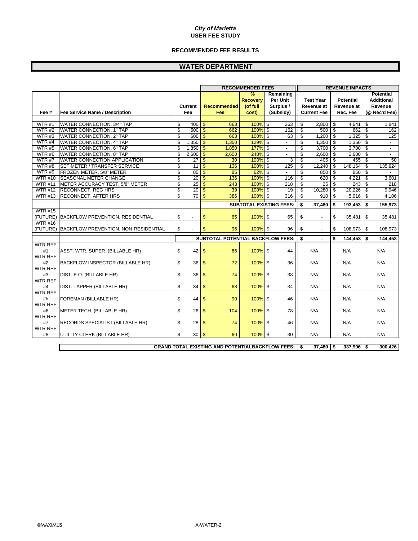#### **RECOMMENDED FEE RESULTS**

## **WATER DEPARTMENT**

|                |                                               |                          |                 |                                                              | <b>RECOMMENDED FEES</b> |                                | <b>REVENUE IMPACTS</b>         |                         |                  |            |                   |  |  |
|----------------|-----------------------------------------------|--------------------------|-----------------|--------------------------------------------------------------|-------------------------|--------------------------------|--------------------------------|-------------------------|------------------|------------|-------------------|--|--|
|                |                                               |                          |                 |                                                              | $\frac{9}{6}$           | Remaining                      |                                |                         |                  |            | <b>Potential</b>  |  |  |
|                |                                               |                          |                 |                                                              | <b>Recoverv</b>         | Per Unit                       | <b>Test Year</b>               |                         | <b>Potential</b> |            | <b>Additional</b> |  |  |
|                |                                               |                          | <b>Current</b>  | <b>Recommended</b>                                           | (of full                | Surplus /                      | Revenue at                     |                         | Revenue at       |            | Revenue           |  |  |
| Fee #          | <b>Fee Service Name / Description</b>         |                          | Fee             | Fee                                                          | cost)                   | (Subsidy)                      | <b>Current Fee</b>             |                         | Rec. Fee         |            | (@ Rec'd Fee)     |  |  |
|                |                                               |                          |                 |                                                              |                         |                                |                                |                         |                  |            |                   |  |  |
| WTR#1          | WATER CONNECTION, 3/4" TAP                    | \$                       | 400             | \$<br>663                                                    | $100%$ \$               | 263                            | \$<br>$2,800$ \$               |                         | 4.641            | -\$        | 1.841             |  |  |
| WTR#2          | <b>WATER CONNECTION, 1" TAP</b>               | $\mathsf{s}$             | 500             | $\mathsf{\$}$<br>662                                         | $100%$ \$               | 162                            | \$<br>$500$ $\sqrt{5}$         |                         | 662              | \$         | 162               |  |  |
| WTR#3          | <b>WATER CONNECTION, 2" TAP</b>               | \$                       | 600             | \$<br>663                                                    | 100% \$                 | 63                             | \$<br>$1,200$ \$               |                         | 1,325            | \$         | 125               |  |  |
| WTR #4         | WATER CONNECTION, 4" TAP                      | \$                       | 1,350           | \$<br>1,350                                                  | 129% \$                 | $\blacksquare$                 | \$<br>$1,350$ \$               |                         | 1,350            | $\sqrt{3}$ | $\sim$            |  |  |
| WTR#5          | WATER CONNECTION, 6" TAP                      | \$                       | 1,850           | \$<br>1,850                                                  | 177% \$                 | $\omega$                       | \$<br>$3,700$ \$               |                         | $3,700$ \$       |            | $\sim$            |  |  |
| WTR#6          | WATER CONNECTION, 8" TAP                      | \$                       | 2,600           | $\mathbf{\$}$<br>2,600                                       | 248% \$                 |                                | \$<br>$2,600$ \$               |                         | $2,600$ \$       |            |                   |  |  |
| <b>WTR #7</b>  | <b>WATER CONNECTION APPLICATION</b>           | \$                       | 27              | \$<br>30                                                     | 100% \$                 | 3                              | \$<br>$405 \quad$ \$           |                         | 455 \$           |            | 50                |  |  |
| WTR#8          | SET METER / TRANSFER SERVICE                  | \$                       | $\overline{11}$ | \$<br>136                                                    | 100% \$                 | 125                            | \$<br>$12,240$ \$              |                         | 148,164 \$       |            | 135,924           |  |  |
| WTR#9          | FROZEN METER, 5/8" METER                      | \$                       | 85              | \$<br>85                                                     | $62%$ \$                | $\blacksquare$                 | \$<br>850                      | $\overline{\mathbf{s}}$ | 850              | \$         |                   |  |  |
| <b>WTR #10</b> | <b>SEASONAL METER CHANGE</b>                  | \$                       | 20              | \$<br>136                                                    | 100% \$                 | 116                            | \$<br>620                      | \$                      | 4.221            | l \$       | 3,601             |  |  |
| <b>WTR#11</b>  | METER ACCURACY TEST, 5/8" METER               | $\overline{\mathcal{S}}$ | 25              | $\overline{\mathcal{S}}$<br>243                              | $100%$ \$               | 218                            | \$<br>25                       | \$                      | 243              | \$         | 218               |  |  |
| <b>WTR #12</b> | <b>RECONNECT, REG HRS</b>                     | \$                       | $\overline{20}$ | \$<br>39                                                     | 100% \$                 | 19                             | \$<br>10,280                   | $\sqrt{3}$              | 20,226 \$        |            | 9,946             |  |  |
| <b>WTR#13</b>  | <b>RECONNECT, AFTER HRS</b>                   | \$                       | $\overline{70}$ | \$<br>386                                                    | $100\%$ \$              | 316                            | \$<br>910                      | \$                      | $5,016$ \$       |            | 4,106             |  |  |
|                |                                               |                          |                 |                                                              |                         | <b>SUBTOTAL EXISTING FEES:</b> | \$<br>$37,480$ \$              |                         | $193,453$ \$     |            | 155,973           |  |  |
| <b>WTR#15</b>  |                                               |                          |                 |                                                              |                         |                                |                                |                         |                  |            |                   |  |  |
| (FUTURE)       | <b>BACKFLOW PREVENTION, RESIDENTIAL</b>       | \$                       | $\blacksquare$  | \$<br>65                                                     | 100% \$                 | 65                             | \$<br>$\overline{\phantom{a}}$ | \$                      | 35,481           | $\sqrt{3}$ | 35,481            |  |  |
| <b>WTR#16</b>  |                                               |                          |                 |                                                              |                         |                                |                                |                         |                  |            |                   |  |  |
|                | (FUTURE) BACKFLOW PREVENTION, NON-RESIDENTIAL | \$                       | $\blacksquare$  | \$<br>96                                                     | 100% \$                 | 96                             | \$<br>$\blacksquare$           | \$                      | 108,973 \$       |            | 108,973           |  |  |
|                |                                               |                          |                 |                                                              |                         |                                |                                |                         |                  |            |                   |  |  |
|                |                                               |                          |                 | <b>SUBTOTAL POTENTIAL BACKFLOW FEES:</b>                     |                         |                                | \$<br>$\blacksquare$           | \$                      | $144,453$ \$     |            | 144,453           |  |  |
| <b>WTR REF</b> |                                               |                          |                 |                                                              |                         |                                |                                |                         |                  |            |                   |  |  |
| #1             | ASST. WTR. SUPER. (BILLABLE HR)               | \$                       | 42              | \$<br>86                                                     | 100% \$                 | 44                             | N/A                            |                         | N/A              |            | N/A               |  |  |
| <b>WTR REF</b> |                                               |                          |                 |                                                              |                         |                                |                                |                         |                  |            |                   |  |  |
| #2             | BACKFLOW INSPECTOR (BILLABLE HR)              | \$                       | 36              | \$<br>72                                                     | 100% \$                 | 36                             | N/A                            |                         | N/A              |            | N/A               |  |  |
| <b>WTR REF</b> |                                               |                          |                 |                                                              |                         |                                |                                |                         |                  |            |                   |  |  |
| #3             | DIST. E.O. (BILLABLE HR)                      | \$                       | 36              | \$<br>74                                                     | 100% \$                 | 38                             | N/A                            |                         | N/A              |            | N/A               |  |  |
| <b>WTR REF</b> |                                               |                          |                 |                                                              |                         |                                |                                |                         |                  |            |                   |  |  |
| #4             | DIST. TAPPER (BILLABLE HR)                    | \$                       | 34              | \$<br>68                                                     | $100\%$ \$              | 34                             | N/A                            |                         | N/A              |            | N/A               |  |  |
| <b>WTR REF</b> |                                               |                          |                 |                                                              |                         |                                |                                |                         |                  |            |                   |  |  |
| #5             | FOREMAN (BILLABLE HR)                         | \$                       | 44              | \$<br>90                                                     | 100% \$                 | 46                             | N/A                            |                         | N/A              |            | N/A               |  |  |
| <b>WTR REF</b> |                                               |                          |                 |                                                              |                         |                                |                                |                         |                  |            |                   |  |  |
| #6             | METER TECH. (BILLABLE HR)                     | \$                       | 26              | \$<br>104                                                    | 100% \$                 | 78                             | N/A                            |                         | N/A              |            | N/A               |  |  |
| <b>WTR REF</b> |                                               |                          |                 |                                                              |                         |                                |                                |                         |                  |            |                   |  |  |
| #7             | RECORDS SPECIALIST (BILLABLE HR)              | \$                       | 28              | \$<br>74                                                     | 100% \$                 | 46                             | N/A                            |                         | N/A              |            | N/A               |  |  |
| <b>WTR REF</b> |                                               |                          |                 |                                                              |                         |                                |                                |                         |                  |            |                   |  |  |
| #8             | UTILITY CLERK (BILLABLE HR)                   | \$                       | 30 <sub>1</sub> | \$<br>60                                                     | 100% \$                 | 30                             | N/A                            |                         | N/A              |            | N/A               |  |  |
|                |                                               |                          |                 |                                                              |                         |                                |                                |                         |                  |            |                   |  |  |
|                |                                               |                          |                 | <b>GRAND TOTAL EXISTING AND POTENTIALBACKFLOW FEES:   \$</b> |                         |                                | $37,480$ \$                    |                         | $337,906$ \$     |            | 300,426           |  |  |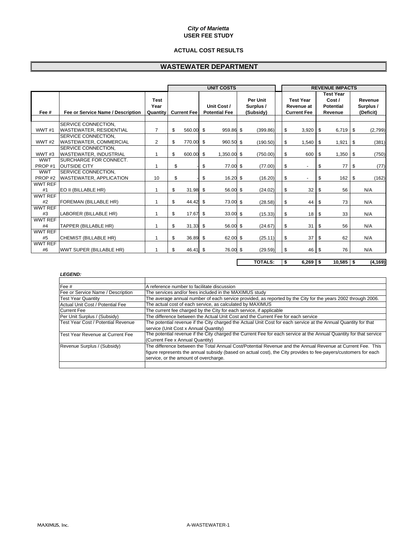#### **ACTUAL COST RESULTS**

## **WASTEWATER DEPARTMENT**

|                |                                   |                                 | <b>UNIT COSTS</b>  |            |                                     |                  |                                    |          |  | <b>REVENUE IMPACTS</b>                               |              |                                                           |    |                                   |  |  |
|----------------|-----------------------------------|---------------------------------|--------------------|------------|-------------------------------------|------------------|------------------------------------|----------|--|------------------------------------------------------|--------------|-----------------------------------------------------------|----|-----------------------------------|--|--|
| Fee #          | Fee or Service Name / Description | <b>Test</b><br>Year<br>Quantity | <b>Current Fee</b> |            | Unit Cost /<br><b>Potential Fee</b> |                  | Per Unit<br>Surplus /<br>(Subsidy) |          |  | <b>Test Year</b><br>Revenue at<br><b>Current Fee</b> |              | <b>Test Year</b><br>Cost /<br><b>Potential</b><br>Revenue |    | Revenue<br>Surplus /<br>(Deficit) |  |  |
|                | SERVICE CONNECTION.               |                                 |                    |            |                                     |                  |                                    |          |  |                                                      |              |                                                           |    |                                   |  |  |
| WWT#1          | <b>WASTEWATER, RESIDENTIAL</b>    | $\overline{7}$                  | \$                 | 560.00     | \$                                  | 959.86 \$        |                                    | (399.86) |  | \$                                                   | 3,920        | $6,719$ \ \$<br>\$                                        |    | (2,799)                           |  |  |
|                | SERVICE CONNECTION.               |                                 |                    |            |                                     |                  |                                    |          |  |                                                      |              |                                                           |    |                                   |  |  |
| WWT#2          | <b>WASTEWATER, COMMERCIAL</b>     | $\overline{2}$                  | \$                 | 770.00     | \$                                  | 960.50 \$        |                                    | (190.50) |  | \$                                                   | 1,540        | $1,921$ \$<br>-\$                                         |    | (381)                             |  |  |
|                | SERVICE CONNECTION.               |                                 |                    |            |                                     |                  |                                    |          |  |                                                      |              |                                                           |    |                                   |  |  |
| WWT#3          | <b>WASTEWATER, INDUSTRIAL</b>     | 1                               | \$                 | 600.00     | \$                                  | 1,350.00 \$      |                                    | (750.00) |  | \$                                                   | 600          | \$<br>1,350                                               | \$ | (750)                             |  |  |
| <b>WWT</b>     | <b>ISURCHARGE FOR CONNECT.</b>    |                                 |                    |            |                                     |                  |                                    |          |  |                                                      |              |                                                           |    |                                   |  |  |
| PROP#1         | <b>OUTSIDE CITY</b>               | 1                               | \$                 |            | \$                                  | 77.00 \$         |                                    | (77.00)  |  | \$                                                   | ٠            | \$<br>77                                                  | \$ | (77)                              |  |  |
| <b>WWT</b>     | <b>ISERVICE CONNECTION.</b>       |                                 |                    |            |                                     |                  |                                    |          |  |                                                      |              |                                                           |    |                                   |  |  |
| PROP#2         | <b>WASTEWATER, APPLICATION</b>    | 10                              | \$                 |            | \$                                  | $16.20$ \$       |                                    | (16.20)  |  | \$                                                   | $\mathbf{r}$ | 162<br>\$                                                 | \$ | (162)                             |  |  |
| <b>WWT REF</b> |                                   |                                 |                    |            |                                     |                  |                                    |          |  |                                                      |              |                                                           |    |                                   |  |  |
| #1             | EO II (BILLABLE HR)               | 1                               | \$                 | 31.98      | \$                                  | 56.00 \$         |                                    | (24.02)  |  | \$                                                   | 32           | 56<br>\$                                                  |    | N/A                               |  |  |
| <b>WWT REF</b> |                                   |                                 |                    |            |                                     |                  |                                    |          |  |                                                      |              |                                                           |    |                                   |  |  |
| #2             | <b>FOREMAN (BILLABLE HR)</b>      | 1                               | \$                 | 44.42      | \$                                  | 73.00 \$         |                                    | (28.58)  |  | \$                                                   | 44           | 73<br>\$                                                  |    | N/A                               |  |  |
| <b>WWT REF</b> |                                   |                                 |                    |            |                                     |                  |                                    |          |  |                                                      |              |                                                           |    |                                   |  |  |
| #3             | LABORER (BILLABLE HR)             | 1                               | \$                 | 17.67      | \$                                  | $33.00\text{ }$$ |                                    | (15.33)  |  | \$                                                   | 18           | 33<br>\$                                                  |    | N/A                               |  |  |
| <b>WWT REF</b> |                                   |                                 |                    |            |                                     |                  |                                    |          |  |                                                      |              |                                                           |    |                                   |  |  |
| #4             | ITAPPER (BILLABLE HR)             | 1                               | \$                 | $31.33$ \$ |                                     | 56.00 \$         |                                    | (24.67)  |  | \$                                                   | 31           | 56<br>\$                                                  |    | N/A                               |  |  |
| WWT REF        |                                   |                                 |                    |            |                                     |                  |                                    |          |  |                                                      |              |                                                           |    |                                   |  |  |
| #5             | CHEMIST (BILLABLE HR)             | 1                               | \$                 | 36.89 \$   |                                     | 62.00 \$         |                                    | (25.11)  |  | \$                                                   | 37           | 62<br>\$                                                  |    | N/A                               |  |  |
| <b>WWT REF</b> |                                   |                                 |                    |            |                                     |                  |                                    |          |  |                                                      |              |                                                           |    |                                   |  |  |
| #6             | <b>WWT SUPER (BILLABLE HR)</b>    | 1                               | \$                 | 46.41 \$   |                                     | 76.00 \$         |                                    | (29.59)  |  | \$                                                   | 46           | 76<br>- \$                                                |    | N/A                               |  |  |

**TOTALS:**  $\vert \$ \$ 6,269  $\vert \$ \$ 10,585  $\vert \$ \$ (4,169)

#### *LEGEND:*

| Fee $#$                            | A reference number to facilitate discussion                                                                        |
|------------------------------------|--------------------------------------------------------------------------------------------------------------------|
| Fee or Service Name / Description  | The services and/or fees included in the MAXIMUS study                                                             |
| <b>Test Year Quantity</b>          | The average annual number of each service provided, as reported by the City for the years 2002 through 2006.       |
| Actual Unit Cost / Potential Fee   | The actual cost of each service, as calculated by MAXIMUS                                                          |
| <b>Current Fee</b>                 | The current fee charged by the City for each service, if applicable                                                |
| Per Unit Surplus / (Subsidy)       | The difference between the Actual Unit Cost and the Current Fee for each service                                   |
| Test Year Cost / Potential Revenue | The potential revenue if the City charged the Actual Unit Cost for each service at the Annual Quantity for that    |
|                                    | service (Unit Cost x Annual Quantity)                                                                              |
| Test Year Revenue at Current Fee   | The potential revenue if the City charged the Current Fee for each service at the Annual Quantity for that service |
|                                    | (Current Fee x Annual Quantity)                                                                                    |
| Revenue Surplus / (Subsidy)        | The difference between the Total Annual Cost/Potential Revenue and the Annual Revenue at Current Fee. This         |
|                                    | figure represents the annual subsidy (based on actual cost), the City provides to fee-payers/customers for each    |
|                                    | service, or the amount of overcharge.                                                                              |
|                                    |                                                                                                                    |

Г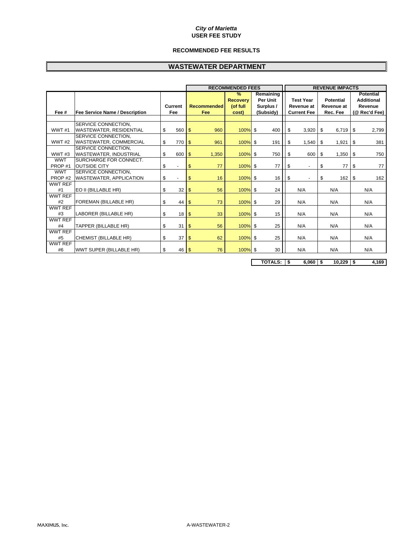#### **RECOMMENDED FEE RESULTS**

## **WASTEWATER DEPARTMENT**

|                |                                       |                |                         | <b>RECOMMENDED FEES</b>                      |                                           |                                | <b>REVENUE IMPACTS</b>         |     |                                                  |
|----------------|---------------------------------------|----------------|-------------------------|----------------------------------------------|-------------------------------------------|--------------------------------|--------------------------------|-----|--------------------------------------------------|
|                |                                       | <b>Current</b> | Recommended             | $\frac{9}{6}$<br><b>Recovery</b><br>(of full | Remaining<br><b>Per Unit</b><br>Surplus / | <b>Test Year</b><br>Revenue at | <b>Potential</b><br>Revenue at |     | <b>Potential</b><br><b>Additional</b><br>Revenue |
| Fee #          | <b>Fee Service Name / Description</b> | Fee            | Fee                     | cost)                                        | (Subsidy)                                 | <b>Current Fee</b>             | Rec. Fee                       |     | (@ Rec'd Fee)                                    |
|                |                                       |                |                         |                                              |                                           |                                |                                |     |                                                  |
|                | SERVICE CONNECTION.                   |                |                         |                                              |                                           |                                |                                |     |                                                  |
| WWT#1          | <b>WASTEWATER, RESIDENTIAL</b>        | \$<br>560      | 960<br>\$               | $100\%$ \$                                   | 400                                       | \$<br>3,920                    | 6,719<br>- \$                  |     | \$<br>2,799                                      |
|                | SERVICE CONNECTION.                   |                |                         |                                              |                                           |                                |                                |     |                                                  |
| WWT#2          | <b>WASTEWATER, COMMERCIAL</b>         | \$<br>770      | \$<br>961               | 100%                                         | \$<br>191                                 | \$<br>1,540                    | 1,921<br>\$                    |     | 381<br>\$                                        |
|                | SERVICE CONNECTION,                   |                |                         |                                              |                                           |                                |                                |     |                                                  |
| WWT#3          | <b>WASTEWATER, INDUSTRIAL</b>         | \$<br>600      | $\mathfrak{s}$<br>1,350 | $100\%$ \$                                   | 750                                       | \$<br>600                      | \$<br>1,350                    |     | \$<br>750                                        |
| <b>WWT</b>     | SURCHARGE FOR CONNECT.                |                |                         |                                              |                                           |                                |                                |     |                                                  |
| PROP#1         | <b>OUTSIDE CITY</b>                   | \$<br>$\sim$   | \$<br>77                | $100\%$ \$                                   | 77                                        | \$<br>$\blacksquare$           | \$                             | 77  | \$<br>77                                         |
| <b>WWT</b>     | SERVICE CONNECTION.                   |                |                         |                                              |                                           |                                |                                |     |                                                  |
| PROP#2         | <b>WASTEWATER, APPLICATION</b>        | \$             | \$<br>16                | $100\%$ \$                                   | 16                                        | \$                             | \$                             | 162 | \$<br>162                                        |
| <b>WWT REF</b> |                                       |                |                         |                                              |                                           |                                |                                |     |                                                  |
| #1             | EO II (BILLABLE HR)                   | \$<br>32       | 56<br>\$                | $100\%$ \$                                   | 24                                        | N/A                            | N/A                            |     | N/A                                              |
| <b>WWT REF</b> |                                       |                |                         |                                              |                                           |                                |                                |     |                                                  |
| #2             | <b>FOREMAN (BILLABLE HR)</b>          | \$<br>44       | 73<br>\$                | $100\%$ \$                                   | 29                                        | N/A                            | N/A                            |     | N/A                                              |
| <b>WWT REF</b> |                                       |                |                         |                                              |                                           |                                |                                |     |                                                  |
| #3             | LABORER (BILLABLE HR)                 | \$<br>18       | $\mathfrak{s}$<br>33    | $100\%$ \$                                   | 15                                        | N/A                            | N/A                            |     | N/A                                              |
| <b>WWT REF</b> |                                       |                |                         |                                              |                                           |                                |                                |     |                                                  |
| #4             | TAPPER (BILLABLE HR)                  | \$<br>31       | \$<br>56                | $100\%$ \$                                   | 25                                        | N/A                            | N/A                            |     | N/A                                              |
| <b>WWT REF</b> |                                       |                |                         |                                              |                                           |                                |                                |     |                                                  |
| #5             | CHEMIST (BILLABLE HR)                 | \$<br>37       | 62<br>\$                | $100%$ \$                                    | 25                                        | N/A                            | N/A                            |     | N/A                                              |
| WWT REF        |                                       |                |                         |                                              |                                           |                                |                                |     |                                                  |
| #6             | WWT SUPER (BILLABLE HR)               | \$<br>46       | 76<br>$\mathfrak{s}$    | $100%$ \$                                    | 30                                        | N/A                            | N/A                            |     | N/A                                              |

**TOTALS:**  $\frac{1}{3}$  **6,060**  $\frac{1}{3}$  **10,229**  $\frac{1}{3}$  **4,169**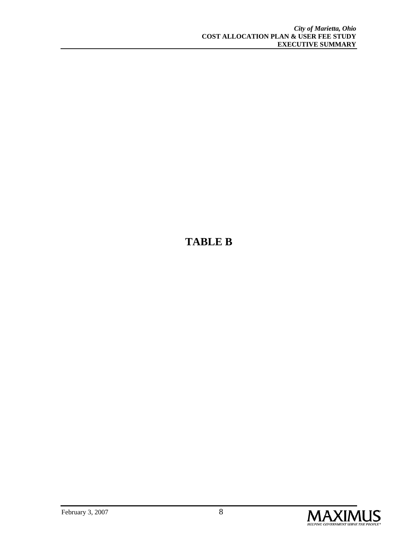## **TABLE B**

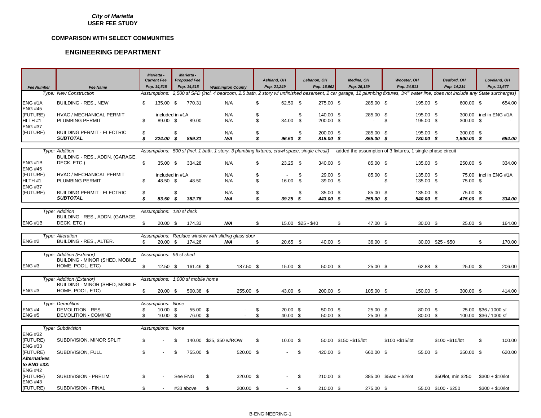#### **COMPARISON WITH SELECT COMMUNITIES**

| <b>Fee Number</b>              | <b>Fee Name</b>                                             |          | Marietta -<br><b>Current Fee</b><br>Pop. 14.515 |         | Marietta -<br><b>Proposed Fee</b><br>Pop. 14,515 | <b>Washington County</b>                            |           |          | Ashland, OH<br>Pop. 21,249                                                                    | Lebanon, OH<br>Pop. 16,962   | Medina, OH<br>Pop. 25,139                                                                                                                                            | <b>Wooster, OH</b><br>Pop. 24,811 |                        | <b>Bedford, OH</b><br>Pop. 14,214 |                       |                       | Loveland, OH<br>Pop. 11,677 |
|--------------------------------|-------------------------------------------------------------|----------|-------------------------------------------------|---------|--------------------------------------------------|-----------------------------------------------------|-----------|----------|-----------------------------------------------------------------------------------------------|------------------------------|----------------------------------------------------------------------------------------------------------------------------------------------------------------------|-----------------------------------|------------------------|-----------------------------------|-----------------------|-----------------------|-----------------------------|
|                                | Type: New Construction                                      |          | Assumptions:                                    |         |                                                  |                                                     |           |          |                                                                                               |                              | 2,500 sf SFD (incl. 4 bedroom, 2.5 bath, 2 story w/ unfinished basement, 2 car garage, 12 plumbing fixtures, 3/4" water line, does not include any State surcharges) |                                   |                        |                                   |                       |                       |                             |
| ENG#1A<br><b>ENG #45</b>       | <b>BUILDING - RES., NEW</b>                                 | \$.      | 135.00 \$                                       |         | 770.31                                           | N/A                                                 |           | \$       | 62.50 \$                                                                                      | 275.00 \$                    | 285.00 \$                                                                                                                                                            |                                   | 195.00 \$              |                                   | 600.00 \$             |                       | 654.00                      |
| (FUTURE)<br>HLTH <sub>#1</sub> | HVAC / MECHANICAL PERMIT<br>PLUMBING PERMIT                 | \$       | included in #1A<br>89.00 \$                     |         | 89.00                                            | N/A<br>N/A                                          |           | \$<br>\$ | $\sim$<br>34.00 \$                                                                            | \$<br>140.00 \$<br>200.00 \$ | 285.00 \$<br>$\sim$                                                                                                                                                  | \$                                | 195.00 \$<br>195.00 \$ |                                   | 300.00 \$             |                       | 300.00 incl in ENG #1A      |
| <b>ENG #37</b><br>(FUTURE)     | <b>BUILDING PERMIT - ELECTRIC</b>                           | \$       |                                                 | -\$     |                                                  | N/A                                                 |           | \$       |                                                                                               | \$<br>200.00 \$              | 285.00 \$                                                                                                                                                            |                                   | 195.00 \$              |                                   | 300.00 \$             |                       |                             |
|                                | <b>SUBTOTAL</b>                                             | s        | 224.00                                          | \$      | 859.31                                           | N/A                                                 |           | \$       | 96.50 <sup>5</sup>                                                                            | 815.00 \$                    | 855.00 \$                                                                                                                                                            |                                   | 780.00 \$              |                                   | 1,500.00 \$           |                       | 654.00                      |
|                                |                                                             |          |                                                 |         |                                                  |                                                     |           |          |                                                                                               |                              |                                                                                                                                                                      |                                   |                        |                                   |                       |                       |                             |
|                                | Type: Addition                                              |          |                                                 |         |                                                  |                                                     |           |          | Assumptions: 500 sf (incl. 1 bath, 1 story, 3 plumbing fixtures, crawl space, single circuit) |                              | added the assumption of 3 fixtures, 1 single-phase circuit                                                                                                           |                                   |                        |                                   |                       |                       |                             |
| ENG#1B<br><b>ENG #45</b>       | BUILDING - RES., ADDN. (GARAGE,<br>DECK, ETC.)              | \$       | 35.00 \$                                        |         | 334.28                                           | N/A                                                 |           | \$       | $23.25$ \$                                                                                    | 340.00 \$                    | 85.00 \$                                                                                                                                                             |                                   | 135.00 \$              |                                   | 250.00 \$             |                       | 334.00                      |
| (FUTURE)                       | HVAC / MECHANICAL PERMIT                                    |          | included in #1A                                 |         |                                                  | N/A                                                 |           | \$       | $\blacksquare$                                                                                | \$<br>29.00 \$               | 85.00 \$                                                                                                                                                             |                                   | 135.00 \$              |                                   |                       |                       | 75.00 incl in ENG #1A       |
| HLTH #1                        | PLUMBING PERMIT                                             | \$       | 48.50 \$                                        |         | 48.50                                            | N/A                                                 |           | \$       | 16.00 \$                                                                                      | 39.00 \$                     | $\sim$                                                                                                                                                               | \$                                | 135.00 \$              |                                   | 75.00 \$              |                       |                             |
| <b>ENG #37</b><br>(FUTURE)     | <b>BUILDING PERMIT - ELECTRIC</b><br><b>SUBTOTAL</b>        | \$<br>\$ | $\sim$<br>83.50 \$                              | \$      | $\sim$<br>382.78                                 | N/A<br>N/A                                          |           | \$<br>\$ | $\mathbf{r}$<br>$39.25$ \$                                                                    | \$<br>35.00 \$<br>443.00 \$  | 85.00 \$<br>255.00 \$                                                                                                                                                |                                   | 135.00 \$<br>540.00 \$ |                                   | 75.00 \$<br>475.00 \$ |                       | 334.00                      |
|                                |                                                             |          |                                                 |         |                                                  |                                                     |           |          |                                                                                               |                              |                                                                                                                                                                      |                                   |                        |                                   |                       |                       |                             |
|                                | Type: Addition                                              |          | Assumptions: 120 sf deck                        |         |                                                  |                                                     |           |          |                                                                                               |                              |                                                                                                                                                                      |                                   |                        |                                   |                       |                       |                             |
|                                | BUILDING - RES., ADDN. (GARAGE.                             |          |                                                 |         |                                                  |                                                     |           |          |                                                                                               |                              |                                                                                                                                                                      |                                   |                        |                                   |                       |                       |                             |
| ENG#1B                         | DECK, ETC.)                                                 | \$.      | $20.00$ \$                                      |         | 174.33                                           | N/A                                                 |           | \$       |                                                                                               | 15.00 \$25 - \$40            | \$<br>47.00 \$                                                                                                                                                       |                                   | $30.00$ \$             |                                   | $25.00$ \$            |                       | 164.00                      |
|                                |                                                             |          |                                                 |         |                                                  |                                                     |           |          |                                                                                               |                              |                                                                                                                                                                      |                                   |                        |                                   |                       |                       |                             |
|                                | Type: Alteration                                            |          |                                                 |         |                                                  | Assumptions: Replace window with sliding glass door |           |          |                                                                                               |                              |                                                                                                                                                                      |                                   |                        |                                   |                       |                       |                             |
| <b>ENG #2</b>                  | BUILDING - RES., ALTER.                                     | \$       | $20.00$ \$                                      |         | 174.26                                           | N/A                                                 |           | \$       | $20.65$ \$                                                                                    | 40.00 \$                     | 36.00 \$                                                                                                                                                             |                                   |                        | 30.00 \$25 - \$50                 |                       | \$                    | 170.00                      |
|                                |                                                             |          |                                                 |         |                                                  |                                                     |           |          |                                                                                               |                              |                                                                                                                                                                      |                                   |                        |                                   |                       |                       |                             |
|                                | Type: Addition (Exterior)                                   |          | Assumptions: 96 sf shed                         |         |                                                  |                                                     |           |          |                                                                                               |                              |                                                                                                                                                                      |                                   |                        |                                   |                       |                       |                             |
|                                | BUILDING - MINOR (SHED, MOBILE                              |          |                                                 |         |                                                  |                                                     |           |          |                                                                                               |                              |                                                                                                                                                                      |                                   |                        |                                   |                       |                       |                             |
| <b>ENG#3</b>                   | HOME, POOL, ETC)                                            | \$       | 12.50 \$                                        |         | 161.46 \$                                        |                                                     | 187.50 \$ |          | 15.00 \$                                                                                      | $50.00$ \$                   | 25.00 \$                                                                                                                                                             |                                   | 62.88 \$               |                                   | 25.00 \$              |                       | 206.00                      |
|                                |                                                             |          |                                                 |         |                                                  |                                                     |           |          |                                                                                               |                              |                                                                                                                                                                      |                                   |                        |                                   |                       |                       |                             |
|                                | Type: Addition (Exterior)<br>BUILDING - MINOR (SHED, MOBILE |          |                                                 |         | Assumptions: 1,000 sf mobile home                |                                                     |           |          |                                                                                               |                              |                                                                                                                                                                      |                                   |                        |                                   |                       |                       |                             |
| <b>ENG #3</b>                  | HOME, POOL, ETC)                                            | \$       | $20.00$ \$                                      |         | 500.38 \$                                        |                                                     | 255.00 \$ |          | 43.00 \$                                                                                      | 200.00 \$                    | 105.00 \$                                                                                                                                                            |                                   | 150.00 \$              |                                   | 300.00 \$             |                       | 414.00                      |
|                                |                                                             |          |                                                 |         |                                                  |                                                     |           |          |                                                                                               |                              |                                                                                                                                                                      |                                   |                        |                                   |                       |                       |                             |
|                                | <b>Type: Demolition</b>                                     |          | Assumptions: None                               |         |                                                  |                                                     |           |          |                                                                                               |                              |                                                                                                                                                                      |                                   |                        |                                   |                       |                       |                             |
| <b>ENG #4</b>                  | DEMOLITION - RES.                                           | \$       | 10.00 \$                                        |         | 55.00 \$                                         |                                                     |           | \$       | $20.00$ \$                                                                                    | 50.00 \$                     | 25.00 \$                                                                                                                                                             |                                   | $80.00\quad$ \$        |                                   |                       | 25.00 \$36 / 1000 sf  |                             |
| <b>ENG #5</b>                  | DEMOLITION - COM/IND                                        | \$       | $10.00$ \$                                      |         | 76.00 \$                                         |                                                     | $\sim$    | \$       | 40.00 \$                                                                                      | 50.00 \$                     | 25.00 \$                                                                                                                                                             |                                   | 80.00 \$               |                                   |                       | 100.00 \$36 / 1000 sf |                             |
|                                |                                                             |          |                                                 |         |                                                  |                                                     |           |          |                                                                                               |                              |                                                                                                                                                                      |                                   |                        |                                   |                       |                       |                             |
|                                | Type: Subdivision                                           |          | Assumptions: None                               |         |                                                  |                                                     |           |          |                                                                                               |                              |                                                                                                                                                                      |                                   |                        |                                   |                       |                       |                             |
| <b>ENG #32</b>                 |                                                             |          |                                                 |         |                                                  |                                                     |           |          |                                                                                               |                              |                                                                                                                                                                      |                                   |                        |                                   |                       |                       |                             |
| (FUTURE)<br><b>ENG #33</b>     | SUBDIVISION, MINOR SPLIT                                    | \$       |                                                 | - \$    |                                                  | 140.00 \$25, \$50 w/ROW                             |           | \$       | $10.00$ \$                                                                                    |                              | 50.00 \$150 + \$15/lot                                                                                                                                               | $$100 + $15/$ lot                 |                        | \$100 + \$10/lot                  |                       | S.                    | 100.00                      |
| (FUTURE)                       | SUBDIVISION, FULL                                           | \$       |                                                 | -\$     | 755.00 \$                                        |                                                     | 520.00 \$ |          |                                                                                               | \$<br>420.00 \$              | 660.00 \$                                                                                                                                                            |                                   | 55.00 \$               |                                   | 350.00 \$             |                       | 620.00                      |
| <b>Alternatives</b>            |                                                             |          |                                                 |         |                                                  |                                                     |           |          |                                                                                               |                              |                                                                                                                                                                      |                                   |                        |                                   |                       |                       |                             |
| to ENG #33:                    |                                                             |          |                                                 |         |                                                  |                                                     |           |          |                                                                                               |                              |                                                                                                                                                                      |                                   |                        |                                   |                       |                       |                             |
| <b>ENG #42</b>                 |                                                             |          |                                                 |         |                                                  |                                                     |           |          |                                                                                               |                              |                                                                                                                                                                      |                                   |                        |                                   |                       |                       |                             |
| (FUTURE)                       | SUBDIVISION - PRELIM                                        | \$.      |                                                 | See ENG |                                                  | \$                                                  | 320.00 \$ |          |                                                                                               | \$<br>210.00 \$              |                                                                                                                                                                      | 385.00 \$5/ac + \$2/lot           |                        | \$50/lot, min \$250               |                       | $$300 + $10/$ lot     |                             |
| <b>ENG #43</b><br>(FUTURE)     | SUBDIVISION - FINAL                                         |          |                                                 |         |                                                  |                                                     |           |          |                                                                                               |                              |                                                                                                                                                                      |                                   |                        |                                   |                       |                       |                             |
|                                |                                                             | \$       | $\sim$                                          |         | #33 above                                        | \$                                                  | 200.00 \$ |          | $\sim$                                                                                        | \$<br>210.00 \$              | 275.00 \$                                                                                                                                                            |                                   |                        | 55.00 \$100 - \$250               |                       | $$300 + $10/lot$      |                             |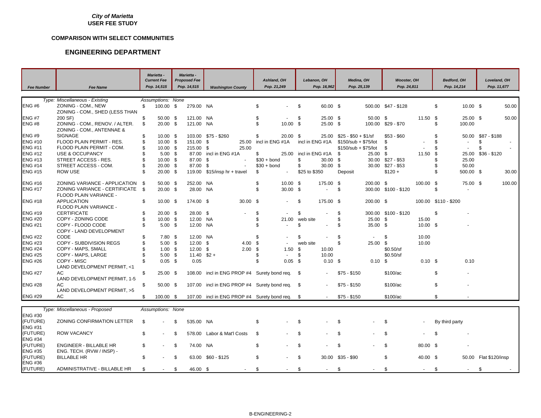#### **COMPARISON WITH SELECT COMMUNITIES**

#### **ENGINEERING DEPARTMENT**

| <b>Fee Number</b>                | <b>Fee Name</b>                                             |                | <b>Marietta -</b><br><b>Current Fee</b><br>Pop. 14,515 |      | <b>Marietta -</b><br><b>Proposed Fee</b><br>Pop. 14,515 | <b>Washington County</b>                       |          |                    | Ashland, OH<br>Pop. 21,249 |          | Lebanon, OH<br>Pop. 16,962 | Medina, OH<br>Pop. 25,139 |                   | <b>Wooster, OH</b><br>Pop. 24,811 |                   | <b>Bedford, OH</b><br>Pop. 14,214 |            | Loveland, OH<br>Pop. 11,677 |        |
|----------------------------------|-------------------------------------------------------------|----------------|--------------------------------------------------------|------|---------------------------------------------------------|------------------------------------------------|----------|--------------------|----------------------------|----------|----------------------------|---------------------------|-------------------|-----------------------------------|-------------------|-----------------------------------|------------|-----------------------------|--------|
|                                  | Type: Miscellaneous - Existing                              |                | Assumptions: None                                      |      |                                                         |                                                |          |                    |                            |          |                            |                           |                   |                                   |                   |                                   |            |                             |        |
| <b>ENG#6</b>                     | ZONING - COM., NEW                                          | \$             | 100.00 \$                                              |      | 279.00 NA                                               |                                                |          | \$                 |                            | - \$     | 60.00 \$                   |                           |                   | 500.00 \$47 - \$128               |                   | \$                                | $10.00$ \$ |                             | 50.00  |
|                                  | ZONING - COM., SHED (LESS THAN                              |                |                                                        |      |                                                         |                                                |          |                    |                            |          |                            |                           |                   |                                   |                   |                                   |            |                             |        |
| <b>ENG #7</b>                    | 200 SF)                                                     | \$             | $50.00$ \$                                             |      | 121.00                                                  | NA                                             |          | \$                 | $\sim$                     | \$       | $25.00$ \$                 |                           | $50.00$ \$        |                                   | 11.50 \$          |                                   | 25.00 \$   |                             | 50.00  |
| <b>ENG #8</b>                    | ZONING - COM., RENOV. / ALTER.<br>ZONING - COM., ANTENNAE & | \$             | 20.00 \$                                               |      | 121.00 NA                                               |                                                |          | \$                 | $10.00$ \$                 |          | 25.00 \$                   |                           |                   | 100.00 \$29 - \$70                |                   | 100.00<br>\$                      |            |                             |        |
| <b>ENG #9</b>                    | <b>SIGNAGE</b>                                              | \$             | $10.00$ \$                                             |      |                                                         | 103.00 \$75 - \$260                            |          | \$                 | $20.00$ \$                 |          | 25.00                      | \$25 - \$50 + \$1/sf      |                   | $$53 - $60$                       |                   | \$.                               |            | 50.00 \$87 - \$188          |        |
| <b>ENG #10</b>                   | FLOOD PLAIN PERMIT - RES.                                   | \$             | $10.00$ \$                                             |      | 151.00 \$                                               |                                                | 25.00    | incl in ENG #1A    |                            |          | incl in ENG #1A            | $$150/sub + $75/lot$      |                   | \$                                |                   | \$                                | $\sim$     | \$                          |        |
| <b>ENG #11</b>                   | FLOOD PLAIN PERMIT - COM.                                   | \$             | 10.00 \$                                               |      | 215.00 \$                                               |                                                | 25.00    |                    |                            |          |                            | \$150/sub + \$75/lot      |                   | \$                                |                   | \$                                | $\sim$     | \$                          |        |
| <b>ENG #12</b>                   | USE & OCCUPANCY                                             | \$             | $5.00$ \$                                              |      |                                                         | 87.00 incl in ENG #1A                          |          | \$                 | 25.00                      |          | incl in ENG #1A \$         |                           | 25.00             | S.                                | 11.50             | - \$                              | 25.00      | \$36 - \$120                |        |
| <b>ENG #13</b>                   | STREET ACCESS - RES.                                        | \$             | $10.00 \text{ }$ \$                                    |      | 87.00 \$                                                |                                                |          | $$30 + bond$       |                            | \$       | $30.00$ \$                 |                           |                   | 30.00 \$27 - \$53                 |                   | £.                                | 25.00      |                             |        |
| <b>ENG #14</b>                   | STREET ACCESS - COM.                                        | \$             | 20.00 \$                                               |      | 87.00 \$                                                |                                                |          | $$30 + bond$       |                            | \$       | 30.00 \$                   |                           | 30.00             | \$27 - \$53                       |                   |                                   | 50.00      |                             |        |
| <b>ENG #15</b>                   | ROW USE                                                     | $\mathfrak{L}$ | 20.00 \$                                               |      |                                                         | 119.00 \$15/insp hr + travel                   |          | \$                 | $\sim$                     |          | \$25 to \$350              | Deposit                   |                   | $$120 +$                          |                   | \$                                | 500.00 \$  |                             | 30.00  |
|                                  |                                                             |                |                                                        |      |                                                         |                                                |          |                    |                            |          |                            |                           |                   |                                   |                   |                                   |            |                             |        |
| <b>ENG #16</b><br><b>ENG #17</b> | ZONING VARIANCE - APPLICATION \$                            | $\mathbf{s}$   | $50.00$ \$                                             |      | 252.00 NA                                               |                                                |          | \$<br>$\mathbb{S}$ | $10.00$ \$                 |          | 175.00 \$<br>÷.            |                           | 200.00 \$         |                                   | 100.00 \$         |                                   | 75.00 \$   |                             | 100.00 |
|                                  | ZONING VARIANCE - CERTIFICATE<br>FLOOD PLAIN VARIANCE -     |                | $20.00$ \$                                             |      | 28.00 NA                                                |                                                |          |                    | $30.00$ \$                 |          |                            | \$                        |                   | 300.00 \$100 - \$120              |                   | \$                                | $\sim$     |                             |        |
| <b>ENG #18</b>                   | <b>APPLICATION</b>                                          | \$             | 10.00 \$                                               |      | 174.00 \$                                               |                                                | 30.00 \$ |                    |                            | \$       | 175.00 \$                  |                           | 200.00 \$         |                                   |                   | 100.00 \$110 - \$200              |            |                             |        |
|                                  | FLOOD PLAIN VARIANCE -                                      |                |                                                        |      |                                                         |                                                |          |                    |                            |          |                            |                           |                   |                                   |                   |                                   |            |                             |        |
| <b>ENG #19</b>                   | <b>CERTIFICATE</b>                                          | \$             | $20.00$ \$                                             |      | 28.00 \$                                                |                                                |          | \$                 | $\mathbf{r}$               | \$       |                            | \$                        |                   | 300.00 \$100 - \$120              |                   | \$                                |            |                             |        |
| <b>ENG #20</b>                   | COPY - ZONING CODE                                          | \$             | $10.00$ \$                                             |      | 12.00 NA                                                |                                                |          | \$                 | 21.00                      | web site |                            | \$                        | $25.00$ \$        |                                   | 15.00             |                                   |            |                             |        |
| <b>ENG #21</b>                   | COPY - FLOOD CODE<br>COPY - LAND DEVELOPMENT                | \$             | $5.00$ \$                                              |      | 12.00 NA                                                |                                                |          | \$                 |                            | \$       |                            | \$                        | 35.00 \$          |                                   | 10.00 \$          |                                   |            |                             |        |
| <b>ENG #22</b>                   | CODE                                                        | \$             | $7.80$ \$                                              |      | 12.00 NA                                                |                                                |          | \$                 |                            | \$       |                            | \$                        | $\sim$            | \$                                | 10.00             |                                   |            |                             |        |
| <b>ENG #23</b>                   | COPY - SUBDIVISION REGS                                     | \$             | $5.00$ \$                                              |      | $12.00$ \$                                              |                                                | 4.00     | - \$               |                            | web site |                            | \$                        | 25.00 \$          |                                   | 10.00             |                                   |            |                             |        |
| <b>ENG #24</b>                   | COPY - MAPS, SMALL                                          | \$             | $1.00$ \$                                              |      | $12.00$ \$                                              |                                                | 2.00     | <b>S</b>           | 1.50                       | - \$     | 10.00                      |                           |                   | \$0.50/sf                         |                   |                                   |            |                             |        |
| <b>ENG #25</b>                   | COPY - MAPS, LARGE                                          | \$             | $5.00 \text{ }$ \$                                     |      | $11.40$ \$2 +                                           |                                                |          | \$                 | $\overline{\phantom{a}}$   | \$       | 10.00                      |                           |                   | \$0.50/sf                         |                   |                                   |            |                             |        |
| <b>ENG #26</b>                   | COPY - MISC                                                 |                | $0.05$ \$                                              |      | 0.05                                                    |                                                |          | \$                 | $0.05$ \$                  |          | $0.10$ \$                  |                           | 0.10 <sup>5</sup> |                                   | 0.10 <sup>5</sup> |                                   | 0.10       |                             |        |
|                                  | LAND DEVELOPMENT PERMIT, <1                                 |                |                                                        |      |                                                         |                                                |          |                    |                            |          |                            |                           |                   |                                   |                   |                                   |            |                             |        |
| <b>ENG #27</b>                   | АC                                                          | \$             | $25.00$ \$                                             |      |                                                         | 108.00 incl in ENG PROP #4 Surety bond req. \$ |          |                    |                            |          |                            | $$75 - $150$              |                   | \$100/ac                          |                   | \$                                |            |                             |        |
| <b>ENG #28</b>                   | LAND DEVELOPMENT PERMIT, 1-5<br>AC                          | \$             | 50.00 \$                                               |      |                                                         | 107.00 incl in ENG PROP #4 Surety bond req. \$ |          |                    |                            |          |                            | $$75 - $150$              |                   | \$100/ac                          |                   | \$                                |            |                             |        |
|                                  | LAND DEVELOPMENT PERMIT, >5                                 |                |                                                        |      |                                                         |                                                |          |                    |                            |          |                            |                           |                   |                                   |                   |                                   |            |                             |        |
| <b>ENG #29</b>                   | AC                                                          | -S             | 100.00 \$                                              |      |                                                         | 107.00 incl in ENG PROP #4 Surety bond req. \$ |          |                    |                            |          | $\sim 100$                 | $$75 - $150$              |                   | \$100/ac                          |                   | \$                                |            |                             |        |
|                                  |                                                             |                |                                                        |      |                                                         |                                                |          |                    |                            |          |                            |                           |                   |                                   |                   |                                   |            |                             |        |
|                                  | Type: Miscellaneous - Proposed                              |                | Assumptions: None                                      |      |                                                         |                                                |          |                    |                            |          |                            |                           |                   |                                   |                   |                                   |            |                             |        |
| <b>ENG #30</b><br>(FUTURE)       | <b>ZONING CONFIRMATION LETTER</b>                           | \$.            |                                                        | \$   | 535.00 NA                                               |                                                |          | \$                 |                            | \$       |                            | \$                        |                   | \$                                |                   |                                   |            |                             |        |
| <b>ENG #31</b>                   |                                                             |                |                                                        |      |                                                         |                                                |          |                    |                            |          |                            |                           |                   |                                   |                   | By third party                    |            |                             |        |
| (FUTURE)                         | <b>ROW VACANCY</b>                                          | \$             |                                                        | \$   | 578.00                                                  | Labor & Mat'l Costs                            |          | \$                 |                            | \$       |                            | \$                        |                   | \$                                |                   | \$.                               |            |                             |        |
| <b>ENG #34</b>                   |                                                             |                |                                                        |      |                                                         |                                                |          |                    |                            |          |                            |                           |                   |                                   |                   |                                   |            |                             |        |
| (FUTURE)                         | <b>ENGINEER - BILLABLE HR</b>                               | \$             |                                                        | \$   | 74.00                                                   | <b>NA</b>                                      |          | \$                 |                            | \$       |                            | \$                        |                   | \$                                | 80.00 \$          |                                   |            |                             |        |
| <b>ENG #35</b>                   | ENG. TECH. (RVW / INSP) -                                   |                |                                                        |      |                                                         |                                                |          |                    |                            |          |                            |                           |                   |                                   |                   |                                   |            |                             |        |
| (FUTURE)                         | <b>BILLABLE HR</b>                                          | \$             |                                                        | - \$ |                                                         | 63.00 \$60 - \$125                             |          | \$                 |                            | -\$      |                            | 30.00 \$35 - \$90         |                   | \$                                | 40.00 \$          |                                   |            | 50.00 Flat \$120/insp       |        |
| <b>ENG #36</b>                   |                                                             |                |                                                        |      |                                                         |                                                |          |                    |                            |          |                            |                           |                   |                                   |                   |                                   |            |                             |        |

(FUTURE) ADMINISTRATIVE - BILLABLE HR \$ -\$ 46.00 \$ - \$ - \$ - \$ - \$ - \$ - \$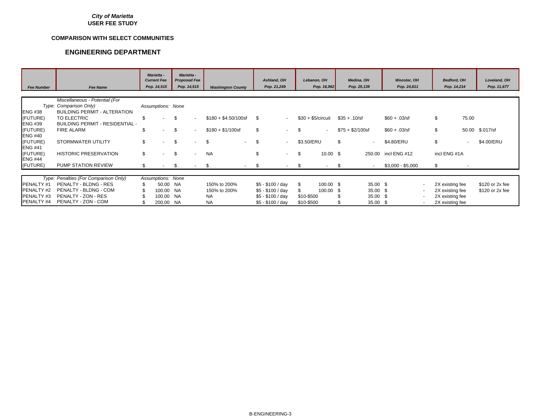#### **COMPARISON WITH SELECT COMMUNITIES**

|                   |                                        | Marietta -<br><b>Current Fee</b><br>Pop. 14,515 | Marietta -<br><b>Proposed Fee</b><br>Pop. 14,515 |                          |                                | Ashland, OH<br>Pop. 21,249 |      | Lebanon. OH<br>Pop. 16,962 |                     | Medina, OH<br>Pop. 25,139 | <b>Wooster, OH</b><br>Pop. 24,811 |                          | Bedford, OH<br>Pop. 14,214 |        | Loveland, OH<br>Pop. 11,677 |
|-------------------|----------------------------------------|-------------------------------------------------|--------------------------------------------------|--------------------------|--------------------------------|----------------------------|------|----------------------------|---------------------|---------------------------|-----------------------------------|--------------------------|----------------------------|--------|-----------------------------|
| <b>Fee Number</b> | <b>Fee Name</b>                        |                                                 |                                                  |                          | <b>Washington County</b>       |                            |      |                            |                     |                           |                                   |                          |                            |        |                             |
|                   | Miscellaneous - Potential (For         |                                                 |                                                  |                          |                                |                            |      |                            |                     |                           |                                   |                          |                            |        |                             |
|                   | Type: Comparison Only)                 | Assumptions: None                               |                                                  |                          |                                |                            |      |                            |                     |                           |                                   |                          |                            |        |                             |
| <b>ENG #38</b>    | <b>BUILDING PERMIT - ALTERATION</b>    |                                                 |                                                  |                          |                                |                            |      |                            |                     |                           |                                   |                          |                            |        |                             |
| (FUTURE)          | TO ELECTRIC                            | \$<br>$\blacksquare$                            | \$                                               | $\sim$                   | $$180 + $4.50/100$ sf          | \$.<br>$\blacksquare$      |      | $$30 + $5/c$ ircuit        |                     | $$35 + .10/sf$            | $$60 + .03/sf$                    |                          | \$                         | 75.00  |                             |
| <b>ENG #39</b>    | <b>BUILDING PERMIT - RESIDENTIAL -</b> |                                                 |                                                  |                          |                                |                            |      |                            |                     |                           |                                   |                          |                            |        |                             |
| (FUTURE)          | <b>FIRE ALARM</b>                      | \$<br>$\sim$                                    | \$                                               | $\sim$                   | $$180 + $1/100s$               | \$<br>$\sim$               | \$.  | $\sim$                     |                     | $$75 + $2/100sf$          | $$60 + .03/sf$                    |                          | \$                         | 50.00  | \$.017/sf                   |
| <b>ENG #40</b>    |                                        |                                                 |                                                  |                          |                                |                            |      |                            |                     |                           |                                   |                          |                            |        |                             |
| (FUTURE)          | <b>STORMWATER UTILITY</b>              | \$<br>$\sim$                                    | \$                                               | $\blacksquare$           | \$<br>$\overline{\phantom{a}}$ | \$<br>$\sim$               |      | \$3.50/ERU                 |                     | \$<br>$\sim$              | \$4.80/ERU                        |                          | \$                         | $\sim$ | \$4.00/ERU                  |
| <b>ENG #41</b>    |                                        |                                                 |                                                  |                          |                                |                            |      |                            |                     |                           |                                   |                          |                            |        |                             |
| (FUTURE)          | <b>HISTORIC PRESERVATION</b>           | \$<br>$\sim$                                    | \$                                               | $\overline{\phantom{a}}$ | <b>NA</b>                      | \$<br>$\sim$               | S    |                            | $10.00 \text{ }$ \$ | 250.00                    | incl ENG #12                      |                          | incl ENG #1A               |        |                             |
| <b>ENG #44</b>    |                                        |                                                 |                                                  |                          |                                |                            |      |                            |                     |                           |                                   |                          |                            |        |                             |
| (FUTURE)          | <b>PUMP STATION REVIEW</b>             | \$<br>$\sim$                                    | \$                                               |                          | \$                             | \$<br>$\sim$               | - \$ | ٠                          |                     | - \$<br>$\sim$            | \$3,000 - \$5,000                 |                          | \$                         |        |                             |
|                   |                                        |                                                 |                                                  |                          |                                |                            |      |                            |                     |                           |                                   |                          |                            |        |                             |
|                   | Type: Penalties (For Comparison Only)  | Assumptions: None                               |                                                  |                          |                                |                            |      |                            |                     |                           |                                   |                          |                            |        |                             |
| PENALTY #1        | PENALTY - BLDNG - RES                  | 50.00 NA                                        |                                                  |                          | 150% to 200%                   | $$5 - $100 / day$          | - \$ | 100.00 \$                  |                     | 35.00 \$                  |                                   | $\overline{\phantom{a}}$ | 2X existing fee            |        | \$120 or 2x fee             |
| PENALTY #2        | PENALTY - BLDNG - COM                  | 100.00 NA                                       |                                                  |                          | 150% to 200%                   | $$5 - $100 / day$          |      | 100.00 \$                  |                     | 35.00 \$                  |                                   | $\sim$                   | 2X existing fee            |        | \$120 or 2x fee             |
| PENALTY #3        | PENALTY - ZON - RES                    | 100.00 NA                                       |                                                  |                          | <b>NA</b>                      | $$5 - $100 / day$          |      | \$10-\$500                 |                     | 35.00 \$                  |                                   | $\overline{\phantom{a}}$ | 2X existing fee            |        |                             |
| PENALTY #4        | PENALTY - ZON - COM                    | 200.00 NA                                       |                                                  |                          | <b>NA</b>                      | $$5 - $100 / day$          |      | \$10-\$500                 |                     | 35.00 \$                  |                                   | $\sim$                   | 2X existing fee            |        |                             |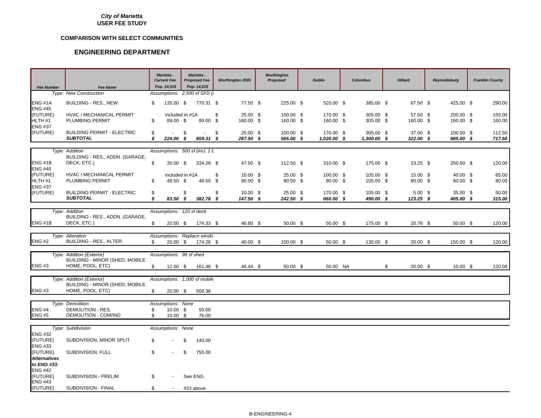#### **COMPARISON WITH SELECT COMMUNITIES**

| <b>Fee Number</b>                            | <b>Fee Name</b>                                             |          | Marietta -<br><b>Current Fee</b><br>Pop. 14,515 | Marietta -<br><b>Proposed Fee</b><br>Pop. 14,515 | <b>Worthington 2005</b>       | Worthington<br>Proposed | <b>Dublin</b>            | <b>Columbus</b>          | <b>Hillard</b>           | <b>Reynoldsburg</b>    | <b>Franklin County</b> |
|----------------------------------------------|-------------------------------------------------------------|----------|-------------------------------------------------|--------------------------------------------------|-------------------------------|-------------------------|--------------------------|--------------------------|--------------------------|------------------------|------------------------|
|                                              | <b>Type: New Construction</b>                               |          |                                                 | Assumptions: 2,500 sf SFD (                      |                               |                         |                          |                          |                          |                        |                        |
| ENG #1A<br><b>ENG #45</b>                    | <b>BUILDING - RES., NEW</b>                                 | \$       | 135.00 \$                                       | 770.31 \$                                        | 77.50 \$                      | 225.00 \$               | 520.00 \$                | 385.00 \$                | 67.50 \$                 | 425.00 \$              | 290.00                 |
| (FUTURE)<br>HLTH #1<br><b>ENG #37</b>        | HVAC / MECHANICAL PERMIT<br>PLUMBING PERMIT                 | \$       | included in #1A<br>89.00 \$                     | 89.00 \$                                         | \$<br>$25.00$ \$<br>160.00 \$ | 100.00 \$<br>160.00 \$  | 170.00 \$<br>160.00 \$   | 305.00 \$<br>305.00 \$   | 57.50 \$<br>160.00 \$    | 200.00 \$<br>160.00 \$ | 155.00<br>160.00       |
| (FUTURE)                                     | <b>BUILDING PERMIT - ELECTRIC</b><br><b>SUBTOTAL</b>        | \$<br>s. | 224.00 \$                                       | \$<br>$\sim$<br>859.31 \$                        | \$<br>25.00 \$<br>287.50 \$   | 100.00 \$<br>585.00 \$  | 170.00 \$<br>1,020.00 \$ | 305.00 \$<br>1,300.00 \$ | 37.00 \$<br>322.00 \$    | 100.00 \$<br>885.00 \$ | 112.50<br>717.50       |
|                                              |                                                             |          |                                                 |                                                  |                               |                         |                          |                          |                          |                        |                        |
|                                              | Type: Addition                                              |          |                                                 | Assumptions: 500 sf (incl. 1 k                   |                               |                         |                          |                          |                          |                        |                        |
| ENG #1B<br><b>ENG #45</b>                    | BUILDING - RES., ADDN. (GARAGE,<br>DECK, ETC.)              | \$       | 35.00 \$                                        | 334.28 \$                                        | 47.50 \$                      | 112.50 \$               | 310.00 \$                | 175.00 \$                | $23.25$ \$               | 250.00 \$              | 120.00                 |
| (FUTURE)                                     | HVAC / MECHANICAL PERMIT                                    |          | included in #1A                                 |                                                  | \$<br>$10.00 \text{ }$ \$     | 25.00 \$                | 100.00 \$                | 105.00 \$                | 15.00 \$                 | 40.00 \$               | 65.00                  |
| HLTH <sub>#1</sub><br><b>ENG #37</b>         | PLUMBING PERMIT                                             | \$       | 48.50 \$                                        | 48.50 \$                                         | 80.00 \$                      | 80.00 \$                | 80.00 \$                 | 105.00 \$                | 80.00 \$                 | 80.00 \$               | 80.00                  |
| (FUTURE)                                     | <b>BUILDING PERMIT - ELECTRIC</b><br><b>SUBTOTAL</b>        | S<br>\$  | 83.50 \$                                        | \$<br>382.78 \$                                  | \$<br>$10.00$ \$<br>147.50 \$ | 25.00 \$<br>$242.50$ \$ | 170.00 \$<br>660.00 \$   | 105.00 \$<br>490.00 \$   | $5.00$ \$<br>$123.25$ \$ | 35.00 \$<br>405.00 \$  | 50.00<br>315.00        |
|                                              |                                                             |          |                                                 |                                                  |                               |                         |                          |                          |                          |                        |                        |
|                                              | Type: Addition                                              |          | Assumptions: 120 sf deck                        |                                                  |                               |                         |                          |                          |                          |                        |                        |
| ENG #1B                                      | BUILDING - RES., ADDN. (GARAGE,<br>DECK, ETC.)              |          | $20.00 \text{ }$ \$                             | 174.33 \$                                        | 46.80 \$                      | 50.00 \$                | 50.00 \$                 | 175.00 \$                | 20.78 \$                 | $50.00$ \$             | 120.00                 |
|                                              |                                                             |          |                                                 |                                                  |                               |                         |                          |                          |                          |                        |                        |
| <b>ENG #2</b>                                | Type: Alteration<br>BUILDING - RES., ALTER.                 | \$.      | $20.00\quad$ \$                                 | Assumptions: Replace windo<br>174.26 \$          | 40.00 \$                      | 100.00 \$               | $50.00$ \$               | 130.00 \$                | $20.00$ \$               | 150.00 \$              | 120.00                 |
|                                              |                                                             |          |                                                 |                                                  |                               |                         |                          |                          |                          |                        |                        |
|                                              | Type: Addition (Exterior)<br>BUILDING - MINOR (SHED, MOBILE |          | Assumptions: 96 sf shed                         |                                                  |                               |                         |                          |                          |                          |                        |                        |
| <b>ENG #3</b>                                | HOME, POOL, ETC)                                            |          | $12.50$ \$                                      | 161.46 \$                                        | 46.44 \$                      | 50.00 \$                | 50.00 NA                 |                          | \$<br>$20.00$ \$         | $10.00 \text{ }$ \$    | 120.00                 |
|                                              | Type: Addition (Exterior)                                   |          |                                                 | Assumptions: 1,000 sf mobile                     |                               |                         |                          |                          |                          |                        |                        |
|                                              | <b>BUILDING - MINOR (SHED, MOBILE</b>                       |          |                                                 |                                                  |                               |                         |                          |                          |                          |                        |                        |
| <b>ENG #3</b>                                | HOME, POOL, ETC)                                            | \$       | $20.00\frac{1}{9}$                              | 500.38                                           |                               |                         |                          |                          |                          |                        |                        |
|                                              |                                                             |          |                                                 |                                                  |                               |                         |                          |                          |                          |                        |                        |
|                                              | Type: Demolition                                            |          | Assumptions: None                               |                                                  |                               |                         |                          |                          |                          |                        |                        |
| <b>ENG #4</b>                                | DEMOLITION - RES.                                           | \$       | 10.00 \$                                        | 55.00                                            |                               |                         |                          |                          |                          |                        |                        |
| <b>ENG #5</b>                                | DEMOLITION - COM/IND                                        | \$       | $10.00$ \$                                      | 76.00                                            |                               |                         |                          |                          |                          |                        |                        |
|                                              | Type: Subdivision                                           |          | Assumptions: None                               |                                                  |                               |                         |                          |                          |                          |                        |                        |
| <b>ENG #32</b>                               |                                                             |          |                                                 |                                                  |                               |                         |                          |                          |                          |                        |                        |
| (FUTURE)<br><b>ENG #33</b>                   | SUBDIVISION, MINOR SPLIT                                    | \$       |                                                 | \$<br>140.00                                     |                               |                         |                          |                          |                          |                        |                        |
| (FUTURE)<br><b>Alternatives</b>              | SUBDIVISION, FULL                                           | \$       |                                                 | \$<br>755.00                                     |                               |                         |                          |                          |                          |                        |                        |
| to ENG #33:                                  |                                                             |          |                                                 |                                                  |                               |                         |                          |                          |                          |                        |                        |
| <b>ENG #42</b><br>(FUTURE)<br><b>ENG #43</b> | SUBDIVISION - PRELIM                                        | \$       |                                                 | See ENG                                          |                               |                         |                          |                          |                          |                        |                        |
| (FUTURE)                                     | SUBDIVISION - FINAL                                         | \$       |                                                 | #33 above                                        |                               |                         |                          |                          |                          |                        |                        |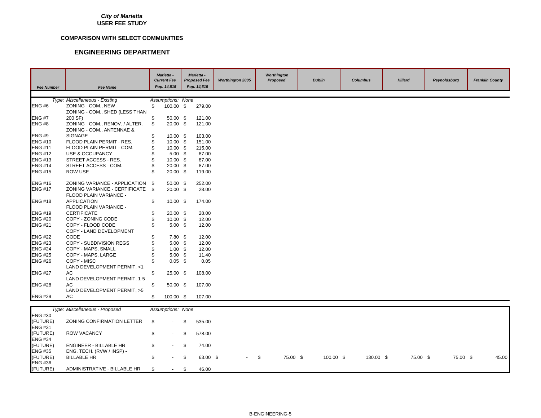#### **COMPARISON WITH SELECT COMMUNITIES**

| <b>Fee Number</b> | <b>Fee Name</b>                            |          | Marietta -<br><b>Current Fee</b><br>Pop. 14,515 |    | Marietta -<br><b>Proposed Fee</b><br>Pop. 14,515 | <b>Worthington 2005</b> | Worthington<br>Proposed | <b>Dublin</b> | <b>Columbus</b> | <b>Hillard</b> | <b>Reynoldsburg</b> | <b>Franklin County</b> |
|-------------------|--------------------------------------------|----------|-------------------------------------------------|----|--------------------------------------------------|-------------------------|-------------------------|---------------|-----------------|----------------|---------------------|------------------------|
|                   |                                            |          |                                                 |    |                                                  |                         |                         |               |                 |                |                     |                        |
|                   | Type: Miscellaneous - Existing             |          | Assumptions: None                               |    |                                                  |                         |                         |               |                 |                |                     |                        |
| <b>ENG #6</b>     | ZONING - COM., NEW                         | \$       | 100.00 \$                                       |    | 279.00                                           |                         |                         |               |                 |                |                     |                        |
| <b>ENG #7</b>     | ZONING - COM., SHED (LESS THAN<br>200 SF)  |          | $50.00$ \$                                      |    | 121.00                                           |                         |                         |               |                 |                |                     |                        |
| <b>ENG #8</b>     | ZONING - COM., RENOV. / ALTER.             | \$<br>\$ | 20.00 \$                                        |    | 121.00                                           |                         |                         |               |                 |                |                     |                        |
|                   | ZONING - COM., ANTENNAE &                  |          |                                                 |    |                                                  |                         |                         |               |                 |                |                     |                        |
| <b>ENG #9</b>     | <b>SIGNAGE</b>                             | \$       | $10.00 \text{ }$ \$                             |    | 103.00                                           |                         |                         |               |                 |                |                     |                        |
| <b>ENG #10</b>    | FLOOD PLAIN PERMIT - RES.                  | \$       | $10.00$ \$                                      |    | 151.00                                           |                         |                         |               |                 |                |                     |                        |
| <b>ENG #11</b>    | FLOOD PLAIN PERMIT - COM.                  | \$       | $10.00 \text{ }$ \$                             |    | 215.00                                           |                         |                         |               |                 |                |                     |                        |
| <b>ENG #12</b>    | USE & OCCUPANCY                            |          | $5.00$ \$                                       |    | 87.00                                            |                         |                         |               |                 |                |                     |                        |
| <b>ENG #13</b>    | STREET ACCESS - RES.                       | \$       | $10.00$ \$                                      |    | 87.00                                            |                         |                         |               |                 |                |                     |                        |
| <b>ENG #14</b>    | STREET ACCESS - COM.                       | \$       | $20.00$ \$                                      |    | 87.00                                            |                         |                         |               |                 |                |                     |                        |
| <b>ENG #15</b>    | <b>ROW USE</b>                             | \$       | $20.00$ \$                                      |    | 119.00                                           |                         |                         |               |                 |                |                     |                        |
| <b>ENG #16</b>    | ZONING VARIANCE - APPLICATION              | -\$      | 50.00 \$                                        |    | 252.00                                           |                         |                         |               |                 |                |                     |                        |
| <b>ENG #17</b>    | ZONING VARIANCE - CERTIFICATE \$           |          | $20.00$ \$                                      |    | 28.00                                            |                         |                         |               |                 |                |                     |                        |
|                   | FLOOD PLAIN VARIANCE -                     |          |                                                 |    |                                                  |                         |                         |               |                 |                |                     |                        |
| <b>ENG #18</b>    | <b>APPLICATION</b>                         | \$       | $10.00$ \$                                      |    | 174.00                                           |                         |                         |               |                 |                |                     |                        |
|                   | FLOOD PLAIN VARIANCE -                     |          |                                                 |    |                                                  |                         |                         |               |                 |                |                     |                        |
| <b>ENG #19</b>    | <b>CERTIFICATE</b>                         | \$       | $20.00\quad$ \$                                 |    | 28.00                                            |                         |                         |               |                 |                |                     |                        |
| <b>ENG #20</b>    | COPY - ZONING CODE                         | \$       | $10.00 \text{ }$ \$                             |    | 12.00                                            |                         |                         |               |                 |                |                     |                        |
| <b>ENG #21</b>    | COPY - FLOOD CODE                          | \$       | $5.00$ \$                                       |    | 12.00                                            |                         |                         |               |                 |                |                     |                        |
|                   | COPY - LAND DEVELOPMENT                    |          |                                                 |    |                                                  |                         |                         |               |                 |                |                     |                        |
| <b>ENG #22</b>    | CODE                                       | \$       | $7.80$ \$                                       |    | 12.00                                            |                         |                         |               |                 |                |                     |                        |
| <b>ENG #23</b>    | COPY - SUBDIVISION REGS                    | \$       | $5.00$ \$                                       |    | 12.00                                            |                         |                         |               |                 |                |                     |                        |
| <b>ENG #24</b>    | COPY - MAPS, SMALL                         |          | $1.00$ \$                                       |    | 12.00                                            |                         |                         |               |                 |                |                     |                        |
| <b>ENG #25</b>    | COPY - MAPS, LARGE                         | \$       | $5.00$ \$                                       |    | 11.40                                            |                         |                         |               |                 |                |                     |                        |
| <b>ENG #26</b>    | COPY - MISC<br>LAND DEVELOPMENT PERMIT, <1 | \$       | $0.05$ \$                                       |    | 0.05                                             |                         |                         |               |                 |                |                     |                        |
| <b>ENG #27</b>    | AC                                         | \$       | 25.00 \$                                        |    | 108.00                                           |                         |                         |               |                 |                |                     |                        |
|                   | LAND DEVELOPMENT PERMIT, 1-5               |          |                                                 |    |                                                  |                         |                         |               |                 |                |                     |                        |
| <b>ENG #28</b>    | AC                                         | \$       | $50.00$ \$                                      |    | 107.00                                           |                         |                         |               |                 |                |                     |                        |
|                   | LAND DEVELOPMENT PERMIT, >5                |          |                                                 |    |                                                  |                         |                         |               |                 |                |                     |                        |
| <b>ENG #29</b>    | AC                                         | \$       | 100.00 \$                                       |    | 107.00                                           |                         |                         |               |                 |                |                     |                        |
|                   | Type: Miscellaneous - Proposed             |          | Assumptions: None                               |    |                                                  |                         |                         |               |                 |                |                     |                        |
| <b>ENG #30</b>    |                                            |          |                                                 |    |                                                  |                         |                         |               |                 |                |                     |                        |
| (FUTURE)          | ZONING CONFIRMATION LETTER                 | S.       |                                                 | ß. | 535.00                                           |                         |                         |               |                 |                |                     |                        |
| <b>ENG #31</b>    |                                            |          |                                                 |    |                                                  |                         |                         |               |                 |                |                     |                        |
| (FUTURE)          | <b>ROW VACANCY</b>                         | \$       | $\sim$                                          | \$ | 578.00                                           |                         |                         |               |                 |                |                     |                        |

| <b>ENG #34</b> |                                     |                               |  |                          |  |          |             |           |          |          |       |
|----------------|-------------------------------------|-------------------------------|--|--------------------------|--|----------|-------------|-----------|----------|----------|-------|
| (FUTURE)       | ENGINEER - BILLABLE HR              |                               |  | $\texttt{\$}$ 5 74.00    |  |          |             |           |          |          |       |
|                |                                     |                               |  |                          |  |          |             |           |          |          |       |
| <b>ENG #35</b> | ENG. TECH. (RVW / INSP) -           |                               |  |                          |  |          |             |           |          |          |       |
| (FUTURE)       | BILLABLE HR                         | $\texttt{\$}$ - $\texttt{\$}$ |  | $63.00 \text{ \& }$ - \$ |  | 75.00 \$ | $100.00$ \$ | 130.00 \$ | 75.00 \$ | 75.00 \$ | 45.00 |
| <b>ENG #36</b> |                                     |                               |  |                          |  |          |             |           |          |          |       |
| (FUTURE)       | ADMINISTRATIVE - BILLABLE HR \$40 - |                               |  | 46.00                    |  |          |             |           |          |          |       |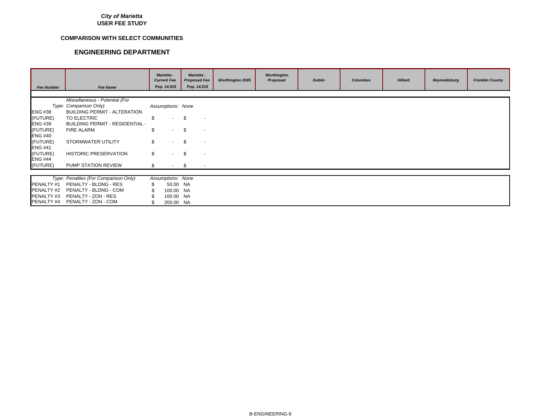#### **COMPARISON WITH SELECT COMMUNITIES**

| <b>Fee Number</b> | <b>Fee Name</b>                        |     | <b>Marietta -</b><br><b>Current Fee</b><br>Pop. 14,515 | <b>Marietta -</b><br><b>Proposed Fee</b><br>Pop. 14,515 |                          | <b>Worthington 2005</b> | Worthington<br>Proposed | <b>Dublin</b> | <b>Columbus</b> | <b>Hillard</b> | Reynoldsburg | <b>Franklin County</b> |
|-------------------|----------------------------------------|-----|--------------------------------------------------------|---------------------------------------------------------|--------------------------|-------------------------|-------------------------|---------------|-----------------|----------------|--------------|------------------------|
|                   |                                        |     |                                                        |                                                         |                          |                         |                         |               |                 |                |              |                        |
|                   | Miscellaneous - Potential (For         |     |                                                        |                                                         |                          |                         |                         |               |                 |                |              |                        |
|                   | Type: Comparison Only)                 |     | Assumptions: None                                      |                                                         |                          |                         |                         |               |                 |                |              |                        |
| <b>ENG #38</b>    | <b>BUILDING PERMIT - ALTERATION</b>    |     |                                                        |                                                         |                          |                         |                         |               |                 |                |              |                        |
| (FUTURE)          | TO ELECTRIC                            | \$  | $\sim$                                                 | \$.                                                     |                          |                         |                         |               |                 |                |              |                        |
| <b>ENG #39</b>    | <b>BUILDING PERMIT - RESIDENTIAL -</b> |     |                                                        |                                                         |                          |                         |                         |               |                 |                |              |                        |
| (FUTURE)          | FIRE ALARM                             | \$  |                                                        | \$                                                      |                          |                         |                         |               |                 |                |              |                        |
| <b>ENG #40</b>    |                                        |     |                                                        |                                                         |                          |                         |                         |               |                 |                |              |                        |
| (FUTURE)          | STORMWATER UTILITY                     | \$  | $\sim$                                                 | \$.                                                     | $\overline{\phantom{a}}$ |                         |                         |               |                 |                |              |                        |
| <b>ENG #41</b>    |                                        |     |                                                        |                                                         |                          |                         |                         |               |                 |                |              |                        |
| (FUTURE)          | HISTORIC PRESERVATION                  | \$  |                                                        | \$.                                                     | $\overline{\phantom{a}}$ |                         |                         |               |                 |                |              |                        |
| <b>ENG #44</b>    |                                        |     |                                                        |                                                         |                          |                         |                         |               |                 |                |              |                        |
| (FUTURE)          | PUMP STATION REVIEW                    | \$. | <b>Contract</b>                                        | - \$                                                    |                          |                         |                         |               |                 |                |              |                        |
|                   |                                        |     |                                                        |                                                         |                          |                         |                         |               |                 |                |              |                        |
|                   | Type: Penalties (For Comparison Only)  |     | Assumptions: None                                      |                                                         |                          |                         |                         |               |                 |                |              |                        |
| PENALTY #1        | PENALTY - BLDNG - RES                  |     | 50.00 NA                                               |                                                         |                          |                         |                         |               |                 |                |              |                        |
| PENALTY #2        | PENALTY - BLDNG - COM                  |     | 100.00 NA                                              |                                                         |                          |                         |                         |               |                 |                |              |                        |
| PENALTY#3         | PENALTY - ZON - RES                    |     | 100.00 NA                                              |                                                         |                          |                         |                         |               |                 |                |              |                        |
| PENALTY #4        | PENALTY - ZON - COM                    |     | 200.00 NA                                              |                                                         |                          |                         |                         |               |                 |                |              |                        |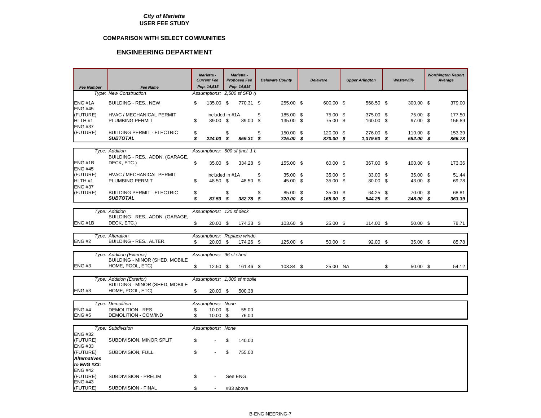#### **COMPARISON WITH SELECT COMMUNITIES**

| <b>Fee Number</b>                                | <b>Fee Name</b>                                      | <b>Current Fee</b> | Marietta -<br>Pop. 14,515   |      | Marietta -<br><b>Proposed Fee</b><br>Pop. 14,515 |          | <b>Delaware County</b> | <b>Delaware</b>        | <b>Upper Arlington</b>   | Westerville            | <b>Worthington Report</b><br>Average |
|--------------------------------------------------|------------------------------------------------------|--------------------|-----------------------------|------|--------------------------------------------------|----------|------------------------|------------------------|--------------------------|------------------------|--------------------------------------|
|                                                  | Type: New Construction                               |                    |                             |      | Assumptions: 2,500 sf SFD (i)                    |          |                        |                        |                          |                        |                                      |
| <b>ENG #1A</b><br><b>ENG #45</b>                 | <b>BUILDING - RES., NEW</b>                          | \$                 | 135.00 \$                   |      | 770.31 \$                                        |          | 255.00 \$              | 600.00 \$              | 568.50 \$                | 300.00 \$              | 379.00                               |
| (FUTURE)<br>HLTH <sub>#1</sub><br><b>ENG #37</b> | HVAC / MECHANICAL PERMIT<br>PLUMBING PERMIT          | \$                 | included in #1A<br>89.00 \$ |      | 89.00                                            | \$<br>\$ | 185.00 \$<br>135.00 \$ | 75.00 \$<br>75.00 \$   | 375.00 \$<br>160.00 \$   | 75.00 \$<br>97.00 \$   | 177.50<br>156.89                     |
| (FUTURE)                                         | <b>BUILDING PERMIT - ELECTRIC</b><br><b>SUBTOTAL</b> | \$<br>\$           | $\overline{a}$<br>224.00 \$ | \$   | ÷,<br>859.31 \$                                  | \$       | 150.00 \$<br>725.00 \$ | 120.00 \$<br>870.00 \$ | 276.00 \$<br>1,379.50 \$ | 110.00 \$<br>582.00 \$ | 153.39<br>866.78                     |
|                                                  |                                                      |                    |                             |      |                                                  |          |                        |                        |                          |                        |                                      |
|                                                  | Type: Addition                                       |                    |                             |      | Assumptions: 500 sf (incl. 1 k                   |          |                        |                        |                          |                        |                                      |
| ENG#1B<br><b>ENG #45</b>                         | BUILDING - RES., ADDN. (GARAGE,<br>DECK, ETC.)       | \$                 | 35.00 \$                    |      | 334.28 \$                                        |          | 155.00 \$              | 60.00 \$               | 367.00 \$                | 100.00 \$              | 173.36                               |
| (FUTURE)                                         | HVAC / MECHANICAL PERMIT                             |                    | included in #1A             |      |                                                  | \$       | 35.00 \$               | 35.00 \$               | 33.00 \$                 | 35.00 \$               | 51.44                                |
| HLTH <sub>#1</sub><br><b>ENG #37</b>             | PLUMBING PERMIT                                      | \$                 | 48.50 \$                    |      | 48.50                                            | \$       | 45.00 \$               | 35.00 \$               | 80.00 \$                 | 43.00 \$               | 69.78                                |
| (FUTURE)                                         | <b>BUILDING PERMIT - ELECTRIC</b>                    | \$                 |                             | \$   |                                                  | \$       | 85.00 \$               | 35.00 \$               | 64.25 \$                 | 70.00 \$               | 68.81                                |
|                                                  | <b>SUBTOTAL</b>                                      | \$                 | 83.50 \$                    |      | 382.78 \$                                        |          | 320.00 \$              | 165.00 \$              | 544.25 \$                | 248.00 \$              | 363.39                               |
|                                                  | Type: Addition                                       |                    | Assumptions: 120 sf deck    |      |                                                  |          |                        |                        |                          |                        |                                      |
|                                                  | BUILDING - RES., ADDN. (GARAGE,                      |                    |                             |      |                                                  |          |                        |                        |                          |                        |                                      |
| ENG#1B                                           | DECK, ETC.)                                          | \$                 | $20.00 \text{ }$ \$         |      | 174.33 \$                                        |          | 103.60 \$              | $25.00$ \$             | 114.00 \$                | $50.00$ \$             | 78.71                                |
|                                                  | Type: Alteration                                     |                    |                             |      | Assumptions: Replace windo                       |          |                        |                        |                          |                        |                                      |
| <b>ENG#2</b>                                     | BUILDING - RES., ALTER.                              | \$                 | $20.00\quad$ \$             |      | 174.26 \$                                        |          | 125.00 \$              | 50.00 \$               | 92.00 \$                 | 35.00 \$               | 85.78                                |
|                                                  | Type: Addition (Exterior)                            |                    | Assumptions: 96 sf shed     |      |                                                  |          |                        |                        |                          |                        |                                      |
|                                                  | BUILDING - MINOR (SHED, MOBILE                       |                    |                             |      |                                                  |          |                        |                        |                          |                        |                                      |
| <b>ENG#3</b>                                     | HOME, POOL, ETC)                                     | \$                 | $12.50$ \$                  |      | 161.46 \$                                        |          | 103.84 \$              | 25.00 NA               |                          | \$<br>$50.00$ \$       | 54.12                                |
|                                                  | Type: Addition (Exterior)                            |                    |                             |      | Assumptions: 1,000 sf mobile                     |          |                        |                        |                          |                        |                                      |
|                                                  | <b>BUILDING - MINOR (SHED, MOBILE</b>                |                    |                             |      |                                                  |          |                        |                        |                          |                        |                                      |
| <b>ENG#3</b>                                     | HOME, POOL, ETC)                                     | \$                 | $20.00$ \$                  |      | 500.38                                           |          |                        |                        |                          |                        |                                      |
|                                                  |                                                      |                    |                             |      |                                                  |          |                        |                        |                          |                        |                                      |
| <b>ENG #4</b>                                    | Type: Demolition<br>DEMOLITION - RES.                | \$                 | Assumptions: None<br>10.00  | - \$ | 55.00                                            |          |                        |                        |                          |                        |                                      |
| <b>ENG#5</b>                                     | DEMOLITION - COM/IND                                 | \$                 | $10.00$ \$                  |      | 76.00                                            |          |                        |                        |                          |                        |                                      |
|                                                  |                                                      |                    |                             |      |                                                  |          |                        |                        |                          |                        |                                      |
|                                                  | Type: Subdivision                                    |                    | Assumptions: None           |      |                                                  |          |                        |                        |                          |                        |                                      |
| <b>ENG #32</b><br>(FUTURE)                       | SUBDIVISION, MINOR SPLIT                             | \$                 |                             | \$   | 140.00                                           |          |                        |                        |                          |                        |                                      |
| <b>ENG #33</b><br>(FUTURE)                       | SUBDIVISION, FULL                                    | \$                 |                             | \$   | 755.00                                           |          |                        |                        |                          |                        |                                      |
| <b>Alternatives</b><br>to ENG #33:               |                                                      |                    |                             |      |                                                  |          |                        |                        |                          |                        |                                      |
| <b>ENG #42</b>                                   |                                                      |                    |                             |      |                                                  |          |                        |                        |                          |                        |                                      |
| (FUTURE)<br><b>ENG #43</b>                       | SUBDIVISION - PRELIM                                 | \$                 |                             |      | See ENG                                          |          |                        |                        |                          |                        |                                      |
| (FUTURE)                                         | SUBDIVISION - FINAL                                  | \$                 |                             |      | #33 above                                        |          |                        |                        |                          |                        |                                      |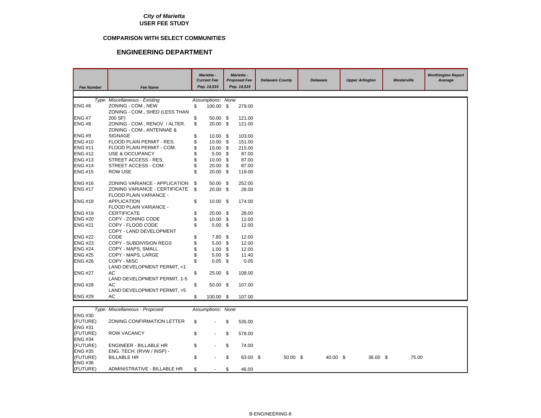#### **COMPARISON WITH SELECT COMMUNITIES**

| <b>Fee Number</b> | <b>Fee Name</b>                                             | Marietta -<br><b>Current Fee</b><br>Pop. 14,515 |                     | Marietta -<br><b>Proposed Fee</b><br>Pop. 14,515 | <b>Delaware County</b> | <b>Delaware</b> | <b>Upper Arlington</b> | Westerville | <b>Worthington Report</b><br>Average |
|-------------------|-------------------------------------------------------------|-------------------------------------------------|---------------------|--------------------------------------------------|------------------------|-----------------|------------------------|-------------|--------------------------------------|
|                   |                                                             |                                                 |                     |                                                  |                        |                 |                        |             |                                      |
|                   | Type: Miscellaneous - Existing                              | Assumptions: None                               |                     |                                                  |                        |                 |                        |             |                                      |
| <b>ENG#6</b>      | ZONING - COM., NEW<br>ZONING - COM., SHED (LESS THAN        | \$                                              | 100.00 \$           | 279.00                                           |                        |                 |                        |             |                                      |
| <b>ENG #7</b>     | 200 SF)                                                     | \$                                              | 50.00 \$            | 121.00                                           |                        |                 |                        |             |                                      |
| <b>ENG#8</b>      | ZONING - COM., RENOV. / ALTER.<br>ZONING - COM., ANTENNAE & | \$                                              | $20.00$ \$          | 121.00                                           |                        |                 |                        |             |                                      |
| <b>ENG#9</b>      | <b>SIGNAGE</b>                                              | \$                                              | $10.00$ \$          | 103.00                                           |                        |                 |                        |             |                                      |
| <b>ENG #10</b>    | FLOOD PLAIN PERMIT - RES.                                   | \$                                              | $10.00$ \$          | 151.00                                           |                        |                 |                        |             |                                      |
| <b>ENG #11</b>    | FLOOD PLAIN PERMIT - COM.                                   | \$                                              | $10.00$ \$          | 215.00                                           |                        |                 |                        |             |                                      |
| <b>ENG #12</b>    | USE & OCCUPANCY                                             | \$                                              | $5.00$ \$           | 87.00                                            |                        |                 |                        |             |                                      |
| <b>ENG #13</b>    | STREET ACCESS - RES.                                        |                                                 | $10.00$ \$          | 87.00                                            |                        |                 |                        |             |                                      |
| <b>ENG #14</b>    | STREET ACCESS - COM.                                        | \$                                              | 20.00 \$            | 87.00                                            |                        |                 |                        |             |                                      |
| <b>ENG #15</b>    | <b>ROW USE</b>                                              | \$                                              | $20.00$ \$          | 119.00                                           |                        |                 |                        |             |                                      |
| <b>ENG#16</b>     | ZONING VARIANCE - APPLICATION                               | S                                               | 50.00 \$            | 252.00                                           |                        |                 |                        |             |                                      |
| <b>ENG #17</b>    | ZONING VARIANCE - CERTIFICATE<br>FLOOD PLAIN VARIANCE -     | \$                                              | $20.00\quad$ \$     | 28.00                                            |                        |                 |                        |             |                                      |
| <b>ENG #18</b>    | <b>APPLICATION</b><br>FLOOD PLAIN VARIANCE -                | \$                                              | $10.00 \text{ }$ \$ | 174.00                                           |                        |                 |                        |             |                                      |
| <b>ENG #19</b>    | <b>CERTIFICATE</b>                                          | \$                                              | $20.00\quad$ \$     | 28.00                                            |                        |                 |                        |             |                                      |
| <b>ENG #20</b>    | COPY - ZONING CODE                                          | \$                                              | $10.00 \text{ }$ \$ | 12.00                                            |                        |                 |                        |             |                                      |
| <b>ENG #21</b>    | COPY - FLOOD CODE<br>COPY - LAND DEVELOPMENT                | \$                                              | $5.00$ \$           | 12.00                                            |                        |                 |                        |             |                                      |
| <b>ENG #22</b>    | CODE                                                        | \$                                              | $7.80$ \$           | 12.00                                            |                        |                 |                        |             |                                      |
| <b>ENG #23</b>    | COPY - SUBDIVISION REGS                                     | \$                                              | $5.00$ \$           | 12.00                                            |                        |                 |                        |             |                                      |
| <b>ENG #24</b>    | COPY - MAPS, SMALL                                          | \$                                              | $1.00$ \$           | 12.00                                            |                        |                 |                        |             |                                      |
| <b>ENG #25</b>    | COPY - MAPS, LARGE                                          | \$                                              | $5.00$ \$           | 11.40                                            |                        |                 |                        |             |                                      |
| <b>ENG #26</b>    | COPY - MISC<br>LAND DEVELOPMENT PERMIT, <1                  |                                                 | $0.05$ \$           | 0.05                                             |                        |                 |                        |             |                                      |
| <b>ENG #27</b>    | AC<br>LAND DEVELOPMENT PERMIT, 1-5                          | \$                                              | $25.00$ \$          | 108.00                                           |                        |                 |                        |             |                                      |
| <b>ENG #28</b>    | AC<br>LAND DEVELOPMENT PERMIT. > 5                          | \$                                              | 50.00 \$            | 107.00                                           |                        |                 |                        |             |                                      |
| <b>ENG #29</b>    | AC                                                          | S                                               | 100.00 \$           | 107.00                                           |                        |                 |                        |             |                                      |
| <b>ENG #30</b>    | Type: Miscellaneous - Proposed                              | Assumptions: None                               |                     |                                                  |                        |                 |                        |             |                                      |

|                | Type: Miscellaneous - Proposed    | Assumptions: None |                          |   |          |            |                     |            |       |
|----------------|-----------------------------------|-------------------|--------------------------|---|----------|------------|---------------------|------------|-------|
| <b>ENG #30</b> |                                   |                   |                          |   |          |            |                     |            |       |
| (FUTURE)       | <b>ZONING CONFIRMATION LETTER</b> | S                 | $\overline{\phantom{a}}$ |   | 535.00   |            |                     |            |       |
| <b>ENG #31</b> |                                   |                   |                          |   |          |            |                     |            |       |
| (FUTURE)       | <b>ROW VACANCY</b>                | \$                | $\blacksquare$           |   | 578.00   |            |                     |            |       |
| <b>ENG #34</b> |                                   |                   |                          |   |          |            |                     |            |       |
| (FUTURE)       | <b>ENGINEER - BILLABLE HR</b>     |                   | $\sim$                   |   | 74.00    |            |                     |            |       |
| <b>ENG #35</b> | ENG. TECH. (RVW / INSP) -         |                   |                          |   |          |            |                     |            |       |
| (FUTURE)       | <b>BILLABLE HR</b>                |                   | $\sim$                   | S | 63.00 \$ | $50.00$ \$ | $40.00 \text{ }$ \$ | $36.00$ \$ | 75.00 |
| <b>ENG #36</b> |                                   |                   |                          |   |          |            |                     |            |       |
| (FUTURE)       | ADMINISTRATIVE - BILLABLE HR      |                   | $\overline{\phantom{a}}$ |   | 46.00    |            |                     |            |       |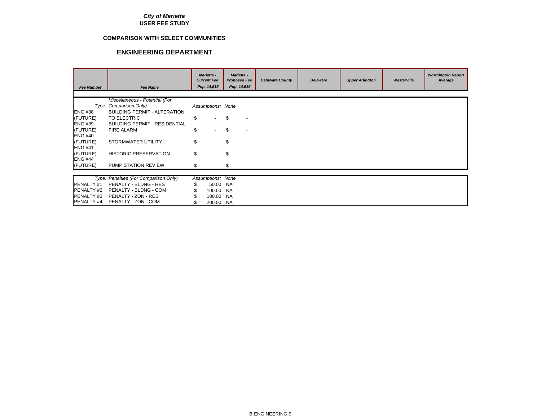#### **COMPARISON WITH SELECT COMMUNITIES**

| <b>Fee Number</b> | <b>Fee Name</b>                        | <b>Marietta -</b><br><b>Current Fee</b><br>Pop. 14,515 | <b>Marietta -</b><br><b>Proposed Fee</b><br>Pop. 14,515 | <b>Delaware County</b> | <b>Delaware</b> | <b>Upper Arlington</b> | Westerville | <b>Worthington Report</b><br>Average |
|-------------------|----------------------------------------|--------------------------------------------------------|---------------------------------------------------------|------------------------|-----------------|------------------------|-------------|--------------------------------------|
|                   |                                        |                                                        |                                                         |                        |                 |                        |             |                                      |
|                   | Miscellaneous - Potential (For         |                                                        |                                                         |                        |                 |                        |             |                                      |
|                   | Type: Comparison Only)                 | Assumptions: None                                      |                                                         |                        |                 |                        |             |                                      |
| <b>ENG #38</b>    | <b>BUILDING PERMIT - ALTERATION</b>    |                                                        |                                                         |                        |                 |                        |             |                                      |
| (FUTURE)          | TO ELECTRIC                            | \$                                                     | \$.                                                     |                        |                 |                        |             |                                      |
| <b>ENG #39</b>    | <b>BUILDING PERMIT - RESIDENTIAL -</b> |                                                        |                                                         |                        |                 |                        |             |                                      |
| (FUTURE)          | <b>FIRE ALARM</b>                      | \$                                                     | \$.                                                     |                        |                 |                        |             |                                      |
| <b>ENG #40</b>    |                                        |                                                        |                                                         |                        |                 |                        |             |                                      |
| (FUTURE)          | STORMWATER UTILITY                     | \$                                                     | \$.                                                     |                        |                 |                        |             |                                      |
| <b>ENG #41</b>    |                                        |                                                        |                                                         |                        |                 |                        |             |                                      |
| (FUTURE)          | <b>HISTORIC PRESERVATION</b>           | \$                                                     | \$                                                      |                        |                 |                        |             |                                      |
| <b>ENG #44</b>    |                                        |                                                        |                                                         |                        |                 |                        |             |                                      |
| (FUTURE)          | <b>PUMP STATION REVIEW</b>             | \$                                                     | -\$                                                     |                        |                 |                        |             |                                      |
|                   |                                        |                                                        |                                                         |                        |                 |                        |             |                                      |
|                   | Type: Penalties (For Comparison Only)  | Assumptions: None                                      |                                                         |                        |                 |                        |             |                                      |
| PENALTY #1        | PENALTY - BLDNG - RES                  | \$<br>50.00 NA                                         |                                                         |                        |                 |                        |             |                                      |
| PENALTY #2        | PENALTY - BLDNG - COM                  | 100.00                                                 | NA.                                                     |                        |                 |                        |             |                                      |
| PENALTY #3        | PENALTY - ZON - RES                    | 100.00                                                 | <b>NA</b>                                               |                        |                 |                        |             |                                      |
| PENALTY #4        | PENALTY - ZON - COM                    | 200.00 NA                                              |                                                         |                        |                 |                        |             |                                      |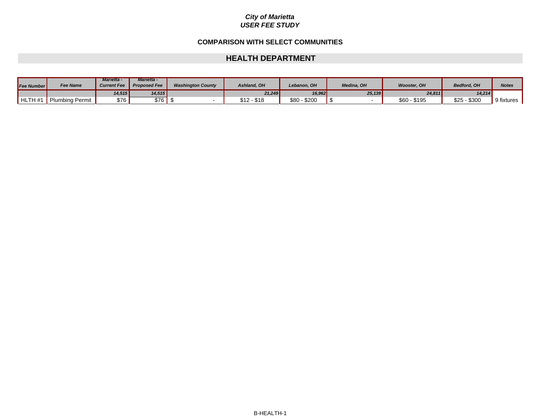#### **COMPARISON WITH SELECT COMMUNITIES**

#### **HEALTH DEPARTMENT**

| <b>Fee Number</b> | <b>Fee Name</b> | <b>Marietta -</b><br><b>Current Fee</b> | <b>Marietta -</b><br><b>Proposed Fee</b> | <b>Washington County</b> | Ashland, OH | Lebanon. OH      | Medina, OH | <b>Wooster, OH</b>       | <b>Bedford, OH</b> | Note:      |
|-------------------|-----------------|-----------------------------------------|------------------------------------------|--------------------------|-------------|------------------|------------|--------------------------|--------------------|------------|
|                   |                 | 14,515                                  | 14,515                                   |                          | 21,249      | 16,962           | 25,139     | 24,811                   | 14.214             |            |
| HLTH #1           | Plumbing Permit | \$76 l                                  | \$76                                     |                          | \$12 - \$18 | $$80 -$<br>\$200 |            | <b>\$60</b><br>$-$ \$195 | $$25 - $300$       | 9 fixtures |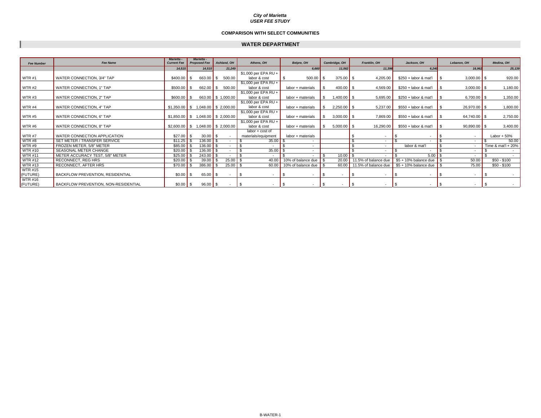#### **COMPARISON WITH SELECT COMMUNITIES**

#### **WATER DEPARTMENT**

| <b>Fee Number</b> | <b>Fee Name</b>                             | <b>Marietta</b><br><b>Current Fee</b> | <b>Marietta</b><br><b>Proposed Fee</b> | Ashland, OH        |        | Athens, OH               | Belpre, OH                  |     | Cambridge, OH |      | Franklin, OH               | Jackson, OH             |    | Lebanon, OH         | Medina, OH            |
|-------------------|---------------------------------------------|---------------------------------------|----------------------------------------|--------------------|--------|--------------------------|-----------------------------|-----|---------------|------|----------------------------|-------------------------|----|---------------------|-----------------------|
|                   |                                             | 14,515                                | 14,515                                 |                    | 21.249 |                          | 6,660                       |     | 11,562        |      | 11.396                     | 6,240                   |    | 16.962              | 25,139                |
|                   |                                             |                                       |                                        |                    |        | \$1,000 per EPA RU +     |                             |     |               |      |                            |                         |    |                     |                       |
| <b>WTR#1</b>      | WATER CONNECTION, 3/4" TAP                  | $$400.00$ \$                          | 663.00 \$                              | 500.00             |        | labor & cost             | $\mathbf{s}$<br>$500.00$ \$ |     | $375.00$ \$   |      | 4,205.00                   | \$250 + labor & mat'l   |    | $3,000.00$ \$       | 920.00                |
|                   |                                             |                                       |                                        |                    |        | \$1,000 per EPA RU +     |                             |     |               |      |                            |                         |    |                     |                       |
| WTR#2             | WATER CONNECTION, 1" TAP                    | $$500.00$ \$                          | $662.00$ \$                            | 500.00             |        | labor & cost             | labor + materials           | -SS | $400.00$ \$   |      | 4,569.00                   | \$250 + labor & mat'l   |    | $3,000.00$ \$       | 1,180.00              |
|                   |                                             |                                       |                                        |                    |        | $$1,000$ per EPA RU +    |                             |     |               |      |                            |                         |    |                     |                       |
| WTR#3             | WATER CONNECTION, 2" TAP                    | $$600.00$ \$                          |                                        | 663.00 \$ 1,000.00 |        | labor & cost             | labor + materials           | -S  | $1,400.00$ \$ |      | 5,695.00                   | \$250 + labor & mat'l   |    | 6.700.00 $\vert$ \$ | 1,350.00              |
|                   |                                             |                                       |                                        |                    |        | \$1,000 per EPA RU +     |                             |     |               |      |                            |                         |    |                     |                       |
| WTR#4             | WATER CONNECTION, 4" TAP                    | $$1,350.00$ \$ 1,048.00 \$ 2,000.00   |                                        |                    |        | labor & cost             | labor + materials           |     | $2,250.00$ \$ |      | 5,237.00                   | \$550 + labor & mat'l   |    | 26,970.00 \$        | 1,800.00              |
|                   |                                             |                                       |                                        |                    |        | $$1,000$ per EPA RU +    |                             |     |               |      |                            |                         |    |                     |                       |
| <b>WTR#5</b>      | WATER CONNECTION, 6" TAP                    | $$1,850.00$ \$ 1,048.00 \$ 2,000.00   |                                        |                    |        | labor & cost             | labor + materials           | - S | $3,000.00$ \$ |      | 7,869.00                   | \$550 + labor & mat'l   |    | 64,740.00 \$        | 2,750.00              |
|                   |                                             |                                       |                                        |                    |        | \$1,000 per EPA RU +     |                             |     |               |      |                            |                         |    |                     |                       |
| WTR#6             | WATER CONNECTION, 8" TAP                    | $$2,600.00$ \$ 1,048.00 \$ 2,000.00   |                                        |                    |        | labor & cost             | labor + materials           |     | $5,000.00$ \$ |      | 16,290.00                  | \$550 + labor & mat'l   |    | $90,890.00$ \$      | 3,400.00              |
|                   |                                             |                                       |                                        |                    |        | labor + cost of          |                             |     |               |      |                            |                         |    |                     |                       |
| <b>WTR #7</b>     | WATER CONNECTION APPLICATION                | $$27.00$ \ \$                         | $30.00$ \$                             |                    |        | materials/equipment      | labor + materials           |     |               |      |                            |                         |    |                     | Labor + $50\%$        |
| WTR#8             | SET METER / TRANSFER SERVICE                |                                       | $136.00$ \$                            | $\sim$             |        | 35.00                    |                             |     |               |      |                            |                         |    |                     | 50.00                 |
| WTR#9             | FROZEN METER, 5/8" METER                    | \$85.00                               | $136.00$ \$                            |                    |        |                          |                             |     |               |      | $\sim$                     | labor & mat'l           |    |                     | Time & mat'l + $20\%$ |
| <b>WTR #10</b>    | SEASONAL METER CHANGE                       | \$20.00                               | $136.00$ \$                            | $\overline{a}$     |        | 35.00                    |                             |     |               |      | $\sim$                     |                         |    |                     |                       |
| <b>WTR #11</b>    | METER ACCURACY TEST, 5/8" METER             | \$25.00                               | $243.00$ \$                            | $\sim$             |        |                          |                             |     | 10.00         |      |                            | $5.00$ \$               |    |                     |                       |
| <b>WTR #12</b>    | <b>RECONNECT, REG HRS</b>                   | \$20.00                               | 39.00                                  | 25.00              |        | 40.00                    | 10% of balance due          |     | 20.00         |      | 11.5% of balance due       | $$5 + 10\%$ balance due |    | 50.00               | \$50 - \$100          |
| <b>WTR #13</b>    | RECONNECT, AFTER HRS                        | \$70.00                               | 386.00                                 |                    | 25.00  | 60.00                    | 10% of balance due          |     |               |      | 60.00 11.5% of balance due | $$5 + 10\%$ balance due |    | 75.00               | \$50 - \$100          |
| <b>WTR #15</b>    |                                             |                                       |                                        |                    |        |                          |                             |     |               |      |                            |                         |    |                     |                       |
| (FUTURE)          | <b>BACKFLOW PREVENTION, RESIDENTIAL</b>     | $$0.00$ \ \ \$                        | $65.00$ \$                             | $\sim$             |        | IS.<br>$\sim$            | - \$<br>$\sim$              | IS. | $\sim$        |      |                            | -S<br>$\sim$            |    | $\sim$              |                       |
| <b>WTR #16</b>    |                                             |                                       |                                        |                    |        |                          |                             |     |               |      |                            |                         |    |                     |                       |
| (FUTURE)          | <b>BACKFLOW PREVENTION, NON-RESIDENTIAL</b> | $$0.00$ \ \ \$                        | $96.00$ \$                             |                    | $\sim$ | $\overline{\phantom{a}}$ | - \$<br>$\sim$              | IS. | $\sim$        | - \$ |                            | -S<br>$\sim$            | ΙS |                     |                       |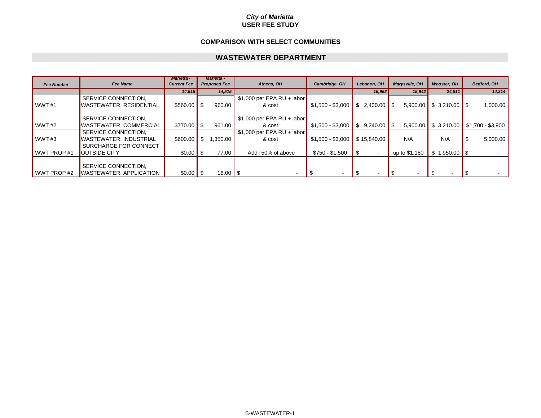#### **USER FEE STUDY***City of Marietta*

#### **COMPARISON WITH SELECT COMMUNITIES**

#### **WASTEWATER DEPARTMENT**

| <b>Fee Number</b> | <b>Fee Name</b>                  | <b>Marietta -</b><br><b>Current Fee</b> | <b>Marietta -</b><br><b>Proposed Fee</b> | Athens, OH                  | Cambridge, OH     | Lebanon, OH      | Marysville, OH | <b>Wooster, OH</b>           | Bedford, OH                              |
|-------------------|----------------------------------|-----------------------------------------|------------------------------------------|-----------------------------|-------------------|------------------|----------------|------------------------------|------------------------------------------|
|                   |                                  | 14,515                                  | 14,515                                   |                             |                   | 16,962           | 15,942         | 24,811                       | 14,214                                   |
|                   | SERVICE CONNECTION,              |                                         |                                          | $$1,000$ per EPA RU + labor |                   |                  |                |                              |                                          |
| <b>WWT#1</b>      | <b>WASTEWATER, RESIDENTIAL</b>   | $$560.00$ \ \$                          | 960.00                                   | & cost                      | \$1,500 - \$3,000 | $$2.400.00$ \ \$ | 5,900.00       | $\frac{1}{5}$ \$ 3,210.00 \$ | 1,000.00                                 |
|                   |                                  |                                         |                                          |                             |                   |                  |                |                              |                                          |
|                   | SERVICE CONNECTION,              |                                         |                                          | $$1,000$ per EPA RU + labor |                   |                  |                |                              |                                          |
| WWT#2             | <b>WASTEWATER, COMMERCIAL</b>    | $$770.00$ S                             | 961.00                                   | & cost                      | $$1,500 - $3,000$ |                  |                |                              | $5,900.00$ \$ 3,210.00 \$1,700 - \$3,900 |
|                   | SERVICE CONNECTION.              |                                         |                                          | $$1,000$ per EPA RU + labor |                   |                  |                |                              |                                          |
| WWT#3             | <b>I</b> WASTEWATER. INDUSTRIAL  | \$600.00                                | .350.00                                  | & cost                      | \$1,500 - \$3,000 | \$15.840.00      | N/A            | N/A                          | 5,000.00<br>- 30                         |
|                   | SURCHARGE FOR CONNECT.           |                                         |                                          |                             |                   |                  |                |                              |                                          |
| WWT PROP #1       | <b>IOUTSIDE CITY</b>             | $$0.00$ \ \ \$                          | 77.00                                    | Add'l 50% of above          | \$750 - \$1,500   | $\sim$           | up to \$1,180  | $$1,950.00$ \ \$             |                                          |
|                   | SERVICE CONNECTION.              |                                         |                                          |                             |                   |                  |                |                              |                                          |
| WWT PROP #2       | <b>I</b> WASTEWATER, APPLICATION | $$0.00$ \ \$                            | 16.00 $\vert$ \$                         |                             |                   |                  |                |                              |                                          |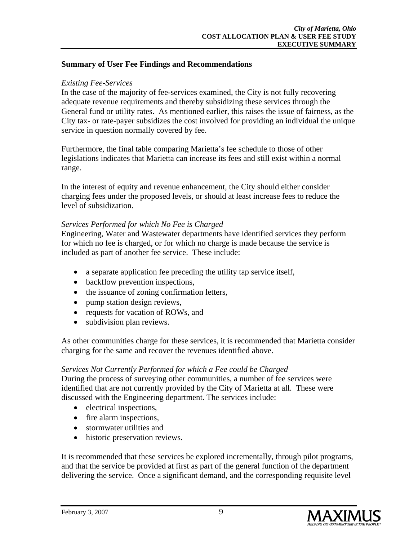## **Summary of User Fee Findings and Recommendations**

## *Existing Fee-Services*

In the case of the majority of fee-services examined, the City is not fully recovering adequate revenue requirements and thereby subsidizing these services through the General fund or utility rates. As mentioned earlier, this raises the issue of fairness, as the City tax- or rate-payer subsidizes the cost involved for providing an individual the unique service in question normally covered by fee.

Furthermore, the final table comparing Marietta's fee schedule to those of other legislations indicates that Marietta can increase its fees and still exist within a normal range.

In the interest of equity and revenue enhancement, the City should either consider charging fees under the proposed levels, or should at least increase fees to reduce the level of subsidization.

## *Services Performed for which No Fee is Charged*

Engineering, Water and Wastewater departments have identified services they perform for which no fee is charged, or for which no charge is made because the service is included as part of another fee service. These include:

- a separate application fee preceding the utility tap service itself,
- backflow prevention inspections,
- the issuance of zoning confirmation letters,
- pump station design reviews,
- requests for vacation of ROWs, and
- subdivision plan reviews.

As other communities charge for these services, it is recommended that Marietta consider charging for the same and recover the revenues identified above.

### *Services Not Currently Performed for which a Fee could be Charged*

During the process of surveying other communities, a number of fee services were identified that are not currently provided by the City of Marietta at all. These were discussed with the Engineering department. The services include:

- electrical inspections,
- fire alarm inspections,
- stormwater utilities and
- historic preservation reviews.

It is recommended that these services be explored incrementally, through pilot programs, and that the service be provided at first as part of the general function of the department delivering the service. Once a significant demand, and the corresponding requisite level

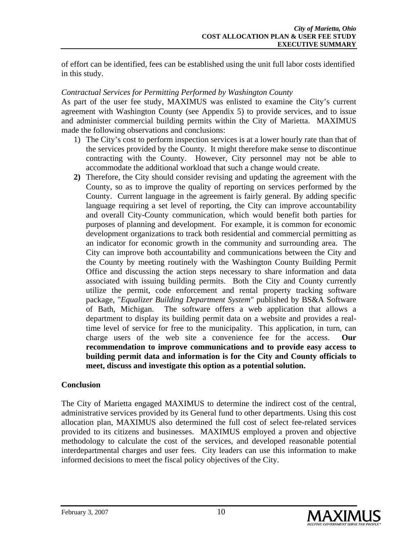of effort can be identified, fees can be established using the unit full labor costs identified in this study.

## *Contractual Services for Permitting Performed by Washington County*

As part of the user fee study, MAXIMUS was enlisted to examine the City's current agreement with Washington County (see Appendix 5) to provide services, and to issue and administer commercial building permits within the City of Marietta. MAXIMUS made the following observations and conclusions:

- 1) The City's cost to perform inspection services is at a lower hourly rate than that of the services provided by the County. It might therefore make sense to discontinue contracting with the County. However, City personnel may not be able to accommodate the additional workload that such a change would create.
- **2)** Therefore, the City should consider revising and updating the agreement with the County, so as to improve the quality of reporting on services performed by the County. Current language in the agreement is fairly general. By adding specific language requiring a set level of reporting, the City can improve accountability and overall City-County communication, which would benefit both parties for purposes of planning and development. For example, it is common for economic development organizations to track both residential and commercial permitting as an indicator for economic growth in the community and surrounding area. The City can improve both accountability and communications between the City and the County by meeting routinely with the Washington County Building Permit Office and discussing the action steps necessary to share information and data associated with issuing building permits. Both the City and County currently utilize the permit, code enforcement and rental property tracking software package, "*Equalizer Building Department System*" published by BS&A Software of Bath, Michigan. The software offers a web application that allows a department to display its building permit data on a website and provides a realtime level of service for free to the municipality. This application, in turn, can charge users of the web site a convenience fee for the access. **Our recommendation to improve communications and to provide easy access to building permit data and information is for the City and County officials to meet, discuss and investigate this option as a potential solution.**

## **Conclusion**

The City of Marietta engaged MAXIMUS to determine the indirect cost of the central, administrative services provided by its General fund to other departments. Using this cost allocation plan, MAXIMUS also determined the full cost of select fee-related services provided to its citizens and businesses. MAXIMUS employed a proven and objective methodology to calculate the cost of the services, and developed reasonable potential interdepartmental charges and user fees. City leaders can use this information to make informed decisions to meet the fiscal policy objectives of the City.